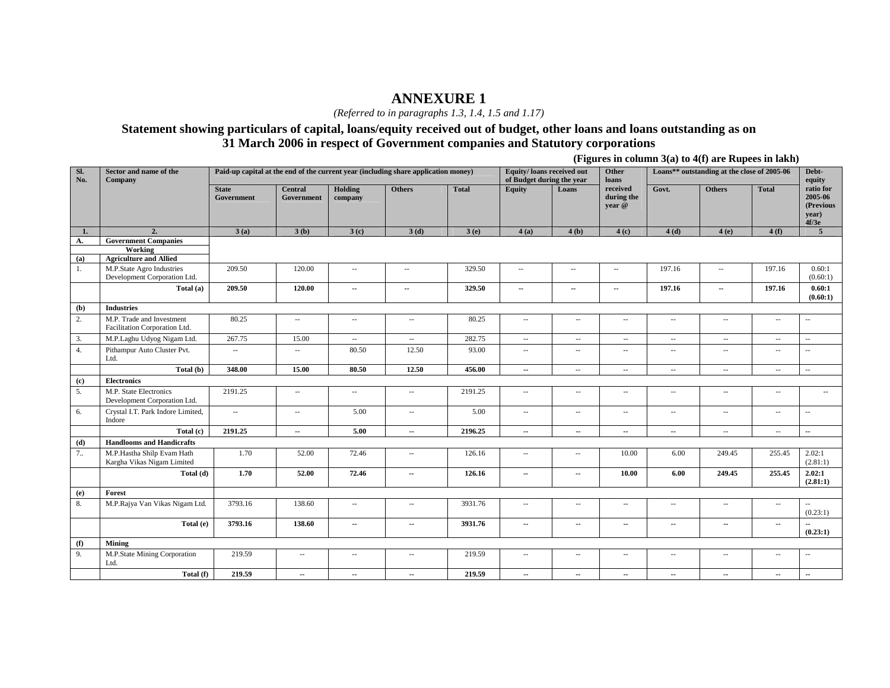*(Referred to in paragraphs 1.3, 1.4, 1.5 and 1.17)* 

### **Statement showing particulars of capital, loans/equity received out of budget, other loans and loans outstanding as on 31 March 2006 in respect of Government companies and Statutory corporations**

**(Figures in column 3(a) to 4(f) are Rupees in lakh)** 

| Sl.<br>No. | Sector and name of the<br>Company                          |                            |                              |                             | Paid-up capital at the end of the current year (including share application money) |              | Equity/loans received out<br>of Budget during the year |                          | Other<br>loans                   |               | Loans** outstanding at the close of 2005-06 |                          | Debt-<br>equity                                     |
|------------|------------------------------------------------------------|----------------------------|------------------------------|-----------------------------|------------------------------------------------------------------------------------|--------------|--------------------------------------------------------|--------------------------|----------------------------------|---------------|---------------------------------------------|--------------------------|-----------------------------------------------------|
|            |                                                            | <b>State</b><br>Government | <b>Central</b><br>Government | Holding<br>company          | <b>Others</b>                                                                      | <b>Total</b> | <b>Equity</b>                                          | Loans                    | received<br>during the<br>year @ | Govt.         | <b>Others</b>                               | <b>Total</b>             | ratio for<br>2005-06<br>(Previous<br>year)<br>4f/3e |
| 1.         | 2.                                                         | 3(a)                       | 3(b)                         | 3(c)                        | 3(d)                                                                               | 3(e)         | 4(a)                                                   | 4(b)                     | 4(c)                             | 4(d)          | 4(e)                                        | 4(f)                     | $\overline{5}$                                      |
| A.         | <b>Government Companies</b>                                |                            |                              |                             |                                                                                    |              |                                                        |                          |                                  |               |                                             |                          |                                                     |
|            | Working<br><b>Agriculture and Allied</b>                   |                            |                              |                             |                                                                                    |              |                                                        |                          |                                  |               |                                             |                          |                                                     |
| (a)<br>1.  | M.P.State Agro Industries                                  | 209.50                     | 120.00                       | $\sim$                      |                                                                                    | 329.50       | $\overline{\phantom{a}}$                               | $\overline{a}$           | $\overline{\phantom{a}}$         | 197.16        | $\overline{\phantom{a}}$                    | 197.16                   | 0.60:1                                              |
|            | Development Corporation Ltd.                               |                            |                              |                             | $\overline{\phantom{a}}$                                                           |              |                                                        |                          |                                  |               |                                             |                          | (0.60:1)                                            |
|            | Total (a)                                                  | 209.50                     | 120.00                       | $\sim$                      | $\sim$                                                                             | 329.50       | $\sim$                                                 | $\sim$                   | $\sim$                           | 197.16        | ۰.                                          | 197.16                   | 0.60:1<br>(0.60:1)                                  |
| (b)        | <b>Industries</b>                                          |                            |                              |                             |                                                                                    |              |                                                        |                          |                                  |               |                                             |                          |                                                     |
| 2.         | M.P. Trade and Investment<br>Facilitation Corporation Ltd. | 80.25                      | $\sim$                       | $\mathcal{L}_{\mathcal{A}}$ | $\sim$                                                                             | 80.25        | $\sim$                                                 | $\sim$                   | $\sim$ $-$                       | $\sim$        | $\mathcal{L}_{\mathcal{A}}$                 | $\sim$ $\sim$            | $\overline{a}$                                      |
| 3.         | M.P.Laghu Udyog Nigam Ltd.                                 | 267.75                     | 15.00                        | $\sim$                      | $\overline{\phantom{a}}$                                                           | 282.75       | $\sim$                                                 | $\sim$                   | $\sim$                           | $\sim$        | $\overline{\phantom{a}}$                    | $\sim$ $\sim$            | $\overline{a}$                                      |
| 4.         | Pithampur Auto Cluster Pvt.<br>Ltd.                        | $\overline{\phantom{a}}$   | $\overline{\phantom{a}}$     | 80.50                       | 12.50                                                                              | 93.00        | $\sim$                                                 | $\overline{\phantom{a}}$ | $\overline{\phantom{a}}$         | $\sim$ $\sim$ | $\overline{\phantom{a}}$                    | $\overline{\phantom{a}}$ | $\overline{a}$                                      |
|            | Total (b)                                                  | 348.00                     | 15.00                        | 80.50                       | 12.50                                                                              | 456.00       | $\sim$                                                 | $\sim$                   | $\overline{\phantom{a}}$         | $\sim$        | $\overline{\phantom{a}}$                    | $\overline{\phantom{a}}$ | u.                                                  |
| (c)        | <b>Electronics</b>                                         |                            |                              |                             |                                                                                    |              |                                                        |                          |                                  |               |                                             |                          |                                                     |
| 5.         | M.P. State Electronics<br>Development Corporation Ltd.     | 2191.25                    | $\mathcal{L}_{\mathcal{A}}$  | $\sim$ $\sim$               | $\mathcal{L}_{\mathcal{A}}$                                                        | 2191.25      | $\sim$                                                 | $\overline{\phantom{a}}$ | $\sim$ $-$                       | $\sim$ $-$    | ÷.                                          | $\sim$                   | $\sim$                                              |
| 6.         | Crystal I.T. Park Indore Limited,<br>Indore                | $\overline{\phantom{a}}$   | $\sim$                       | 5.00                        | $\mathcal{L}_{\mathcal{A}}$                                                        | 5.00         | $\sim$                                                 | $\overline{\phantom{a}}$ | $\overline{\phantom{a}}$         | $\sim$        | $\overline{\phantom{a}}$                    | $\sim$ $\sim$            | Ξ.                                                  |
|            | Total (c)                                                  | 2191.25                    | $\overline{\phantom{a}}$     | 5.00                        | $\sim$                                                                             | 2196.25      | $\sim$                                                 | $\mathbf{u}$             | $\sim$                           | $\sim$        | $\mathcal{L}_{\mathcal{A}}$                 | $\sim$ $-$               | $\sim$                                              |
| (d)        | <b>Handlooms and Handicrafts</b>                           |                            |                              |                             |                                                                                    |              |                                                        |                          |                                  |               |                                             |                          |                                                     |
| 7.1        | M.P.Hastha Shilp Evam Hath<br>Kargha Vikas Nigam Limited   | 1.70                       | 52.00                        | 72.46                       | $\sim$ $-$                                                                         | 126.16       | $\sim$                                                 | $\sim$ $-$               | 10.00                            | 6.00          | 249.45                                      | 255.45                   | 2.02:1<br>(2.81:1)                                  |
|            | Total (d)                                                  | 1.70                       | 52.00                        | 72.46                       | $\sim$                                                                             | 126.16       | $\sim$                                                 | $\sim$                   | 10.00                            | 6.00          | 249.45                                      | 255.45                   | 2.02:1<br>(2.81:1)                                  |
| (e)        | Forest                                                     |                            |                              |                             |                                                                                    |              |                                                        |                          |                                  |               |                                             |                          |                                                     |
| 8.         | M.P.Rajya Van Vikas Nigam Ltd.                             | 3793.16                    | 138.60                       | $\mathcal{L}_{\mathcal{A}}$ | $\sim$                                                                             | 3931.76      | $\sim$                                                 | $\sim$ $\sim$            | $\sim$ $\sim$                    | $\sim$ $-$    | $\mathcal{L}_{\mathcal{A}}$                 | $\sim$                   | (0.23:1)                                            |
|            | Total (e)                                                  | 3793.16                    | 138.60                       | $\overline{\phantom{a}}$    | $\sim$                                                                             | 3931.76      | $\sim$                                                 | $\sim$                   | $\sim$                           | $\sim$        | $\sim$                                      | $\overline{\phantom{a}}$ | (0.23:1)                                            |
| (f)        | <b>Mining</b>                                              |                            |                              |                             |                                                                                    |              |                                                        |                          |                                  |               |                                             |                          |                                                     |
| 9.         | M.P.State Mining Corporation<br>Ltd.                       | 219.59                     | $\overline{\phantom{a}}$     | $\overline{\phantom{a}}$    | $\sim$                                                                             | 219.59       | $\sim$                                                 | $\overline{\phantom{a}}$ | $\overline{\phantom{a}}$         | $\sim$        | $\overline{\phantom{a}}$                    | $\sim$ $-$               | $\overline{a}$                                      |
|            | Total (f)                                                  | 219.59                     | $\sim$                       | $\sim$                      | $\sim$                                                                             | 219.59       | $\sim$                                                 | $\sim$                   | $\sim$                           | $\sim$        | ш.                                          | $\mathbf{L}$             | н.                                                  |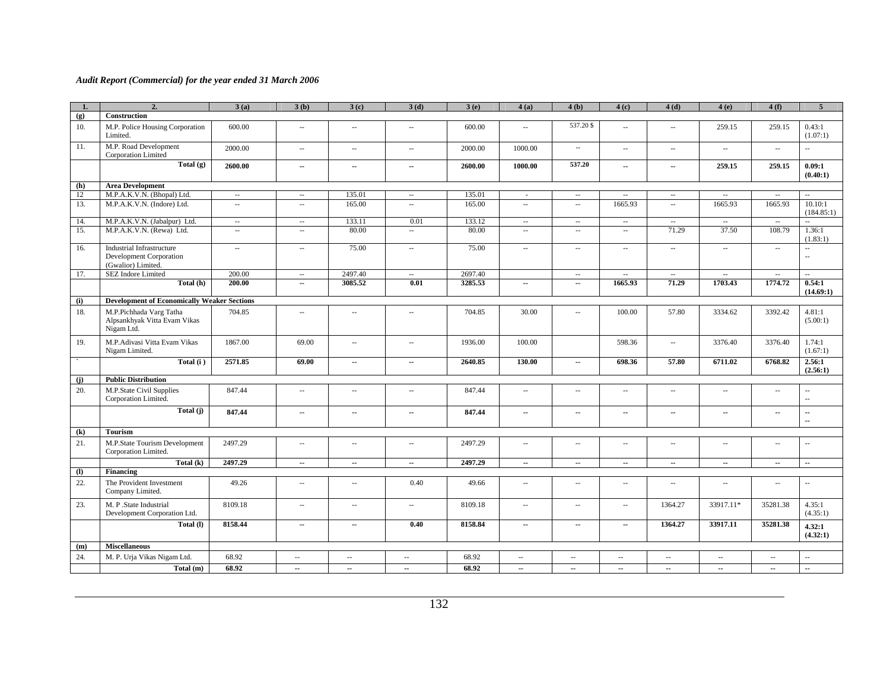| 1.  | $\overline{2}$                                                                    | 3(a)                        | 3(b)                        | 3(c)                     | 3(d)                        | 3(e)    | 4(a)                        | 4(b)                        | 4(c)                        | 4(d)                        | 4(e)                        | 4(f)          | 5                        |
|-----|-----------------------------------------------------------------------------------|-----------------------------|-----------------------------|--------------------------|-----------------------------|---------|-----------------------------|-----------------------------|-----------------------------|-----------------------------|-----------------------------|---------------|--------------------------|
| (g) | Construction                                                                      |                             |                             |                          |                             |         |                             |                             |                             |                             |                             |               |                          |
| 10. | M.P. Police Housing Corporation<br>Limited.                                       | 600.00                      | $\overline{\phantom{a}}$    | $\sim$                   | $\mathcal{L}_{\mathcal{A}}$ | 600.00  | $\mathcal{L}_{\mathcal{A}}$ | 537.20\$                    | $\overline{\phantom{a}}$    | $\mathcal{L}_{\mathcal{A}}$ | 259.15                      | 259.15        | 0.43:1<br>(1.07:1)       |
| 11. | M.P. Road Development<br>Corporation Limited                                      | 2000.00                     | $\overline{\phantom{a}}$    | $\sim$                   | $\overline{\phantom{a}}$    | 2000.00 | 1000.00                     | $\sim$                      | $\overline{\phantom{a}}$    | $\sim$                      | $\sim$                      | $\sim$        | $\overline{\phantom{a}}$ |
|     | Total $(g)$                                                                       | 2600.00                     | ۰.                          | ц,                       | Ξ.                          | 2600.00 | 1000.00                     | 537.20                      | --                          | $\overline{\phantom{a}}$    | 259.15                      | 259.15        | 0.09:1<br>(0.40:1)       |
| (h) | <b>Area Development</b>                                                           |                             |                             |                          |                             |         |                             |                             |                             |                             |                             |               |                          |
| 12  | M.P.A.K.V.N. (Bhopal) Ltd.                                                        | $\overline{\phantom{a}}$    | $\overline{\phantom{a}}$    | 135.01                   | $\overline{\phantom{a}}$    | 135.01  | $\mathbf{r}$                | $\sim$                      | $\overline{\phantom{a}}$    | $\mathcal{L}_{\mathcal{A}}$ | $\overline{\phantom{a}}$    | $\sim$        | u.                       |
| 13. | M.P.A.K.V.N. (Indore) Ltd.                                                        | $\ldots$                    | $\overline{\phantom{a}}$    | 165.00                   | $\mathbb{Z}^2$              | 165.00  | $\overline{\phantom{a}}$    | $\overline{\phantom{a}}$    | 1665.93                     | $\ddotsc$                   | 1665.93                     | 1665.93       | 10.10:1<br>(184.85:1)    |
| 14. | M.P.A.K.V.N. (Jabalpur) Ltd.                                                      | $\overline{\phantom{a}}$    | $\overline{\phantom{a}}$    | 133.11                   | 0.01                        | 133.12  | $\overline{\phantom{a}}$    | $\sim$                      | $\overline{\phantom{a}}$    | $\overline{\phantom{a}}$    | $\overline{\phantom{a}}$    | $\sim$        | $\sim$                   |
| 15. | M.P.A.K.V.N. (Rewa) Ltd.                                                          | $\sim$                      | $\sim$                      | 80.00                    | $\overline{\phantom{a}}$    | 80.00   | $\sim$                      | $\sim$ $\sim$               | $\sim$                      | 71.29                       | 37.50                       | 108.79        | 1.36:1<br>(1.83:1)       |
| 16. | <b>Industrial Infrastructure</b><br>Development Corporation<br>(Gwalior) Limited. | $\mathcal{L}_{\mathcal{A}}$ | $\overline{\phantom{a}}$    | 75.00                    | $\mathcal{L}_{\mathcal{A}}$ | 75.00   | $\sim$ $\sim$               | $\sim$                      | $\sim$                      | $\ldots$                    | $\mathcal{L}_{\mathcal{A}}$ | $\sim$        | u.<br>$\sim$             |
| 17. | SEZ Indore Limited                                                                | 200.00                      | $\overline{\phantom{a}}$    | 2497.40                  | $\sim$                      | 2697.40 |                             | $\sim$                      | $\overline{\phantom{a}}$    | $\sim$                      | $\overline{\phantom{a}}$    | $\sim$        | $\overline{\phantom{a}}$ |
|     | Total (h)                                                                         | 200.00                      | --                          | 3085.52                  | 0.01                        | 3285.53 | $\overline{\phantom{a}}$    | $\sim$                      | 1665.93                     | 71.29                       | 1703.43                     | 1774.72       | 0.54:1<br>(14.69:1)      |
| (i) | <b>Development of Economically Weaker Sections</b>                                |                             |                             |                          |                             |         |                             |                             |                             |                             |                             |               |                          |
| 18. | M.P.Pichhada Varg Tatha<br>Alpsankhyak Vitta Evam Vikas<br>Nigam Ltd.             | 704.85                      | $\mathcal{L}_{\mathcal{A}}$ | ä.                       | $\mathcal{L}_{\mathcal{A}}$ | 704.85  | 30.00                       | $\mathcal{L}_{\mathcal{A}}$ | 100.00                      | 57.80                       | 3334.62                     | 3392.42       | 4.81:1<br>(5.00:1)       |
| 19. | M.P.Adivasi Vitta Evam Vikas<br>Nigam Limited.                                    | 1867.00                     | 69.00                       | $\sim$                   | $\mathcal{L}_{\mathcal{A}}$ | 1936.00 | 100.00                      |                             | 598.36                      | $\sim$                      | 3376.40                     | 3376.40       | 1.74:1<br>(1.67:1)       |
|     | Total $(i)$                                                                       | 2571.85                     | 69.00                       | ۰.                       | ш,                          | 2640.85 | 130.00                      | $\sim$                      | 698.36                      | 57.80                       | 6711.02                     | 6768.82       | 2.56:1<br>(2.56:1)       |
| (i) | <b>Public Distribution</b>                                                        |                             |                             |                          |                             |         |                             |                             |                             |                             |                             |               |                          |
| 20. | M.P.State Civil Supplies<br>Corporation Limited.                                  | 847.44                      | $\ddot{\phantom{a}}$        | $\overline{\phantom{a}}$ | $\overline{\phantom{a}}$    | 847.44  | $\overline{\phantom{a}}$    | $\overline{\phantom{a}}$    | $\overline{\phantom{a}}$    | $\overline{\phantom{a}}$    | $\overline{\phantom{a}}$    | $\sim$        | μ.<br>μ.                 |
|     | Total (j)                                                                         | 847.44                      | ۰.                          | ц,                       | $\overline{\phantom{a}}$    | 847.44  | $\overline{\phantom{a}}$    | $\sim$                      | $\sim$                      | $\overline{\phantom{a}}$    | $\overline{\phantom{a}}$    | $\sim$        | --<br>н.                 |
| (k) | <b>Tourism</b>                                                                    |                             |                             |                          |                             |         |                             |                             |                             |                             |                             |               |                          |
| 21. | M.P.State Tourism Development<br>Corporation Limited.                             | 2497.29                     | ÷.                          | 44                       | $\sim$ $\sim$               | 2497.29 | $\sim$ $\sim$               | $\sim$                      | $\overline{\phantom{a}}$    | $\ddot{\phantom{a}}$        | ÷.                          | Ξ.            | ÷.                       |
|     | Total (k)                                                                         | 2497.29                     | $\sim$                      | $\overline{\phantom{a}}$ | $\ddot{\phantom{a}}$        | 2497.29 | $\sim$                      | $\sim$                      | $\sim$                      | $\sim$                      | $\sim$                      | $\sim$        | $\sim$                   |
| (1) | <b>Financing</b>                                                                  |                             |                             |                          |                             |         |                             |                             |                             |                             |                             |               |                          |
| 22. | The Provident Investment<br>Company Limited.                                      | 49.26                       | $\overline{\phantom{a}}$    | $\sim$                   | 0.40                        | 49.66   | $\overline{\phantom{a}}$    | $\sim$                      | $\sim$ $\sim$               | $\sim$                      | $\sim$                      | $\sim$ $\sim$ | $\overline{\phantom{a}}$ |
| 23. | M. P.State Industrial<br>Development Corporation Ltd.                             | 8109.18                     | $\overline{\phantom{a}}$    | $\sim$                   | $\sim$                      | 8109.18 | $\mathcal{L}_{\mathcal{A}}$ | $\sim$                      | $\mathcal{L}_{\mathcal{A}}$ | 1364.27                     | 33917.11*                   | 35281.38      | 4.35:1<br>(4.35:1)       |
|     | Total (I)                                                                         | 8158.44                     | н.                          | $\ddotsc$                | 0.40                        | 8158.84 | $\sim$                      | $\sim$                      | $\sim$                      | 1364.27                     | 33917.11                    | 35281.38      | 4.32:1<br>(4.32:1)       |
| (m) | <b>Miscellaneous</b>                                                              |                             |                             |                          |                             |         |                             |                             |                             |                             |                             |               |                          |
| 24. | M. P. Urja Vikas Nigam Ltd.                                                       | 68.92                       | u.                          | $\sim$                   | $\mathcal{L}_{\mathcal{A}}$ | 68.92   | $\sim$                      | $\sim$                      | $\sim$                      | $\overline{\phantom{a}}$    | ÷.                          | u.            | u.                       |
|     | Total (m)                                                                         | 68.92                       | $\sim$                      | $\sim$                   | $\sim$                      | 68.92   | $\sim$                      | $\sim$                      | $\sim$                      | $\sim$                      | $\sim$                      | $\sim$        | ш.                       |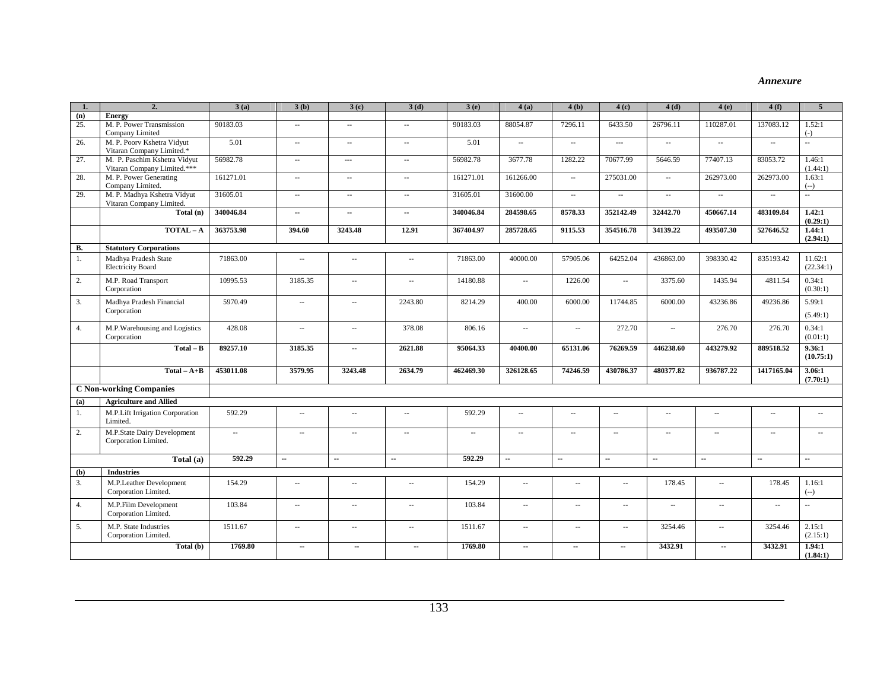#### *Annexure*

| 1.  | $\overline{2}$                                              | 3(a)      | 3(b)                     | 3(c)                        | 3(d)                        | 3(e)                     | 4(a)                     | 4(b)                        | 4(c)                     | 4(d)                     | 4(e)                     | 4(f)       | $\overline{5}$       |
|-----|-------------------------------------------------------------|-----------|--------------------------|-----------------------------|-----------------------------|--------------------------|--------------------------|-----------------------------|--------------------------|--------------------------|--------------------------|------------|----------------------|
| (n) | <b>Energy</b>                                               |           |                          |                             |                             |                          |                          |                             |                          |                          |                          |            |                      |
| 25. | M. P. Power Transmission<br>Company Limited                 | 90183.03  | $\overline{\phantom{a}}$ | $\sim$                      | $\mathcal{L}_{\mathcal{A}}$ | 90183.03                 | 88054.87                 | 7296.11                     | 6433.50                  | 26796.11                 | 110287.01                | 137083.12  | 1.52:1<br>$(-)$      |
| 26. | M. P. Poorv Kshetra Vidyut<br>Vitaran Company Limited.*     | 5.01      | $\overline{\phantom{a}}$ | $\overline{\phantom{a}}$    | $\sim$                      | 5.01                     | $\sim$                   | $\sim$                      | $\overline{a}$           | $\sim$                   | $\sim$                   | $\sim$     | $\sim$               |
| 27. | M. P. Paschim Kshetra Vidyut<br>Vitaran Company Limited.*** | 56982.78  | $\overline{\phantom{a}}$ | $\overline{a}$              | $\overline{\phantom{a}}$    | 56982.78                 | 3677.78                  | 1282.22                     | 70677.99                 | 5646.59                  | 77407.13                 | 83053.72   | 1.46:1<br>(1.44:1)   |
| 28. | M. P. Power Generating<br>Company Limited.                  | 161271.01 | $\overline{\phantom{a}}$ | $\overline{\phantom{a}}$    | $\sim$                      | 161271.01                | 161266.00                | $\overline{\phantom{a}}$    | 275031.00                | $\sim$ $\sim$            | 262973.00                | 262973.00  | 1.63:1<br>$(-)$      |
| 29. | M. P. Madhya Kshetra Vidyut<br>Vitaran Company Limited.     | 31605.01  | $\overline{\phantom{a}}$ | $\mathcal{L}_{\mathcal{A}}$ | $\overline{\phantom{a}}$    | 31605.01                 | 31600.00                 | $\sim$                      | $\sim$                   | $\sim$                   | $\overline{\phantom{a}}$ | $\sim$     | $\mathbb{Z}^2$       |
|     | Total (n)                                                   | 340046.84 | $\sim$                   | $\sim$                      | ä.                          | 340046.84                | 284598.65                | 8578.33                     | 352142.49                | 32442.70                 | 450667.14                | 483109.84  | 1.42:1<br>(0.29:1)   |
|     | $TOTAL-A$                                                   | 363753.98 | 394.60                   | 3243.48                     | 12.91                       | 367404.97                | 285728.65                | 9115.53                     | 354516.78                | 34139.22                 | 493507.30                | 527646.52  | 1.44:1<br>(2.94:1)   |
| В.  | <b>Statutory Corporations</b>                               |           |                          |                             |                             |                          |                          |                             |                          |                          |                          |            |                      |
| 1.  | Madhya Pradesh State<br><b>Electricity Board</b>            | 71863.00  | $\sim$                   | $\sim$                      | $\overline{\phantom{a}}$    | 71863.00                 | 40000.00                 | 57905.06                    | 64252.04                 | 436863.00                | 398330.42                | 835193.42  | 11.62:1<br>(22.34:1) |
| 2.  | M.P. Road Transport<br>Corporation                          | 10995.53  | 3185.35                  | $\sim$                      | $\overline{\phantom{a}}$    | 14180.88                 | $\overline{\phantom{a}}$ | 1226.00                     | $\overline{\phantom{a}}$ | 3375.60                  | 1435.94                  | 4811.54    | 0.34:1<br>(0.30:1)   |
| 3.  | Madhya Pradesh Financial<br>Corporation                     | 5970.49   | $\sim$                   | $\sim$                      | 2243.80                     | 8214.29                  | 400.00                   | 6000.00                     | 11744.85                 | 6000.00                  | 43236.86                 | 49236.86   | 5.99:1<br>(5.49:1)   |
| 4.  | M.P.Warehousing and Logistics<br>Corporation                | 428.08    | $\sim$                   | $\sim$                      | 378.08                      | 806.16                   | $\overline{\phantom{a}}$ | $\overline{\phantom{a}}$    | 272.70                   | $\overline{\phantom{a}}$ | 276.70                   | 276.70     | 0.34:1<br>(0.01:1)   |
|     | $Total - B$                                                 | 89257.10  | 3185.35                  | $\sim$                      | 2621.88                     | 95064.33                 | 40400.00                 | 65131.06                    | 76269.59                 | 446238.60                | 443279.92                | 889518.52  | 9.36:1<br>(10.75:1)  |
|     | $Total - A + B$                                             | 453011.08 | 3579.95                  | 3243.48                     | 2634.79                     | 462469.30                | 326128.65                | 74246.59                    | 430786.37                | 480377.82                | 936787.22                | 1417165.04 | 3.06:1<br>(7.70:1)   |
|     | <b>C Non-working Companies</b>                              |           |                          |                             |                             |                          |                          |                             |                          |                          |                          |            |                      |
| (a) | <b>Agriculture and Allied</b>                               |           |                          |                             |                             |                          |                          |                             |                          |                          |                          |            |                      |
| 1.  | M.P.Lift Irrigation Corporation<br>Limited.                 | 592.29    | $\sim$                   | ÷.                          | $\sim$ $\sim$               | 592.29                   | $\sim$                   | $\sim$                      | $\sim$                   | $\sim$                   | $\sim$                   | $\sim$     | $\sim$               |
| 2.  | M.P.State Dairy Development<br>Corporation Limited.         | $\sim$    | $\overline{\phantom{a}}$ | $\sim$                      | $\sim$                      | $\overline{\phantom{a}}$ | $\sim$                   | $\sim$                      | $\sim$                   | $\sim$ $\sim$            | $\sim$                   | $\sim$     | $\sim$ $\sim$        |
|     | Total (a)                                                   | 592.29    | $\sim$                   | $\sim$                      | $\sim$                      | 592.29                   | $\sim$                   | $\sim$                      | ä.                       | ä.                       | $\sim$                   | $\sim$     | $\mathbf{r}$         |
| (b) | <b>Industries</b>                                           |           |                          |                             |                             |                          |                          |                             |                          |                          |                          |            |                      |
| 3.  | M.P.Leather Development<br>Corporation Limited.             | 154.29    | $\sim$ $\sim$            | ă.                          | $\sim$                      | 154.29                   | $\sim$                   | $\sim$ $\sim$               | ä.                       | 178.45                   | ă.                       | 178.45     | 1.16:1<br>$(-)$      |
| 4.  | M.P.Film Development<br>Corporation Limited.                | 103.84    | $\sim$                   | ÷.                          | $\sim$                      | 103.84                   | $\sim$                   | $\mathcal{L}_{\mathcal{A}}$ | ц,                       | $\sim$                   | ă.                       | ă.         | $\sim$               |
| 5.  | M.P. State Industries<br>Corporation Limited.               | 1511.67   | $\overline{\phantom{a}}$ | $\overline{\phantom{a}}$    | $\overline{\phantom{a}}$    | 1511.67                  | $\overline{\phantom{a}}$ | $\overline{\phantom{a}}$    | $\overline{\phantom{a}}$ | 3254.46                  | $\overline{\phantom{a}}$ | 3254.46    | 2.15:1<br>(2.15:1)   |
|     | Total (b)                                                   | 1769.80   | $\sim$                   | $\sim$                      | $\sim$                      | 1769.80                  | $\sim$                   | $\sim$                      | ۰.                       | 3432.91                  | $\sim$                   | 3432.91    | 1.94:1<br>(1.84:1)   |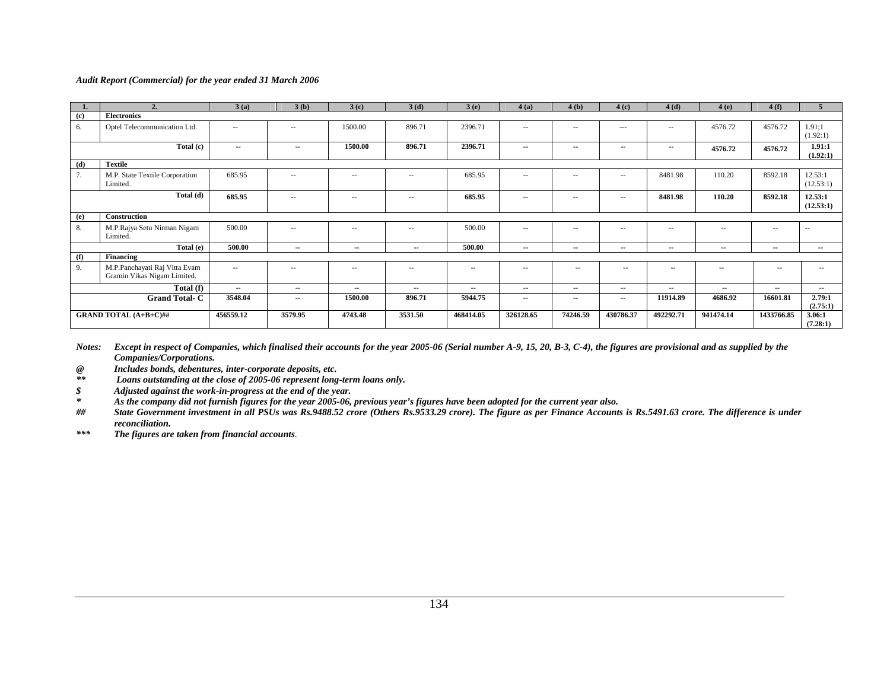|     | $\overline{2}$                                               | 3(a)      | 3(b)          | 3(c)       | 3(d)       | 3(e)       | 4(a)       | 4(b)          | 4(c)          | 4(d)       | 4(e)       | 4(f)       | 5                    |
|-----|--------------------------------------------------------------|-----------|---------------|------------|------------|------------|------------|---------------|---------------|------------|------------|------------|----------------------|
| (c) | <b>Electronics</b>                                           |           |               |            |            |            |            |               |               |            |            |            |                      |
| 6.  | Optel Telecommunication Ltd.                                 | $\sim$    | --            | 1500.00    | 896.71     | 2396.71    | $- -$      | $\sim$ $-$    | $\cdots$      | $\sim$ $-$ | 4576.72    | 4576.72    | 1.91:1<br>(1.92:1)   |
|     | Total (c)                                                    | $\sim$    | $\sim$        | 1500.00    | 896.71     | 2396.71    | $\sim$     | $\sim$ $-$    | $\sim$ $-$    | $\sim$     | 4576.72    | 4576.72    | 1.91:1<br>(1.92:1)   |
| (d) | <b>Textile</b>                                               |           |               |            |            |            |            |               |               |            |            |            |                      |
| 7.  | M.P. State Textile Corporation<br>Limited.                   | 685.95    | $\sim$ $\sim$ | $\sim$     | $\sim$ $-$ | 685.95     | $- -$      | $\sim$ $\sim$ | $- -$ .       | 8481.98    | 110.20     | 8592.18    | 12.53:1<br>(12.53:1) |
|     | Total (d)                                                    | 685.95    | $\sim$        | $\sim$     | $\sim$     | 685.95     | --         | --            | $\sim$ $\sim$ | 8481.98    | 110.20     | 8592.18    | 12.53:1<br>(12.53:1) |
| (e) | <b>Construction</b>                                          |           |               |            |            |            |            |               |               |            |            |            |                      |
| 8.  | M.P.Rajya Setu Nirman Nigam<br>Limited.                      | 500.00    | $-$           | $\sim$ $-$ | $ -$       | 500.00     | $- -$      | --            | $\sim$ $-$    | $\sim$ $-$ | $\sim$ $-$ | $\sim$ $-$ | $\overline{a}$       |
|     | Total (e)                                                    | 500.00    | $\sim$ $\sim$ | $\sim$     | $\sim$     | 500.00     | --         | $\sim$        | $\sim$        | $\sim$     | $\sim$     | $\sim$     | $\sim$               |
| (f) | Financing                                                    |           |               |            |            |            |            |               |               |            |            |            |                      |
| 9.  | M.P.Panchayati Raj Vitta Evam<br>Gramin Vikas Nigam Limited. | $\sim$    | $\sim$ $-$    | $\sim$     | $\sim$ $-$ | $\sim$ $-$ | $\sim$ $-$ | $\sim$ $-$    | $ -$          | $\sim$ $-$ | $\sim$ $-$ | $\sim$ $-$ | $- -$ .              |
|     | Total (f)                                                    | $\sim$    | $\sim$        | $\sim$     | $\sim$     | $\sim$     | --         | $\sim$        | $\sim$        | $\sim$     | $\sim$     | $\sim$     | $\sim$               |
|     | <b>Grand Total-C</b>                                         | 3548.04   | $\sim$        | 1500.00    | 896.71     | 5944.75    | --         | $\sim$        | $\sim$        | 11914.89   | 4686.92    | 16601.81   | 2.79:1<br>(2.75:1)   |
|     | <b>GRAND TOTAL (A+B+C)##</b>                                 | 456559.12 | 3579.95       | 4743.48    | 3531.50    | 468414.05  | 326128.65  | 74246.59      | 430786.37     | 492292.71  | 941474.14  | 1433766.85 | 3.06:1<br>(7.28:1)   |

*Notes: Except in respect of Companies, which finalised their accounts for the year 2005-06 (Serial number A-9, 15, 20, B-3, C-4), the figures are provisional and as supplied by the Companies/Corporations.* 

*@ Includes bonds, debentures, inter-corporate deposits, etc.* 

Loans outstanding at the close of 2005-06 represent long-term loans only.

*\$ Adjusted against the work-in-progress at the end of the year.* 

*\* As the company did not furnish figures for the year 2005-06, previous year's figures have been adopted for the current year also.* 

*State Government investment in all PSUs was Rs.9488.52 crore (Others Rs.9533.29 crore). The figure as per Finance Accounts is Rs.5491.63 crore. The difference is under reconciliation.* 

*\*\*\* The figures are taken from financial accounts.*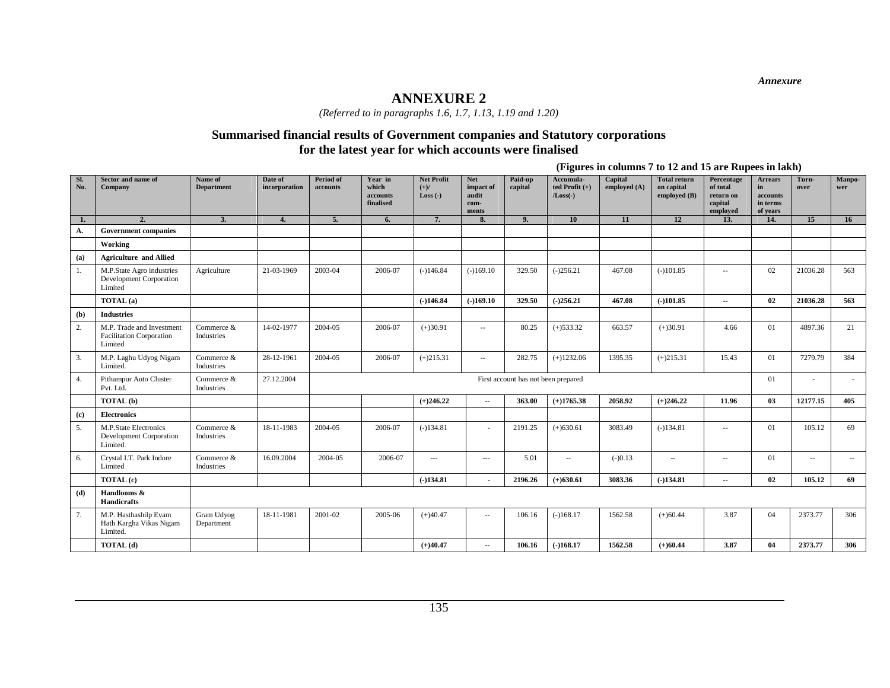*Annexure* 

### **ANNEXURE 2**

*(Referred to in paragraphs 1.6, 1.7, 1.13, 1.19 and 1.20)* 

### **Summarised financial results of Government companies and Statutory corporations for the latest year for which accounts were finalised**

**(Figures in columns 7 to 12 and 15 are Rupees in lakh)** 

| Sl.<br>No. | Sector and name of<br>Company                                           | Name of<br><b>Department</b> | Date of<br>incorporation | Period of<br>accounts | Year in<br>which<br>accounts<br>finalised | <b>Net Profit</b><br>$(+)/$<br>$Loss(-)$ | <b>Net</b><br>impact of<br>audit<br>com-<br>ments | Paid-up<br>capital                  | Accumula-<br>ted Profit $(+)$<br>$/Loss(-)$ | Capital<br>employed (A) | <b>Total return</b><br>on capital<br>employed (B) | Percentage<br>of total<br>return on<br>capital<br>employed | <b>Arrears</b><br>in<br>accounts<br>in terms<br>of years | Turn-<br>over            | Manpo-<br>wer |
|------------|-------------------------------------------------------------------------|------------------------------|--------------------------|-----------------------|-------------------------------------------|------------------------------------------|---------------------------------------------------|-------------------------------------|---------------------------------------------|-------------------------|---------------------------------------------------|------------------------------------------------------------|----------------------------------------------------------|--------------------------|---------------|
| 1.         | 2.                                                                      | 3.                           | 4.                       | 5.                    | 6.                                        | 7.                                       | 8.                                                | 9.                                  | 10                                          | 11                      | 12                                                | 13.                                                        | 14.                                                      | 15                       | 16            |
| А.         | <b>Government companies</b>                                             |                              |                          |                       |                                           |                                          |                                                   |                                     |                                             |                         |                                                   |                                                            |                                                          |                          |               |
|            | Working                                                                 |                              |                          |                       |                                           |                                          |                                                   |                                     |                                             |                         |                                                   |                                                            |                                                          |                          |               |
| (a)        | <b>Agriculture and Allied</b>                                           |                              |                          |                       |                                           |                                          |                                                   |                                     |                                             |                         |                                                   |                                                            |                                                          |                          |               |
| 1.         | M.P.State Agro industries<br>Development Corporation<br>Limited         | Agriculture                  | 21-03-1969               | 2003-04               | 2006-07                                   | $(-)146.84$                              | $(-)169.10$                                       | 329.50                              | $(-)256.21$                                 | 467.08                  | $(-101.85)$                                       | $\overline{\phantom{a}}$                                   | 02                                                       | 21036.28                 | 563           |
|            | TOTAL (a)                                                               |                              |                          |                       |                                           | $(-)146.84$                              | $(-)169.10$                                       | 329.50                              | $(-)256.21$                                 | 467.08                  | $(-)101.85$                                       | н.                                                         | 02                                                       | 21036.28                 | 563           |
| (b)        | <b>Industries</b>                                                       |                              |                          |                       |                                           |                                          |                                                   |                                     |                                             |                         |                                                   |                                                            |                                                          |                          |               |
| 2.         | M.P. Trade and Investment<br><b>Facilitation Corporation</b><br>Limited | Commerce &<br>Industries     | 14-02-1977               | 2004-05               | 2006-07                                   | $(+)30.91$                               | $\sim$ $-$                                        | 80.25                               | $(+)533.32$                                 | 663.57                  | $(+)30.91$                                        | 4.66                                                       | 01                                                       | 4897.36                  | 21            |
| 3.         | M.P. Laghu Udyog Nigam<br>Limited.                                      | Commerce &<br>Industries     | 28-12-1961               | 2004-05               | 2006-07                                   | $(+)215.31$                              | $\sim$ $-$                                        | 282.75                              | $(+)1232.06$                                | 1395.35                 | $(+)215.31$                                       | 15.43                                                      | 01                                                       | 7279.79                  | 384           |
| 4.         | Pithampur Auto Cluster<br>Pvt. Ltd.                                     | Commerce &<br>Industries     | 27.12.2004               |                       |                                           |                                          |                                                   | First account has not been prepared |                                             |                         |                                                   |                                                            | 01                                                       | $\overline{\phantom{a}}$ |               |
|            | TOTAL (b)                                                               |                              |                          |                       |                                           | $(+)246.22$                              | $\sim$                                            | 363.00                              | $(+)1765.38$                                | 2058.92                 | $(+)246.22$                                       | 11.96                                                      | 03                                                       | 12177.15                 | 405           |
| (c)        | <b>Electronics</b>                                                      |                              |                          |                       |                                           |                                          |                                                   |                                     |                                             |                         |                                                   |                                                            |                                                          |                          |               |
| 5.         | M.P.State Electronics<br>Development Corporation<br>Limited.            | Commerce &<br>Industries     | 18-11-1983               | 2004-05               | 2006-07                                   | $(-)134.81$                              |                                                   | 2191.25                             | $(+)630.61$                                 | 3083.49                 | $(-)134.81$                                       | $\overline{\phantom{a}}$                                   | 01                                                       | 105.12                   | 69            |
| 6.         | Crystal I.T. Park Indore<br>Limited                                     | Commerce &<br>Industries     | 16.09.2004               | 2004-05               | 2006-07                                   | $\cdots$                                 | $\cdots$                                          | 5.01                                | $\sim$                                      | $(-)0.13$               | $\overline{\phantom{a}}$                          | $\overline{\phantom{a}}$                                   | 01                                                       | $\sim$                   | $\sim$        |
|            | TOTAL (c)                                                               |                              |                          |                       |                                           | $(-)134.81$                              | $\blacksquare$                                    | 2196.26                             | $(+)630.61$                                 | 3083.36                 | $(-)134.81$                                       | н.                                                         | 02                                                       | 105.12                   | 69            |
| (d)        | Handlooms &<br>Handicrafts                                              |                              |                          |                       |                                           |                                          |                                                   |                                     |                                             |                         |                                                   |                                                            |                                                          |                          |               |
| 7.         | M.P. Hasthashilp Evam<br>Hath Kargha Vikas Nigam<br>Limited.            | Gram Udyog<br>Department     | 18-11-1981               | 2001-02               | 2005-06                                   | $(+)40.47$                               | $\sim$                                            | 106.16                              | $(-)168.17$                                 | 1562.58                 | $(+)60.44$                                        | 3.87                                                       | 04                                                       | 2373.77                  | 306           |
|            | TOTAL (d)                                                               |                              |                          |                       |                                           | $(+)40.47$                               | $\sim$                                            | 106.16                              | $(-)168.17$                                 | 1562.58                 | $(+)60.44$                                        | 3.87                                                       | 04                                                       | 2373.77                  | 306           |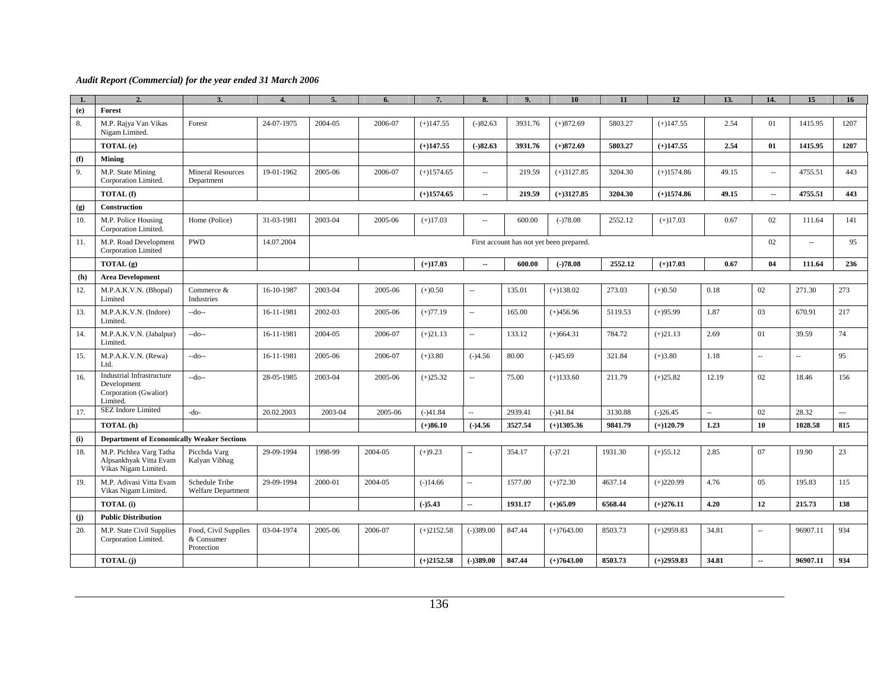| 1.  | 2.                                                                            | 3.                                               | $\overline{\mathbf{A}}$ | 5.      | 6.      | 7.           | 8.                       | 9.      | 10                                       | 11      | 12           | 13.   | 14.                      | 15       | 16                   |
|-----|-------------------------------------------------------------------------------|--------------------------------------------------|-------------------------|---------|---------|--------------|--------------------------|---------|------------------------------------------|---------|--------------|-------|--------------------------|----------|----------------------|
| (e) | Forest                                                                        |                                                  |                         |         |         |              |                          |         |                                          |         |              |       |                          |          |                      |
| 8.  | M.P. Rajya Van Vikas<br>Nigam Limited.                                        | Forest                                           | 24-07-1975              | 2004-05 | 2006-07 | $(+)147.55$  | $(-)82.63$               | 3931.76 | $(+)872.69$                              | 5803.27 | $(+)147.55$  | 2.54  | 01                       | 1415.95  | 1207                 |
|     | TOTAL (e)                                                                     |                                                  |                         |         |         | $(+)147.55$  | $(-)82.63$               | 3931.76 | $(+)872.69$                              | 5803.27 | $(+)147.55$  | 2.54  | 01                       | 1415.95  | 1207                 |
| (f) | Mining                                                                        |                                                  |                         |         |         |              |                          |         |                                          |         |              |       |                          |          |                      |
| 9.  | M.P. State Mining<br>Corporation Limited.                                     | <b>Mineral Resources</b><br>Department           | 19-01-1962              | 2005-06 | 2006-07 | $(+)1574.65$ | $\overline{\phantom{a}}$ | 219.59  | $(+)3127.85$                             | 3204.30 | $(+)1574.86$ | 49.15 | $\overline{\phantom{a}}$ | 4755.51  | 443                  |
|     | TOTAL (f)                                                                     |                                                  |                         |         |         | $(+)1574.65$ | ш.                       | 219.59  | $(+)3127.85$                             | 3204.30 | $(+)1574.86$ | 49.15 | −−                       | 4755.51  | 443                  |
| (g) | <b>Construction</b>                                                           |                                                  |                         |         |         |              |                          |         |                                          |         |              |       |                          |          |                      |
| 10. | M.P. Police Housing<br>Corporation Limited.                                   | Home (Police)                                    | 31-03-1981              | 2003-04 | 2005-06 | $(+)17.03$   | $\overline{\phantom{a}}$ | 600.00  | $(-)78.08$                               | 2552.12 | $(+)17.03$   | 0.67  | 02                       | 111.64   | 141                  |
| 11. | M.P. Road Development<br>Corporation Limited                                  | <b>PWD</b>                                       | 14.07.2004              |         |         |              |                          |         | First account has not yet been prepared. |         |              |       | 02                       | $\sim$   | 95                   |
|     | TOTAL (g)                                                                     |                                                  |                         |         |         | $(+)17.03$   | ш.                       | 600.00  | $(-)78.08$                               | 2552.12 | $(+)17.03$   | 0.67  | 04                       | 111.64   | 236                  |
| (h) | <b>Area Development</b>                                                       |                                                  |                         |         |         |              |                          |         |                                          |         |              |       |                          |          |                      |
| 12. | M.P.A.K.V.N. (Bhopal)<br>Limited                                              | Commerce &<br>Industries                         | 16-10-1987              | 2003-04 | 2005-06 | $(+)0.50$    | $\overline{\phantom{a}}$ | 135.01  | $(+)138.02$                              | 273.03  | $(+)0.50$    | 0.18  | 02                       | 271.30   | 273                  |
| 13. | M.P.A.K.V.N. (Indore)<br>Limited.                                             | --do--                                           | 16-11-1981              | 2002-03 | 2005-06 | $(+)77.19$   | $\overline{\phantom{a}}$ | 165.00  | $(+)456.96$                              | 5119.53 | $(+)95.99$   | 1.87  | 03                       | 670.91   | 217                  |
| 14. | M.P.A.K.V.N. (Jabalpur)<br>Limited.                                           | --do--                                           | 16-11-1981              | 2004-05 | 2006-07 | $(+)21.13$   | $\overline{\phantom{a}}$ | 133.12  | $(+)664.31$                              | 784.72  | $(+)21.13$   | 2.69  | 01                       | 39.59    | 74                   |
| 15. | M.P.A.K.V.N. (Rewa)<br>Ltd.                                                   | --do--                                           | 16-11-1981              | 2005-06 | 2006-07 | $(+)3.80$    | $(-)4.56$                | 80.00   | $(-)45.69$                               | 321.84  | $(+)3.80$    | 1.18  | $\overline{a}$           | $\sim$   | 95                   |
| 16. | Industrial Infrastructure<br>Development<br>Corporation (Gwalior)<br>Limited. | --do--                                           | 28-05-1985              | 2003-04 | 2005-06 | $(+)25.32$   | $\overline{a}$           | 75.00   | $(+)133.60$                              | 211.79  | $(+)25.82$   | 12.19 | 02                       | 18.46    | 156                  |
| 17. | <b>SEZ</b> Indore Limited                                                     | -do-                                             | 20.02.2003              | 2003-04 | 2005-06 | $(-)41.84$   | ш.                       | 2939.41 | $(-)41.84$                               | 3130.88 | $(-)26.45$   | u.    | 02                       | 28.32    | $\sim$ $\sim$ $\sim$ |
|     | TOTAL (h)                                                                     |                                                  |                         |         |         | $(+)86.10$   | $(-)4.56$                | 3527.54 | $(+)1305.36$                             | 9841.79 | $(+)120.79$  | 1.23  | 10                       | 1028.58  | 815                  |
| (i) | <b>Department of Economically Weaker Sections</b>                             |                                                  |                         |         |         |              |                          |         |                                          |         |              |       |                          |          |                      |
| 18. | M.P. Pichhra Varg Tatha<br>Alpsankhyak Vitta Evam<br>Vikas Nigam Limited.     | Picchda Varg<br>Kalyan Vibhag                    | 29-09-1994              | 1998-99 | 2004-05 | $(+)9.23$    | $\overline{\phantom{a}}$ | 354.17  | $(-)7.21$                                | 1931.30 | $(+)55.12$   | 2.85  | 07                       | 19.90    | 23                   |
| 19. | M.P. Adivasi Vitta Evam<br>Vikas Nigam Limited.                               | Schedule Tribe<br><b>Welfare Department</b>      | 29-09-1994              | 2000-01 | 2004-05 | $(-)14.66$   | u.                       | 1577.00 | $(+)72.30$                               | 4637.14 | $(+)220.99$  | 4.76  | 05                       | 195.83   | 115                  |
|     | <b>TOTAL</b> (i)                                                              |                                                  |                         |         |         | ( )5.43      | $\overline{a}$           | 1931.17 | $(+)65.09$                               | 6568.44 | $(+)276.11$  | 4.20  | 12                       | 215.73   | 138                  |
| (i) | <b>Public Distribution</b>                                                    |                                                  |                         |         |         |              |                          |         |                                          |         |              |       |                          |          |                      |
| 20. | M.P. State Civil Supplies<br>Corporation Limited.                             | Food, Civil Supplies<br>& Consumer<br>Protection | 03-04-1974              | 2005-06 | 2006-07 | $(+)2152.58$ | $(-)389.00$              | 847.44  | $(+)7643.00$                             | 8503.73 | $(+)2959.83$ | 34.81 |                          | 96907.11 | 934                  |
|     | TOTAL (j)                                                                     |                                                  |                         |         |         | $(+)2152.58$ | $(-)389.00$              | 847.44  | $(+)7643.00$                             | 8503.73 | $(+)2959.83$ | 34.81 | $\overline{\phantom{a}}$ | 96907.11 | 934                  |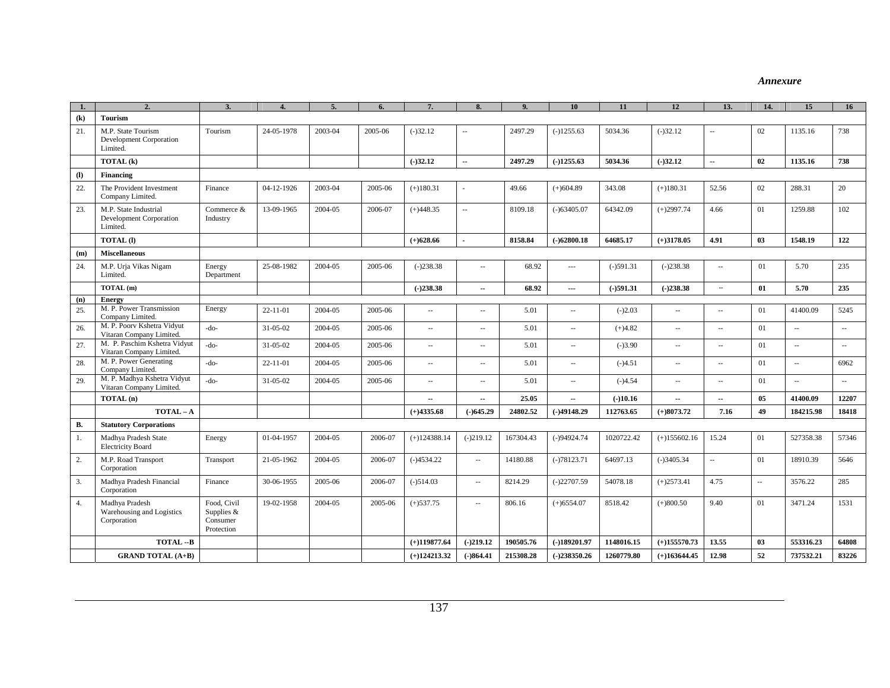#### *Annexure*

|                            | $\overline{2}$                                               | 3                                                   |                | 5.      | 6       |                | $\mathbf{8}$             | $\mathbf Q$ | 10                       | 11          | 12             | 13.                         | 14.    | 15                          | 16                          |
|----------------------------|--------------------------------------------------------------|-----------------------------------------------------|----------------|---------|---------|----------------|--------------------------|-------------|--------------------------|-------------|----------------|-----------------------------|--------|-----------------------------|-----------------------------|
| $\left( \mathbf{k}\right)$ | <b>Tourism</b>                                               |                                                     |                |         |         |                |                          |             |                          |             |                |                             |        |                             |                             |
| 21.                        | M.P. State Tourism<br>Development Corporation<br>Limited.    | Tourism                                             | 24-05-1978     | 2003-04 | 2005-06 | $(-)32.12$     | $\sim$                   | 2497.29     | $(-)1255.63$             | 5034.36     | $(-)32.12$     | $\sim$                      | 02     | 1135.16                     | 738                         |
|                            | TOTAL (k)                                                    |                                                     |                |         |         | $(-)32.12$     | $\sim$                   | 2497.29     | $( - )1255.63$           | 5034.36     | (.)32.12       | $\sim$                      | 02     | 1135.16                     | 738                         |
| $\left( \mathbf{l}\right)$ | <b>Financing</b>                                             |                                                     |                |         |         |                |                          |             |                          |             |                |                             |        |                             |                             |
| 22.                        | The Provident Investment<br>Company Limited.                 | Finance                                             | 04-12-1926     | 2003-04 | 2005-06 | $(+)180.31$    |                          | 49.66       | $(+)604.89$              | 343.08      | $(+)180.31$    | 52.56                       | 02     | 288.31                      | 20                          |
| 23.                        | M.P. State Industrial<br>Development Corporation<br>Limited. | Commerce &<br>Industry                              | 13-09-1965     | 2004-05 | 2006-07 | $(+)448.35$    | $\sim$                   | 8109.18     | $(-)63405.07$            | 64342.09    | $(+)2997.74$   | 4.66                        | 01     | 1259.88                     | 102                         |
|                            | <b>TOTAL</b> (1)                                             |                                                     |                |         |         | $(+)628.66$    |                          | 8158.84     | $(-)62800.18$            | 64685.17    | $(+)3178.05$   | 4.91                        | 03     | 1548.19                     | 122                         |
| (m)                        | <b>Miscellaneous</b>                                         |                                                     |                |         |         |                |                          |             |                          |             |                |                             |        |                             |                             |
| 24.                        | M.P. Urja Vikas Nigam<br>Limited.                            | Energy<br>Department                                | 25-08-1982     | 2004-05 | 2005-06 | $(-)238.38$    | $\sim$ $\sim$            | 68.92       | $\sim$ $\sim$            | $(-)591.31$ | $(-)238.38$    | $\sim$ $\sim$               | 01     | 5.70                        | 235                         |
|                            | TOTAL (m)                                                    |                                                     |                |         |         | $(-)238.38$    | $\sim$                   | 68.92       | $\sim$                   | $(-)591.31$ | $(-)238.38$    |                             | 01     | 5.70                        | 235                         |
| (n)                        | <b>Energy</b>                                                |                                                     |                |         |         |                |                          |             |                          |             |                |                             |        |                             |                             |
| 25.                        | M. P. Power Transmission<br>Company Limited.                 | Energy                                              | $22 - 11 - 01$ | 2004-05 | 2005-06 | $\sim$         | $\sim$                   | 5.01        | $\overline{\phantom{a}}$ | $(-)2.03$   | ÷.             | $\sim$                      | 01     | 41400.09                    | 5245                        |
| 26.                        | M. P. Poorv Kshetra Vidyut<br>Vitaran Company Limited.       | $-do-$                                              | 31-05-02       | 2004-05 | 2005-06 | $\sim$         | $\sim$ $-$               | 5.01        | $\ldots$                 | $(+)4.82$   | $\sim$         | $\sim$                      | 01     | $\mathcal{L}_{\mathcal{A}}$ | $\mathcal{L}_{\mathcal{A}}$ |
| 27.                        | M. P. Paschim Kshetra Vidyut<br>Vitaran Company Limited.     | $-do-$                                              | 31-05-02       | 2004-05 | 2005-06 | $\sim$         | $\overline{\phantom{a}}$ | 5.01        | $\overline{\phantom{a}}$ | $(-)3.90$   | $\sim$         | $\sim$                      | 01     | $\mathcal{L}_{\mathcal{A}}$ | $\mathcal{L}_{\mathcal{A}}$ |
| 28.                        | M. P. Power Generating<br>Company Limited                    | -do-                                                | $22 - 11 - 01$ | 2004-05 | 2005-06 | $\sim$         | $\sim$                   | 5.01        | $\overline{\phantom{a}}$ | $(-)4.51$   | $\sim$         | $\sim$                      | 01     | $\bar{\phantom{a}}$         | 6962                        |
| 29.                        | M. P. Madhya Kshetra Vidyut<br>Vitaran Company Limited.      | $-do-$                                              | 31-05-02       | 2004-05 | 2005-06 | $\sim$ $\sim$  | $\sim$                   | 5.01        | $\overline{\phantom{a}}$ | $(-)4.54$   | $\sim$         | $\sim$                      | 01     | $\mathcal{L}_{\mathcal{A}}$ | $\mathcal{L}_{\mathcal{A}}$ |
|                            | TOTAL (n)                                                    |                                                     |                |         |         | $\sim$         | $\sim$                   | 25.05       | $\sim$                   | $(-)10.16$  | $\sim$         | $\overline{\phantom{a}}$    | 05     | 41400.09                    | 12207                       |
|                            | TOTAL-A                                                      |                                                     |                |         |         | $(+)4335.68$   | $(-)645.29$              | 24802.52    | $(-)49148.29$            | 112763.65   | $(+)8073.72$   | 7.16                        | 49     | 184215.98                   | 18418                       |
| <b>B.</b>                  | <b>Statutory Corporations</b>                                |                                                     |                |         |         |                |                          |             |                          |             |                |                             |        |                             |                             |
| 1.                         | Madhya Pradesh State<br><b>Electricity Board</b>             | Energy                                              | 01-04-1957     | 2004-05 | 2006-07 | $(+)124388.14$ | $(-)219.12$              | 167304.43   | $(-)94924.74$            | 1020722.42  | $(+)155602.16$ | 15.24                       | 01     | 527358.38                   | 57346                       |
| 2.                         | M.P. Road Transport<br>Corporation                           | Transport                                           | 21-05-1962     | 2004-05 | 2006-07 | $(-)4534.22$   | $\overline{\phantom{a}}$ | 14180.88    | $(-)78123.71$            | 64697.13    | $(-)3405.34$   | $\mathcal{L}_{\mathcal{A}}$ | 01     | 18910.39                    | 5646                        |
| 3.                         | Madhya Pradesh Financial<br>Corporation                      | Finance                                             | 30-06-1955     | 2005-06 | 2006-07 | $(-)514.03$    | $\sim$                   | 8214.29     | $(-)22707.59$            | 54078.18    | $(+)2573.41$   | 4.75                        | $\sim$ | 3576.22                     | 285                         |
| 4.                         | Madhya Pradesh<br>Warehousing and Logistics<br>Corporation   | Food, Civil<br>Supplies &<br>Consumer<br>Protection | 19-02-1958     | 2004-05 | 2005-06 | $(+)$ 537.75   | $\sim$                   | 806.16      | $(+)6554.07$             | 8518.42     | $(+)800.50$    | 9.40                        | 01     | 3471.24                     | 1531                        |
|                            | TOTAL-B                                                      |                                                     |                |         |         | $(+)119877.64$ | $(-)219.12$              | 190505.76   | $(-)189201.97$           | 1148016.15  | $(+)155570.73$ | 13.55                       | 03     | 553316.23                   | 64808                       |
|                            | <b>GRAND TOTAL (A+B)</b>                                     |                                                     |                |         |         | $(+)124213.32$ | $(-)864.41$              | 215308.28   | $(-)238350.26$           | 1260779.80  | $(+)163644.45$ | 12.98                       | 52     | 737532.21                   | 83226                       |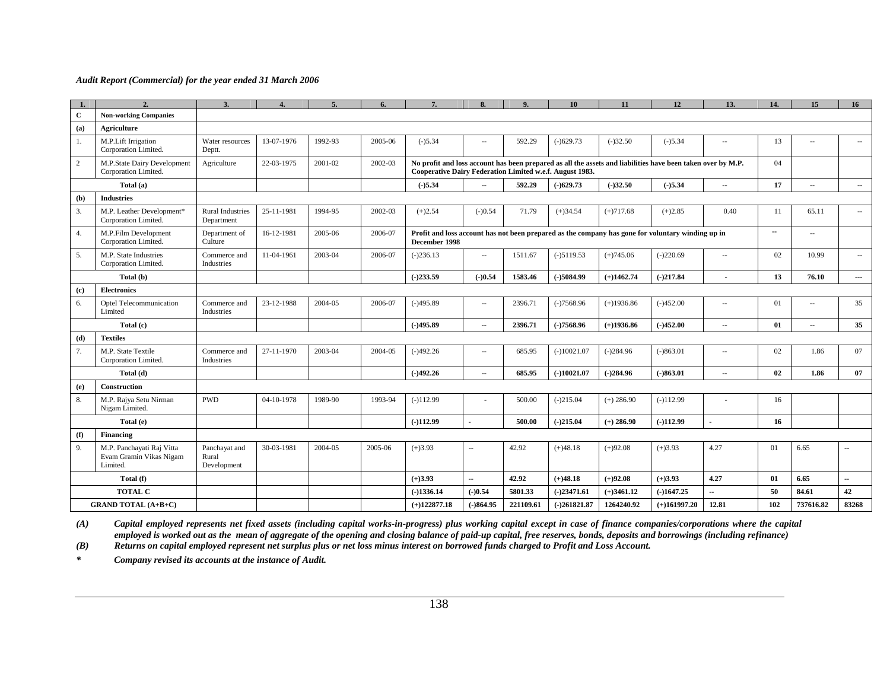|                | 2.                                                               | 3.                                    |            | 5.      | 6.      | 7.                                                       | 8                        | 9.        | 10             | 11           | 12                                                                                                          | 13.                      | 14.    | 15             | 16                       |
|----------------|------------------------------------------------------------------|---------------------------------------|------------|---------|---------|----------------------------------------------------------|--------------------------|-----------|----------------|--------------|-------------------------------------------------------------------------------------------------------------|--------------------------|--------|----------------|--------------------------|
| $\mathbf{C}$   | <b>Non-working Companies</b>                                     |                                       |            |         |         |                                                          |                          |           |                |              |                                                                                                             |                          |        |                |                          |
| (a)            | Agriculture                                                      |                                       |            |         |         |                                                          |                          |           |                |              |                                                                                                             |                          |        |                |                          |
| 1.             | M.P.Lift Irrigation<br>Corporation Limited.                      | Water resources<br>Deptt.             | 13-07-1976 | 1992-93 | 2005-06 | $(-)5.34$                                                | $\sim$                   | 592.29    | $(-)629.73$    | $(-)32.50$   | $(-)5.34$                                                                                                   | $\sim$ $\sim$            | 13     |                | $\sim$                   |
| $\overline{2}$ | M.P.State Dairy Development<br>Corporation Limited.              | Agriculture                           | 22-03-1975 | 2001-02 | 2002-03 | Cooperative Dairy Federation Limited w.e.f. August 1983. |                          |           |                |              | No profit and loss account has been prepared as all the assets and liabilities have been taken over by M.P. |                          | 04     |                |                          |
|                | Total (a)                                                        |                                       |            |         |         | $( - )5.34$                                              | $\sim$                   | 592.29    | $(-)629.73$    | $( - )32.50$ | $(-)5.34$                                                                                                   | ۵.                       | 17     | $\overline{a}$ | $\sim$                   |
| (b)            | <b>Industries</b>                                                |                                       |            |         |         |                                                          |                          |           |                |              |                                                                                                             |                          |        |                |                          |
| 3.             | M.P. Leather Development*<br>Corporation Limited.                | <b>Rural Industries</b><br>Department | 25-11-1981 | 1994-95 | 2002-03 | $(+)2.54$                                                | $(-)0.54$                | 71.79     | $(+)34.54$     | $(+)717.68$  | $(+)2.85$                                                                                                   | 0.40                     | 11     | 65.11          | $\sim$                   |
| 4.             | M.P.Film Development<br>Corporation Limited.                     | Department of<br>Culture              | 16-12-1981 | 2005-06 | 2006-07 | December 1998                                            |                          |           |                |              | Profit and loss account has not been prepared as the company has gone for voluntary winding up in           |                          | $\sim$ | $\sim$         |                          |
| 5.             | M.P. State Industries<br>Corporation Limited.                    | Commerce and<br>Industries            | 11-04-1961 | 2003-04 | 2006-07 | $(-)236.13$                                              | $\overline{\phantom{a}}$ | 1511.67   | $(-)$ 5119.53  | $(+)745.06$  | $(-)220.69$                                                                                                 | $\overline{\phantom{a}}$ | 02     | 10.99          | $\sim$                   |
|                | Total (b)                                                        |                                       |            |         |         | $(-)233.59$                                              | $( -)0.54$               | 1583.46   | $(-)5084.99$   | $(+)1462.74$ | $(-)217.84$                                                                                                 |                          | 13     | 76.10          | $\sim$                   |
| (c)            | <b>Electronics</b>                                               |                                       |            |         |         |                                                          |                          |           |                |              |                                                                                                             |                          |        |                |                          |
| 6.             | Optel Telecommunication<br>Limited                               | Commerce and<br>Industries            | 23-12-1988 | 2004-05 | 2006-07 | $(-)495.89$                                              | $\overline{\phantom{a}}$ | 2396.71   | $(-)7568.96$   | $(+)1936.86$ | $(-)452.00$                                                                                                 | $\overline{\phantom{a}}$ | 01     | $\sim$         | 35                       |
|                | Total (c)                                                        |                                       |            |         |         | $(-)495.89$                                              | $\sim$                   | 2396.71   | $(-)7568.96$   | $(+)1936.86$ | $(-)452.00$                                                                                                 | $\sim$                   | 01     | $\sim$         | 35                       |
| (d)            | <b>Textiles</b>                                                  |                                       |            |         |         |                                                          |                          |           |                |              |                                                                                                             |                          |        |                |                          |
| 7.             | M.P. State Textile<br>Corporation Limited.                       | Commerce and<br>Industries            | 27-11-1970 | 2003-04 | 2004-05 | $(-)492.26$                                              | $\sim$                   | 685.95    | $(-10021.07$   | $(-)284.96$  | $(-)863.01$                                                                                                 | $\sim$ $\sim$            | 02     | 1.86           | 07                       |
|                | Total (d)                                                        |                                       |            |         |         | $(-)492.26$                                              | $\sim$                   | 685.95    | $(-10021.07$   | $(-)284.96$  | $(-)863.01$                                                                                                 | $\sim$ $\sim$            | 02     | 1.86           | 07                       |
| (e)            | Construction                                                     |                                       |            |         |         |                                                          |                          |           |                |              |                                                                                                             |                          |        |                |                          |
| 8.             | M.P. Rajya Setu Nirman<br>Nigam Limited.                         | <b>PWD</b>                            | 04-10-1978 | 1989-90 | 1993-94 | $(-)112.99$                                              |                          | 500.00    | $(-)215.04$    | $(+) 286.90$ | $(-)112.99$                                                                                                 |                          | 16     |                |                          |
|                | Total (e)                                                        |                                       |            |         |         | $(-)112.99$                                              |                          | 500.00    | $(-)215.04$    | $(+) 286.90$ | $(-)112.99$                                                                                                 |                          | 16     |                |                          |
| (f)            | Financing                                                        |                                       |            |         |         |                                                          |                          |           |                |              |                                                                                                             |                          |        |                |                          |
| 9.             | M.P. Panchayati Raj Vitta<br>Evam Gramin Vikas Nigam<br>Limited. | Panchayat and<br>Rural<br>Development | 30-03-1981 | 2004-05 | 2005-06 | $(+)3.93$                                                | $\sim$                   | 42.92     | $(+)48.18$     | $(+)92.08$   | $(+)3.93$                                                                                                   | 4.27                     | 01     | 6.65           | $\overline{\phantom{a}}$ |
|                | Total (f)                                                        |                                       |            |         |         | $(+)3.93$                                                | $\sim$                   | 42.92     | $(+)48.18$     | $(+)92.08$   | $(+)3.93$                                                                                                   | 4.27                     | 01     | 6.65           | $\mathbf{u}$             |
|                | <b>TOTAL C</b>                                                   |                                       |            |         |         | $(-)1336.14$                                             | $( - )0.54$              | 5801.33   | $(-)23471.61$  | $(+)3461.12$ | $( -)1647.25$                                                                                               | н.                       | 50     | 84.61          | 42                       |
|                | <b>GRAND TOTAL (A+B+C)</b>                                       |                                       |            |         |         | $(+)122877.18$                                           | $(-)864.95$              | 221109.61 | $(-)261821.87$ | 1264240.92   | $(+)161997.20$                                                                                              | 12.81                    | 102    | 737616.82      | 83268                    |

*(A) Capital employed represents net fixed assets (including capital works-in-progress) plus working capital except in case of finance companies/corporations where the capital employed is worked out as the mean of aggregate of the opening and closing balance of paid-up capital, free reserves, bonds, deposits and borrowings (including refinance)* 

*(B) Returns on capital employed represent net surplus plus or net loss minus interest on borrowed funds charged to Profit and Loss Account.* 

*\* Company revised its accounts at the instance of Audit.*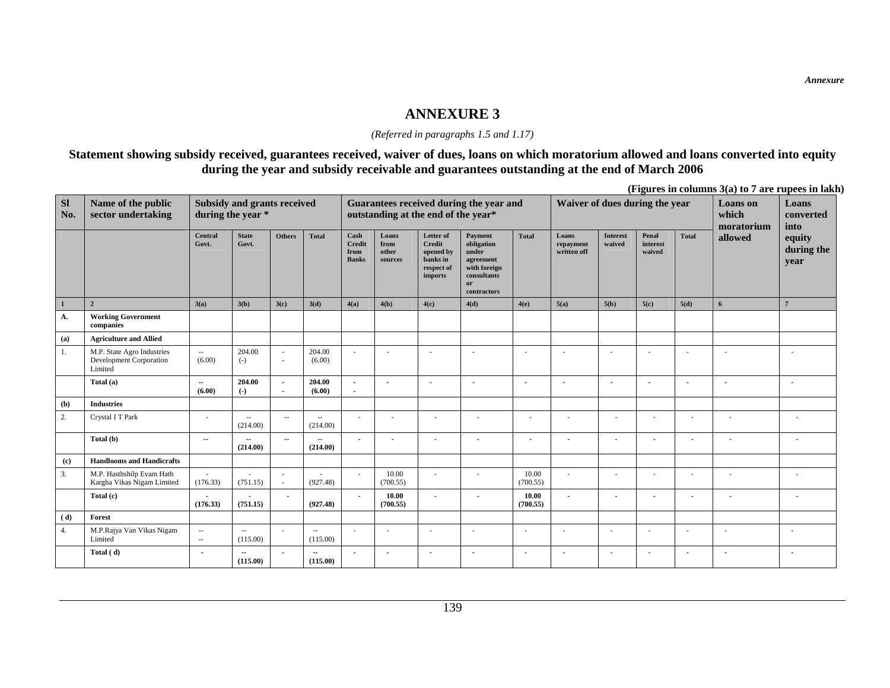#### *(Referred in paragraphs 1.5 and 1.17)*

### **Statement showing subsidy received, guarantees received, waiver of dues, loans on which moratorium allowed and loans converted into equity during the year and subsidy receivable and guarantees outstanding at the end of March 2006**

**(Figures in columns 3(a) to 7 are rupees in lakh)** 

| <b>SI</b><br>No. | Name of the public<br>sector undertaking                         |                                    | Subsidy and grants received<br>during the year * |                                                      |                            |                                               |                                   | outstanding at the end of the year*                                          | Guarantees received during the year and                                                         |                          | Waiver of dues during the year    |                           |                             |                | <b>Loans</b> on<br>which<br>moratorium | Loans<br>converted<br>into   |
|------------------|------------------------------------------------------------------|------------------------------------|--------------------------------------------------|------------------------------------------------------|----------------------------|-----------------------------------------------|-----------------------------------|------------------------------------------------------------------------------|-------------------------------------------------------------------------------------------------|--------------------------|-----------------------------------|---------------------------|-----------------------------|----------------|----------------------------------------|------------------------------|
|                  |                                                                  | Central<br>Govt.                   | <b>State</b><br>Govt.                            | <b>Others</b>                                        | <b>Total</b>               | Cash<br><b>Credit</b><br>from<br><b>Banks</b> | Loans<br>from<br>other<br>sources | Letter of<br>Credit<br>opened by<br>banks in<br>respect of<br><i>imports</i> | Payment<br>obligation<br>under<br>agreement<br>with foreign<br>consultants<br>or<br>contractors | <b>Total</b>             | Loans<br>repayment<br>written off | <b>Interest</b><br>waived | Penal<br>interest<br>waived | <b>Total</b>   | allowed                                | equity<br>during the<br>year |
| $\mathbf{1}$     | $\overline{2}$                                                   | 3(a)                               | 3(b)                                             | 3(c)                                                 | 3(d)                       | 4(a)                                          | 4(b)                              | 4(c)                                                                         | 4(d)                                                                                            | 4(e)                     | 5(a)                              | 5(b)                      | 5(c)                        | 5(d)           | 6                                      | $\overline{7}$               |
| A.               | <b>Working Government</b><br>companies                           |                                    |                                                  |                                                      |                            |                                               |                                   |                                                                              |                                                                                                 |                          |                                   |                           |                             |                |                                        |                              |
| (a)              | <b>Agriculture and Allied</b>                                    |                                    |                                                  |                                                      |                            |                                               |                                   |                                                                              |                                                                                                 |                          |                                   |                           |                             |                |                                        |                              |
| 1.               | M.P. State Agro Industries<br>Development Corporation<br>Limited | $\overline{\phantom{a}}$<br>(6.00) | 204.00<br>$(-)$                                  | $\overline{\phantom{a}}$<br>$\overline{\phantom{a}}$ | 204.00<br>(6.00)           |                                               |                                   |                                                                              | ÷                                                                                               | ×                        | $\sim$                            |                           | ٠                           |                | ٠                                      |                              |
|                  | Total (a)                                                        | $\sim$<br>(6.00)                   | 204.00<br>$\left( -\right)$                      | $\overline{\phantom{a}}$<br>$\blacksquare$           | 204.00<br>(6.00)           | $\overline{\phantom{a}}$                      |                                   |                                                                              | $\overline{\phantom{a}}$                                                                        | $\overline{\phantom{a}}$ |                                   |                           |                             |                |                                        |                              |
| (b)              | <b>Industries</b>                                                |                                    |                                                  |                                                      |                            |                                               |                                   |                                                                              |                                                                                                 |                          |                                   |                           |                             |                |                                        |                              |
| 2.               | Crystal I T Park                                                 |                                    | $\overline{\phantom{a}}$<br>(214.00)             | $\overline{\phantom{a}}$                             | $\overline{a}$<br>(214.00) |                                               |                                   |                                                                              | ٠                                                                                               |                          |                                   |                           | ÷                           |                |                                        |                              |
|                  | Total (b)                                                        | $\sim$                             | $\overline{\phantom{a}}$<br>(214.00)             | $\sim$                                               | $\overline{a}$<br>(214.00) | $\sim$                                        |                                   |                                                                              | $\blacksquare$                                                                                  | $\overline{a}$           |                                   | $\overline{\phantom{a}}$  | $\overline{a}$              | $\sim$         | $\overline{\phantom{a}}$               | $\overline{\phantom{a}}$     |
| (c)              | <b>Handlooms and Handicrafts</b>                                 |                                    |                                                  |                                                      |                            |                                               |                                   |                                                                              |                                                                                                 |                          |                                   |                           |                             |                |                                        |                              |
| 3.               | M.P. Hasthshilp Evam Hath<br>Kargha Vikas Nigam Limited          | $\sim$<br>(176.33)                 | (751.15)                                         | $\overline{\phantom{a}}$<br>$\sim$                   | (927.48)                   |                                               | 10.00<br>(700.55)                 |                                                                              | ٠                                                                                               | 10.00<br>(700.55)        | ٠                                 |                           | ٠                           |                | ä,                                     |                              |
|                  | Total (c)                                                        | (176.33)                           | (751.15)                                         | $\sim$                                               | (927.48)                   |                                               | 10.00<br>(700.55)                 | $\overline{\phantom{a}}$                                                     | $\overline{a}$                                                                                  | 10.00<br>(700.55)        | $\overline{\phantom{a}}$          |                           | $\overline{\phantom{a}}$    |                | ٠                                      |                              |
| (d)              | Forest                                                           |                                    |                                                  |                                                      |                            |                                               |                                   |                                                                              |                                                                                                 |                          |                                   |                           |                             |                |                                        |                              |
| 4.               | M.P.Rajya Van Vikas Nigam<br>Limited                             | $\sim$<br>$\overline{\phantom{a}}$ | $\overline{\phantom{a}}$<br>(115.00)             | $\overline{\phantom{a}}$                             | $\sim$<br>(115.00)         |                                               |                                   |                                                                              |                                                                                                 |                          |                                   |                           | ٠                           |                |                                        |                              |
|                  | Total (d)                                                        | $\blacksquare$                     | $\sim$<br>(115.00)                               | $\blacksquare$                                       | $\sim$<br>(115.00)         | $\overline{\phantom{a}}$                      | $\overline{\phantom{a}}$          |                                                                              | $\blacksquare$                                                                                  | $\blacksquare$           | $\overline{\phantom{a}}$          |                           | $\blacksquare$              | $\blacksquare$ | $\overline{\phantom{a}}$               | $\blacksquare$               |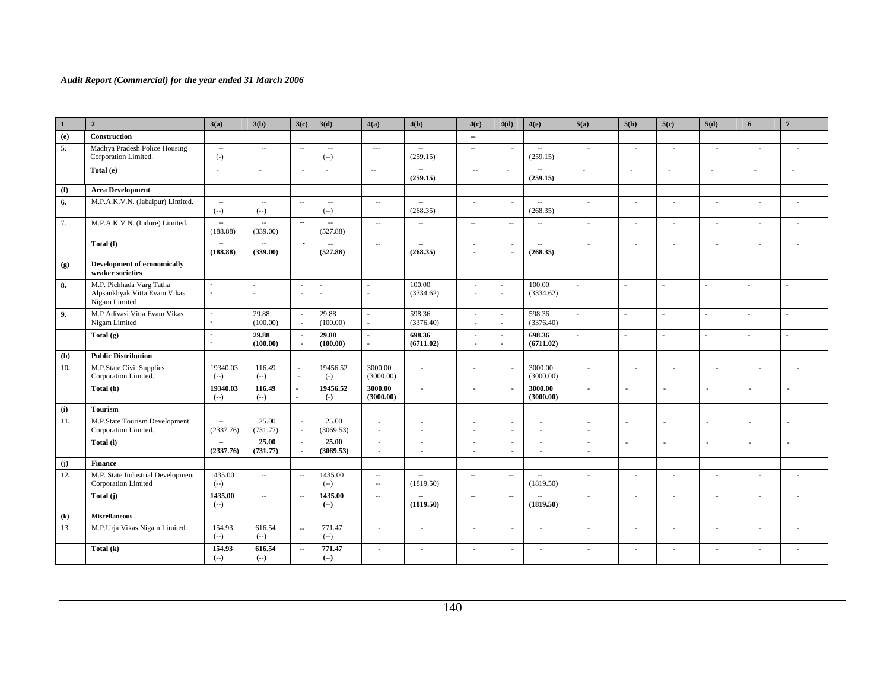| $\mathbf{1}$ | $\overline{2}$                                                            | 3(a)                                  | 3(b)                                 | 3(c)                               | 3(d)                                 | 4(a)                               | 4(b)                                 | 4(c)                             | 4(d)                             | 4(e)                                 | 5(a)                             | 5(b)                     | 5(c)                     | 5(d)                     | 6                        | $7\phantom{.0}$ |
|--------------|---------------------------------------------------------------------------|---------------------------------------|--------------------------------------|------------------------------------|--------------------------------------|------------------------------------|--------------------------------------|----------------------------------|----------------------------------|--------------------------------------|----------------------------------|--------------------------|--------------------------|--------------------------|--------------------------|-----------------|
| (e)          | Construction                                                              |                                       |                                      |                                    |                                      |                                    |                                      | $\sim$                           |                                  |                                      |                                  |                          |                          |                          |                          |                 |
| 5.           | Madhya Pradesh Police Housing<br>Corporation Limited.                     | $\sim$<br>$(-)$                       | $\sim$ $\sim$                        | $\sim$                             | $\overline{\phantom{a}}$<br>$(-)$    | $\cdots$                           | $\overline{\phantom{a}}$<br>(259.15) | $\overline{\phantom{a}}$         | $\sim$                           | $\sim$<br>(259.15)                   | ٠                                | ×.                       | $\sim$                   | $\sim$                   | ÷.                       |                 |
|              | Total (e)                                                                 | $\sim$                                | $\overline{a}$                       | $\overline{\phantom{a}}$           | $\blacksquare$                       | $\sim$                             | $\overline{\phantom{a}}$<br>(259.15) | $\sim$                           |                                  | (259.15)                             | $\overline{\phantom{a}}$         |                          | $\blacksquare$           |                          | $\blacksquare$           |                 |
| (f)          | <b>Area Development</b>                                                   |                                       |                                      |                                    |                                      |                                    |                                      |                                  |                                  |                                      |                                  |                          |                          |                          |                          |                 |
| 6.           | M.P.A.K.V.N. (Jabalpur) Limited.                                          | $\sim$<br>$(-)$                       | $\overline{\phantom{a}}$<br>$(--)$   | $\overline{\phantom{a}}$           | $\overline{\phantom{a}}$<br>$(-)$    | $\overline{\phantom{a}}$           | $\overline{\phantom{a}}$<br>(268.35) | $\sim$                           |                                  | $\sim$<br>(268.35)                   | ٠                                | $\sim$                   | $\sim$                   | $\sim$                   | $\sim$                   |                 |
| 7.           | M.P.A.K.V.N. (Indore) Limited.                                            | $\sim$<br>(188.88)                    | $\overline{\phantom{a}}$<br>(339.00) | $\sim$                             | $\overline{\phantom{a}}$<br>(527.88) | $\overline{\phantom{a}}$           | $\overline{\phantom{a}}$             | $\overline{\phantom{a}}$         | $\overline{\phantom{a}}$         | $\overline{\phantom{a}}$             | $\overline{\phantom{a}}$         | $\overline{\phantom{a}}$ | $\overline{\phantom{a}}$ | $\sim$                   | $\sim$                   | $\sim$          |
|              | Total (f)                                                                 | $\sim$<br>(188.88)                    | $\sim$<br>(339.00)                   | $\overline{\phantom{a}}$           | $\overline{a}$<br>(527.88)           | $\sim$                             | $\sim$<br>(268.35)                   | $\blacksquare$<br>$\blacksquare$ | $\blacksquare$                   | $\overline{\phantom{a}}$<br>(268.35) | $\blacksquare$                   | $\blacksquare$           | $\blacksquare$           | $\sim$                   | $\blacksquare$           | $\blacksquare$  |
| (g)          | Development of economically<br>weaker societies                           |                                       |                                      |                                    |                                      |                                    |                                      |                                  |                                  |                                      |                                  |                          |                          |                          |                          |                 |
| 8.           | M.P. Pichhada Varg Tatha<br>Alpsankhyak Vitta Evam Vikas<br>Nigam Limited | $\overline{\phantom{a}}$<br>ä,        | ÷.                                   | $\sim$<br>$\sim$                   | ä,<br>×,                             | ÷,                                 | 100.00<br>(3334.62)                  | ÷.<br>$\sim$                     | ÷<br>$\mathcal{L}^{\mathcal{A}}$ | 100.00<br>(3334.62)                  |                                  | ÷.                       | ÷.                       | ÷,                       | ÷                        | $\mathbf{r}$    |
| 9.           | M.P Adivasi Vitta Evam Vikas<br>Nigam Limited                             | $\sim$                                | 29.88<br>(100.00)                    | $\sim$<br>$\overline{\phantom{a}}$ | 29.88<br>(100.00)                    | $\sim$<br>à.                       | 598.36<br>(3376.40)                  | $\sim$<br>$\sim$                 | $\sim$<br>$\sim$                 | 598.36<br>(3376.40)                  | ÷                                | ä,                       | ×.                       | ٠                        |                          | ÷               |
|              | Total $(g)$                                                               | $\sim$<br>$\overline{a}$              | 29.88<br>(100.00)                    | $\sim$<br>$\overline{a}$           | 29.88<br>(100.00)                    | $\mathbf{r}$<br>$\overline{a}$     | 698.36<br>(6711.02)                  | $\blacksquare$<br>$\sim$         | $\sim$<br>$\sim$                 | 698.36<br>(6711.02)                  | $\overline{a}$                   | $\blacksquare$           | $\sim$                   | $\overline{a}$           |                          | $\sim$          |
| (h)          | <b>Public Distribution</b>                                                |                                       |                                      |                                    |                                      |                                    |                                      |                                  |                                  |                                      |                                  |                          |                          |                          |                          |                 |
| 10.          | M.P.State Civil Supplies<br>Corporation Limited.                          | 19340.03<br>$(--)$                    | 116.49<br>$(--)$                     | ÷<br>÷                             | 19456.52<br>$(-)$                    | 3000.00<br>(3000.00)               | ÷                                    | $\sim$                           |                                  | 3000.00<br>(3000.00)                 | ÷                                | $\sim$                   | $\sim$                   | i.                       | $\overline{\phantom{a}}$ |                 |
|              | Total (h)                                                                 | 19340.03<br>$(-)$                     | 116.49<br>$(-)$                      | $\sim$                             | 19456.52<br>$\left( \cdot \right)$   | 3000.00<br>(3000.00)               | $\sim$                               | $\blacksquare$                   |                                  | 3000.00<br>(3000.00)                 | $\blacksquare$                   | $\mathbf{r}$             | $\sim$                   | $\sim$                   | $\blacksquare$           | $\blacksquare$  |
| (i)          | <b>Tourism</b>                                                            |                                       |                                      |                                    |                                      |                                    |                                      |                                  |                                  |                                      |                                  |                          |                          |                          |                          |                 |
| 11.          | M.P.State Tourism Development<br>Corporation Limited.                     | $\sim$<br>(2337.76)                   | 25.00<br>(731.77)                    | $\overline{\phantom{a}}$<br>÷.     | 25.00<br>(3069.53)                   | $\sim$<br>$\sim$                   | $\overline{a}$<br>$\sim$             | $\blacksquare$<br>$\overline{a}$ | $\sim$<br>$\sim$                 | $\overline{a}$                       | $\sim$<br>$\blacksquare$         | $\sim$                   | $\sim$                   | $\sim$                   | $\overline{\phantom{a}}$ | $\sim$          |
|              | Total (i)                                                                 | $\overline{\phantom{a}}$<br>(2337.76) | 25.00<br>(731.77)                    | $\sim$<br>$\sim$                   | 25.00<br>(3069.53)                   | $\blacksquare$<br>$\sim$           | $\blacksquare$<br>$\sim$             | $\blacksquare$<br>$\sim$         | $\sim$<br>$\sim$                 |                                      | $\blacksquare$<br>$\blacksquare$ | $\sim$                   | $\overline{a}$           | $\sim$                   | $\overline{a}$           | $\blacksquare$  |
| (j)          | <b>Finance</b>                                                            |                                       |                                      |                                    |                                      |                                    |                                      |                                  |                                  |                                      |                                  |                          |                          |                          |                          |                 |
| 12.          | M.P. State Industrial Development<br>Corporation Limited                  | 1435.00<br>$(-)$                      | $\sim$                               | $\sim$                             | 1435.00<br>$(-)$                     | $\overline{\phantom{a}}$<br>$\sim$ | $\sim$<br>(1819.50)                  | $\sim$ $\sim$                    | $\sim$                           | $\sim$<br>(1819.50)                  | $\blacksquare$                   | $\overline{\phantom{a}}$ | $\blacksquare$           |                          | $\blacksquare$           |                 |
|              | Total (j)                                                                 | 1435.00<br>$(-)$                      | $\sim$                               | $\sim$                             | 1435.00<br>$(-)$                     | $\sim$                             | $\sim$<br>(1819.50)                  | $\sim$                           | $\sim$                           | (1819.50)                            | $\blacksquare$                   | $\sim$                   | $\sim$                   | $\overline{\phantom{a}}$ | $\sim$                   |                 |
| (k)          | <b>Miscellaneous</b>                                                      |                                       |                                      |                                    |                                      |                                    |                                      |                                  |                                  |                                      |                                  |                          |                          |                          |                          |                 |
| 13.          | M.P.Urja Vikas Nigam Limited.                                             | 154.93<br>$(-)$                       | 616.54<br>$(-)$                      | $\sim$                             | 771.47<br>$(-)$                      | $\epsilon$                         | ÷,                                   | ä,                               |                                  |                                      | ä,                               | $\sim$                   | $\sim$                   | $\sim$                   | ٠                        |                 |
|              | Total (k)                                                                 | 154.93<br>$(-)$                       | 616.54<br>$(-)$                      | $\sim$                             | 771.47<br>$(-)$                      | $\overline{\phantom{a}}$           | $\blacksquare$                       | $\blacksquare$                   | $\overline{\phantom{a}}$         | $\overline{\phantom{a}}$             | $\blacksquare$                   | $\blacksquare$           | $\overline{\phantom{a}}$ | $\blacksquare$           | $\blacksquare$           | $\overline{a}$  |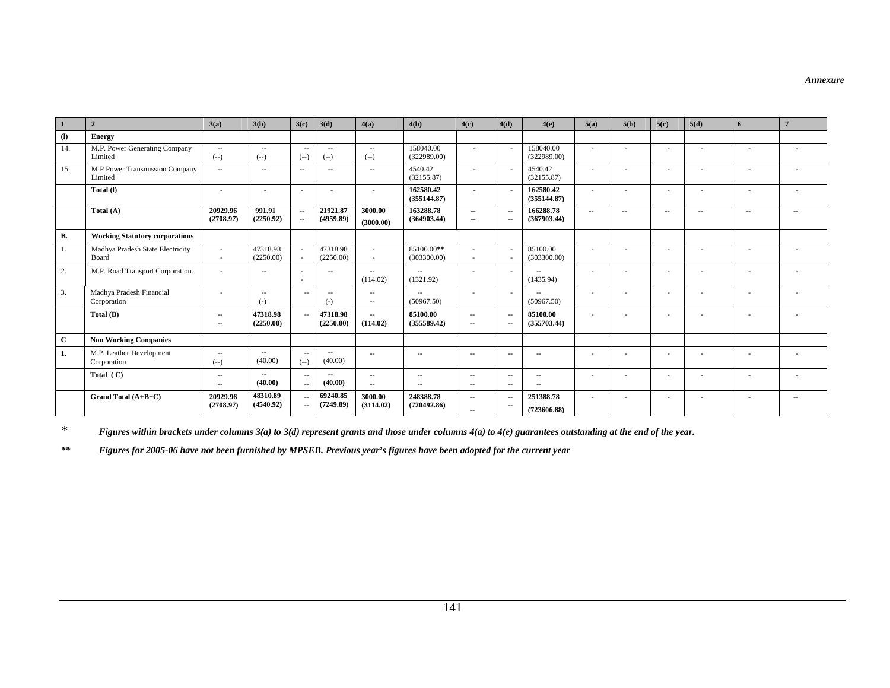*Annexure* 

| $\mathbf{1}$               | $\overline{2}$                            | 3(a)                   | 3(b)                     | 3(c)                           | 3(d)                     | 4(a)                     | 4(b)                      | 4(c)                     | 4(d)                               | 4(e)                     | 5(a)                     | 5(b)                     | 5(c)                     | 5(d)                     | 6                        | $\overline{7}$ |
|----------------------------|-------------------------------------------|------------------------|--------------------------|--------------------------------|--------------------------|--------------------------|---------------------------|--------------------------|------------------------------------|--------------------------|--------------------------|--------------------------|--------------------------|--------------------------|--------------------------|----------------|
| $\left( \mathbf{l}\right)$ | <b>Energy</b>                             |                        |                          |                                |                          |                          |                           |                          |                                    |                          |                          |                          |                          |                          |                          |                |
| 14.                        | M.P. Power Generating Company<br>Limited  | $\sim$ $\sim$<br>$(-)$ | $\sim$ $\sim$<br>$(--)$  | $\sim$ $-$<br>$(--)$           | $\sim$ $\sim$<br>$(--)$  | $\sim$ $-$<br>$(--)$     | 158040.00<br>(322989.00)  | $\sim$                   |                                    | 158040.00<br>(322989.00) | ٠                        |                          |                          |                          | $\sim$                   |                |
| 15.                        | M P Power Transmission Company<br>Limited | $\sim$ $\sim$          | $\sim$ $-$               | $\sim$ $-$                     | $\sim$ $\sim$            | $\sim$                   | 4540.42<br>(32155.87)     | $\sim$                   | $\sim$                             | 4540.42<br>(32155.87)    | $\sim$                   | ÷                        |                          |                          |                          |                |
|                            | Total (I)                                 |                        |                          | $\overline{\phantom{a}}$       |                          | $\overline{\phantom{a}}$ | 162580.42<br>(355144.87)  | $\overline{\phantom{a}}$ | $\sim$                             | 162580.42<br>(355144.87) | $\sim$                   | $\blacksquare$           |                          | ۰.                       | $\overline{\phantom{a}}$ |                |
|                            | Total (A)                                 | 20929.96<br>(2708.97)  | 991.91<br>(2250.92)      | $\sim$<br>$\sim$               | 21921.87<br>(4959.89)    | 3000.00<br>(3000.00)     | 163288.78<br>(364903.44)  | $\sim$<br>$\sim$         | $\overline{\phantom{a}}$<br>$\sim$ | 166288.78<br>(367903.44) | $\overline{\phantom{a}}$ | $\sim$                   | $\sim$                   | $\sim$                   | $\sim$                   | --             |
| В.                         | <b>Working Statutory corporations</b>     |                        |                          |                                |                          |                          |                           |                          |                                    |                          |                          |                          |                          |                          |                          |                |
| 1.                         | Madhya Pradesh State Electricity<br>Board | $\sim$                 | 47318.98<br>(2250.00)    | $\sim$                         | 47318.98<br>(2250.00)    | $\sim$                   | 85100.00**<br>(303300.00) | ٠<br>٠                   | $\sim$                             | 85100.00<br>(303300.00)  | ٠                        |                          |                          |                          |                          |                |
| 2.                         | M.P. Road Transport Corporation.          | $\sim$                 | $\sim$ $-$               | - 11                           | $\sim$ $\sim$            | $\sim$<br>(114.02)       | $\sim$<br>(1321.92)       | ٠                        | $\overline{\phantom{a}}$           | $\sim$ $-$<br>(1435.94)  | $\sim$                   | $\overline{\phantom{a}}$ |                          | $\sim$                   | $\sim$                   |                |
| 3.                         | Madhya Pradesh Financial<br>Corporation   |                        | $\sim$ $-$<br>$(-)$      | $\sim$ $-$                     | $\sim$<br>$(-)$          | $\sim$<br>$\sim$         | $\sim$<br>(50967.50)      |                          | $\sim$                             | $\sim$<br>(50967.50)     | ٠                        |                          |                          |                          |                          |                |
|                            | Total (B)                                 | $\sim$<br>$\sim$       | 47318.98<br>(2250.00)    | $\sim$                         | 47318.98<br>(2250.00)    | $\sim$<br>(114.02)       | 85100.00<br>(355589.42)   | $\sim$<br>$\sim$         | $\sim$<br>$\sim$                   | 85100.00<br>(355703.44)  | $\blacksquare$           | $\blacksquare$           |                          |                          | $\blacksquare$           |                |
| $\mathbf{C}$               | <b>Non Working Companies</b>              |                        |                          |                                |                          |                          |                           |                          |                                    |                          |                          |                          |                          |                          |                          |                |
| 1.                         | M.P. Leather Development<br>Corporation   | $\sim$ $-$<br>$(--)$   | $\sim$ $\sim$<br>(40.00) | $\sim$ $-$<br>$(- - )$         | $\sim$ $\sim$<br>(40.00) | $\sim$                   | $\sim$                    | $\sim$                   | $\sim$                             | $\sim$                   | $\blacksquare$           |                          |                          |                          |                          |                |
|                            | Total $(C)$                               | $\sim$<br>$\sim$       | $\sim$<br>(40.00)        | $\sim$<br>$\sim$               | $\sim$<br>(40.00)        | $\sim$<br>$\sim$         | $\sim$<br>$\sim$          | $\sim$<br>$\sim$         | $\sim$<br>$\sim$                   | $\sim$<br>--             | $\blacksquare$           | $\overline{\phantom{a}}$ | $\overline{\phantom{a}}$ | $\overline{\phantom{a}}$ | $\overline{\phantom{a}}$ |                |
|                            | Grand Total $(A+B+C)$                     | 20929.96<br>(2708.97)  | 48310.89<br>(4540.92)    | --<br>$\overline{\phantom{a}}$ | 69240.85<br>(7249.89)    | 3000.00<br>(3114.02)     | 248388.78<br>(720492.86)  | $\sim$<br>$\sim$         | $\sim$<br>$\sim$                   | 251388.78<br>(723606.88) | $\blacksquare$           |                          |                          |                          |                          | $\sim$         |

*\*Figures within brackets under columns 3(a) to 3(d) represent grants and those under columns 4(a) to 4(e) guarantees outstanding at the end of the year.* 

*\*\* Figures for 2005-06 have not been furnished by MPSEB. Previous year's figures have been adopted for the current year*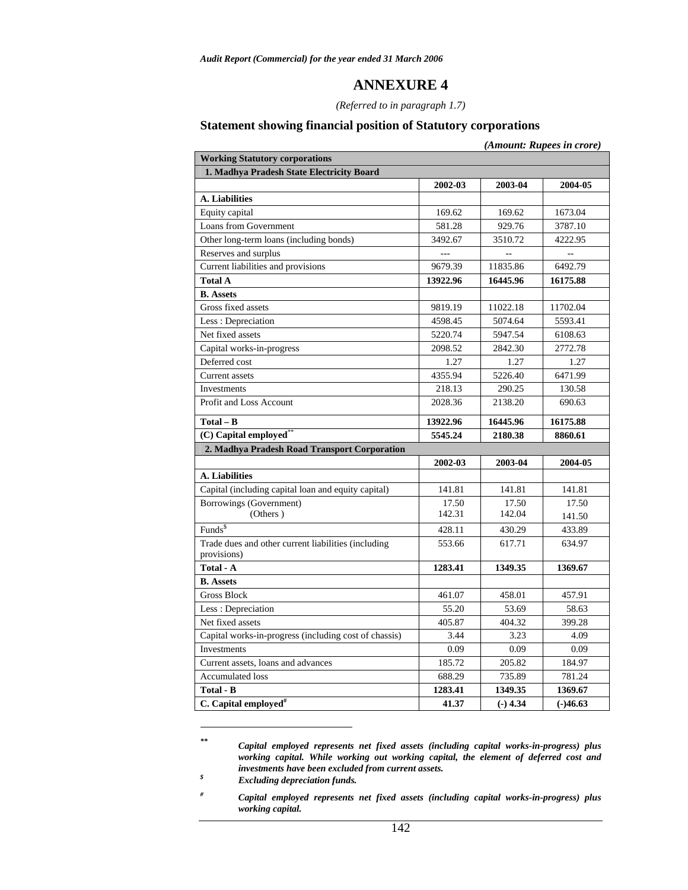#### *(Referred to in paragraph 1.7)*

# **Statement showing financial position of Statutory corporations**

|                                                                    |          |            | (Amount: Rupees in crore) |
|--------------------------------------------------------------------|----------|------------|---------------------------|
| <b>Working Statutory corporations</b>                              |          |            |                           |
| 1. Madhya Pradesh State Electricity Board                          |          |            |                           |
|                                                                    | 2002-03  | 2003-04    | 2004-05                   |
| A. Liabilities                                                     |          |            |                           |
| Equity capital                                                     | 169.62   | 169.62     | 1673.04                   |
| Loans from Government                                              | 581.28   | 929.76     | 3787.10                   |
| Other long-term loans (including bonds)                            | 3492.67  | 3510.72    | 4222.95                   |
| Reserves and surplus                                               |          |            |                           |
| Current liabilities and provisions                                 | 9679.39  | 11835.86   | 6492.79                   |
| <b>Total A</b>                                                     | 13922.96 | 16445.96   | 16175.88                  |
| <b>B.</b> Assets                                                   |          |            |                           |
| Gross fixed assets                                                 | 9819.19  | 11022.18   | 11702.04                  |
| Less: Depreciation                                                 | 4598.45  | 5074.64    | 5593.41                   |
| Net fixed assets                                                   | 5220.74  | 5947.54    | 6108.63                   |
| Capital works-in-progress                                          | 2098.52  | 2842.30    | 2772.78                   |
| Deferred cost                                                      | 1.27     | 1.27       | 1.27                      |
| Current assets                                                     | 4355.94  | 5226.40    | 6471.99                   |
| Investments                                                        | 218.13   | 290.25     | 130.58                    |
| Profit and Loss Account                                            | 2028.36  | 2138.20    | 690.63                    |
| $Total - B$                                                        | 13922.96 | 16445.96   | 16175.88                  |
| (C) Capital employed <sup>*</sup>                                  | 5545.24  | 2180.38    | 8860.61                   |
| 2. Madhya Pradesh Road Transport Corporation                       |          |            |                           |
|                                                                    | 2002-03  | 2003-04    | 2004-05                   |
| A. Liabilities                                                     |          |            |                           |
| Capital (including capital loan and equity capital)                | 141.81   | 141.81     | 141.81                    |
| Borrowings (Government)                                            | 17.50    | 17.50      | 17.50                     |
| (Others)                                                           | 142.31   | 142.04     | 141.50                    |
| Funds <sup>\$</sup>                                                | 428.11   | 430.29     | 433.89                    |
| Trade dues and other current liabilities (including<br>provisions) | 553.66   | 617.71     | 634.97                    |
| Total - A                                                          | 1283.41  | 1349.35    | 1369.67                   |
| <b>B.</b> Assets                                                   |          |            |                           |
| <b>Gross Block</b>                                                 | 461.07   | 458.01     | 457.91                    |
| Less: Depreciation                                                 | 55.20    | 53.69      | 58.63                     |
| Net fixed assets                                                   | 405.87   | 404.32     | 399.28                    |
| Capital works-in-progress (including cost of chassis)              | 3.44     | 3.23       | 4.09                      |
| Investments                                                        | 0.09     | 0.09       | 0.09                      |
| Current assets, loans and advances                                 | 185.72   | 205.82     | 184.97                    |
| <b>Accumulated loss</b>                                            | 688.29   | 735.89     | 781.24                    |
| Total - B                                                          | 1283.41  | 1349.35    | 1369.67                   |
| C. Capital employed <sup>#</sup>                                   | 41.37    | $(-)$ 4.34 | $(-)46.63$                |

*<sup>\*\*</sup> Capital employed represents net fixed assets (including capital works-in-progress) plus working capital. While working out working capital, the element of deferred cost and investments have been excluded from current assets.* 

 $\overline{a}$ 

*<sup>\$</sup> Excluding depreciation funds.* 

*<sup>#</sup> Capital employed represents net fixed assets (including capital works-in-progress) plus working capital.*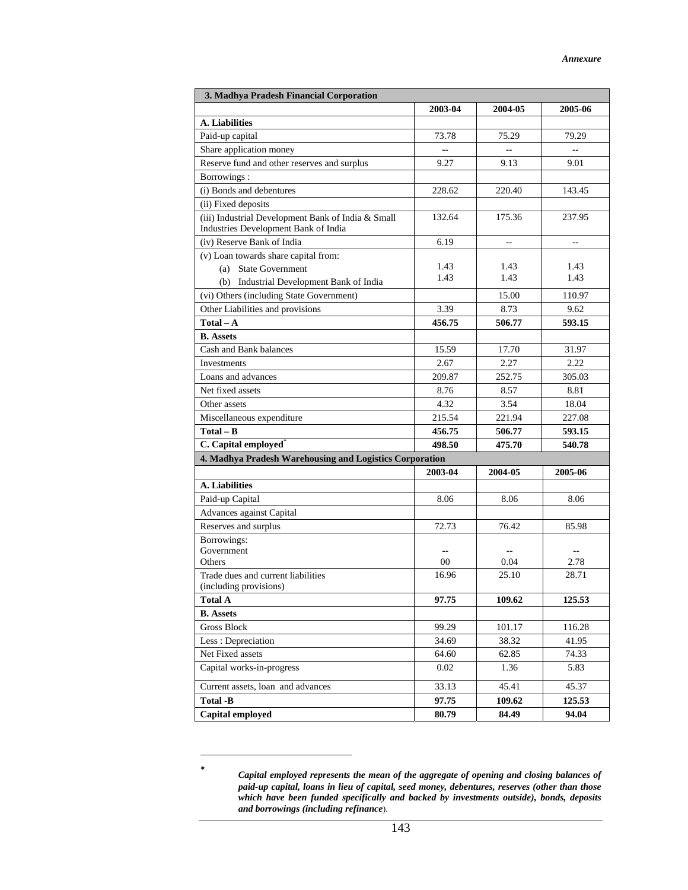| 3. Madhya Pradesh Financial Corporation                                                    |               |                        |              |  |  |  |  |  |  |  |
|--------------------------------------------------------------------------------------------|---------------|------------------------|--------------|--|--|--|--|--|--|--|
|                                                                                            | 2003-04       | 2004-05                | 2005-06      |  |  |  |  |  |  |  |
| A. Liabilities                                                                             |               |                        |              |  |  |  |  |  |  |  |
| Paid-up capital                                                                            | 73.78         | 75.29                  | 79.29        |  |  |  |  |  |  |  |
| Share application money                                                                    | $\sim$        | $\overline{a}$         | $-$          |  |  |  |  |  |  |  |
| Reserve fund and other reserves and surplus                                                | 9.27          | 9.13                   | 9.01         |  |  |  |  |  |  |  |
| Borrowings:                                                                                |               |                        |              |  |  |  |  |  |  |  |
| (i) Bonds and debentures                                                                   | 228.62        | 220.40                 | 143.45       |  |  |  |  |  |  |  |
| (ii) Fixed deposits                                                                        |               |                        |              |  |  |  |  |  |  |  |
| (iii) Industrial Development Bank of India & Small<br>Industries Development Bank of India | 132.64        | 175.36                 | 237.95       |  |  |  |  |  |  |  |
| (iv) Reserve Bank of India                                                                 | 6.19          |                        |              |  |  |  |  |  |  |  |
| (v) Loan towards share capital from:                                                       |               |                        |              |  |  |  |  |  |  |  |
| (a) State Government                                                                       | 1.43          | 1.43                   | 1.43         |  |  |  |  |  |  |  |
| (b) Industrial Development Bank of India                                                   | 1.43          | 1.43                   | 1.43         |  |  |  |  |  |  |  |
| (vi) Others (including State Government)                                                   |               | 15.00                  | 110.97       |  |  |  |  |  |  |  |
| Other Liabilities and provisions                                                           | 3.39          | 8.73                   | 9.62         |  |  |  |  |  |  |  |
| $Total - A$                                                                                | 456.75        | 506.77                 | 593.15       |  |  |  |  |  |  |  |
| <b>B.</b> Assets                                                                           |               |                        |              |  |  |  |  |  |  |  |
| Cash and Bank balances                                                                     | 15.59         | 17.70                  | 31.97        |  |  |  |  |  |  |  |
| Investments                                                                                | 2.67          | 2.27                   | 2.22         |  |  |  |  |  |  |  |
| Loans and advances                                                                         | 209.87        | 252.75                 | 305.03       |  |  |  |  |  |  |  |
| Net fixed assets                                                                           | 8.76          | 8.57                   | 8.81         |  |  |  |  |  |  |  |
| Other assets                                                                               | 4.32          | 3.54                   | 18.04        |  |  |  |  |  |  |  |
| Miscellaneous expenditure                                                                  | 215.54        | 221.94                 | 227.08       |  |  |  |  |  |  |  |
| $Total - B$                                                                                | 456.75        | 506.77                 | 593.15       |  |  |  |  |  |  |  |
| C. Capital employed*                                                                       | 498.50        | 475.70                 | 540.78       |  |  |  |  |  |  |  |
| 4. Madhya Pradesh Warehousing and Logistics Corporation                                    |               |                        |              |  |  |  |  |  |  |  |
|                                                                                            | 2003-04       | 2004-05                | 2005-06      |  |  |  |  |  |  |  |
| A. Liabilities                                                                             |               |                        |              |  |  |  |  |  |  |  |
| Paid-up Capital                                                                            | 8.06          | 8.06                   | 8.06         |  |  |  |  |  |  |  |
| Advances against Capital                                                                   |               |                        |              |  |  |  |  |  |  |  |
| Reserves and surplus                                                                       | 72.73         | 76.42                  | 85.98        |  |  |  |  |  |  |  |
| Borrowings:                                                                                |               |                        |              |  |  |  |  |  |  |  |
| Government<br>Others                                                                       | $-$<br>$00\,$ | $\overline{a}$<br>0.04 | $-1$<br>2.78 |  |  |  |  |  |  |  |
| Trade dues and current liabilities                                                         | 16.96         | 25.10                  | 28.71        |  |  |  |  |  |  |  |
| (including provisions)                                                                     |               |                        |              |  |  |  |  |  |  |  |
| <b>Total A</b>                                                                             | 97.75         | 109.62                 | 125.53       |  |  |  |  |  |  |  |
| <b>B.</b> Assets                                                                           |               |                        |              |  |  |  |  |  |  |  |
| <b>Gross Block</b>                                                                         | 99.29         | 101.17                 | 116.28       |  |  |  |  |  |  |  |
| Less: Depreciation                                                                         | 34.69         | 38.32                  | 41.95        |  |  |  |  |  |  |  |
| Net Fixed assets                                                                           | 64.60         | 62.85                  | 74.33        |  |  |  |  |  |  |  |
| Capital works-in-progress                                                                  | 0.02          | 1.36                   | 5.83         |  |  |  |  |  |  |  |
| Current assets, loan and advances                                                          | 33.13         | 45.41                  | 45.37        |  |  |  |  |  |  |  |
| <b>Total -B</b>                                                                            | 97.75         | 109.62                 | 125.53       |  |  |  |  |  |  |  |
| Capital employed                                                                           | 80.79         | 84.49                  | 94.04        |  |  |  |  |  |  |  |

*<sup>\*</sup> Capital employed represents the mean of the aggregate of opening and closing balances of paid-up capital, loans in lieu of capital, seed money, debentures, reserves (other than those which have been funded specifically and backed by investments outside), bonds, deposits and borrowings (including refinance*).

l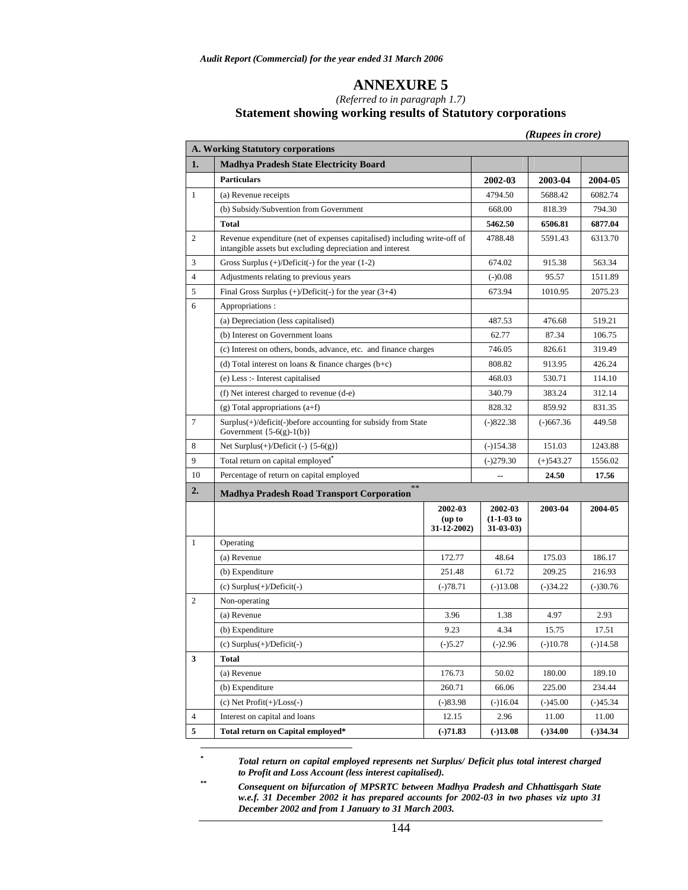#### *(Referred to in paragraph 1.7)*  **Statement showing working results of Statutory corporations**

*(Rupees in crore)* 

|                | A. Working Statutory corporations                                                                                                     |                                       |                                            |              |            |
|----------------|---------------------------------------------------------------------------------------------------------------------------------------|---------------------------------------|--------------------------------------------|--------------|------------|
| 1.             | <b>Madhya Pradesh State Electricity Board</b>                                                                                         |                                       |                                            |              |            |
|                | <b>Particulars</b>                                                                                                                    |                                       | 2002-03                                    | 2003-04      | 2004-05    |
| 1              | (a) Revenue receipts                                                                                                                  |                                       | 4794.50                                    | 5688.42      | 6082.74    |
|                | (b) Subsidy/Subvention from Government                                                                                                |                                       | 668.00                                     | 818.39       | 794.30     |
|                | <b>Total</b>                                                                                                                          |                                       | 5462.50                                    | 6506.81      | 6877.04    |
| 2              | Revenue expenditure (net of expenses capitalised) including write-off of<br>intangible assets but excluding depreciation and interest |                                       | 4788.48                                    | 5591.43      | 6313.70    |
| 3              | Gross Surplus $(+)/$ Deficit $(-)$ for the year $(1-2)$                                                                               |                                       | 674.02                                     | 915.38       | 563.34     |
| $\overline{4}$ | Adjustments relating to previous years                                                                                                |                                       | $(-)0.08$                                  | 95.57        | 1511.89    |
| 5              | Final Gross Surplus $(+)/$ Deficit $(-)$ for the year $(3+4)$                                                                         |                                       | 673.94                                     | 1010.95      | 2075.23    |
| 6              | Appropriations:                                                                                                                       |                                       |                                            |              |            |
|                | (a) Depreciation (less capitalised)                                                                                                   |                                       | 487.53                                     | 476.68       | 519.21     |
|                | (b) Interest on Government loans                                                                                                      |                                       | 62.77                                      | 87.34        | 106.75     |
|                | (c) Interest on others, bonds, advance, etc. and finance charges                                                                      |                                       | 746.05                                     | 826.61       | 319.49     |
|                | (d) Total interest on loans $\&$ finance charges (b+c)                                                                                |                                       | 808.82                                     | 913.95       | 426.24     |
|                | (e) Less :- Interest capitalised                                                                                                      |                                       | 468.03                                     | 530.71       | 114.10     |
|                | (f) Net interest charged to revenue (d-e)                                                                                             |                                       | 340.79                                     | 383.24       | 312.14     |
|                | $(g)$ Total appropriations $(a+f)$                                                                                                    |                                       | 828.32                                     | 859.92       | 831.35     |
| $\tau$         | Surplus(+)/deficit(-)before accounting for subsidy from State<br>Government $\{5-6(g)-1(b)\}\$                                        |                                       | $(-)822.38$                                | $(-)667.36$  | 449.58     |
| 8              | Net Surplus $(+)/$ Deficit $(-)$ {5-6(g)}                                                                                             |                                       | $(-)154.38$                                | 151.03       | 1243.88    |
| 9              | Total return on capital employed <sup>*</sup>                                                                                         |                                       | $(-)279.30$                                | $(+)$ 543.27 | 1556.02    |
| 10             | Percentage of return on capital employed                                                                                              |                                       |                                            | 24.50        | 17.56      |
| 2.             | $**$<br><b>Madhya Pradesh Road Transport Corporation</b>                                                                              |                                       |                                            |              |            |
|                |                                                                                                                                       | 2002-03<br>(up to<br>$31 - 12 - 2002$ | 2002-03<br>$(1-1-03)$ to<br>$31 - 03 - 03$ | 2003-04      | 2004-05    |
| $\mathbf{1}$   | Operating                                                                                                                             |                                       |                                            |              |            |
|                | (a) Revenue                                                                                                                           | 172.77                                | 48.64                                      | 175.03       | 186.17     |
|                | (b) Expenditure                                                                                                                       | 251.48                                | 61.72                                      | 209.25       | 216.93     |
|                | $(c)$ Surplus $(+)$ /Deficit $(-)$                                                                                                    | $(-)78.71$                            | $(-)13.08$                                 | $(-)34.22$   | $(-)30.76$ |
| 2              | Non-operating                                                                                                                         |                                       |                                            |              |            |
|                | (a) Revenue                                                                                                                           | 3.96                                  | 1.38                                       | 4.97         | 2.93       |
|                | (b) Expenditure                                                                                                                       | 9.23                                  | 4.34                                       | 15.75        | 17.51      |
|                | (c) Surplus(+)/Deficit(-)                                                                                                             | $(-)5.27$                             | $(-)2.96$                                  | $(-)10.78$   | $(-)14.58$ |
| 3              | Total                                                                                                                                 |                                       |                                            |              |            |
|                | (a) Revenue                                                                                                                           | 176.73                                | 50.02                                      | 180.00       | 189.10     |
|                | (b) Expenditure                                                                                                                       | 260.71                                | 66.06                                      | 225.00       | 234.44     |
|                | (c) Net $Profit(+)/Loss(-)$                                                                                                           | $(-)83.98$                            | $(-)16.04$                                 | $(-)45.00$   | $(-)45.34$ |
| $\overline{4}$ | Interest on capital and loans                                                                                                         | 12.15                                 | 2.96                                       | 11.00        | 11.00      |
| $\sqrt{5}$     | Total return on Capital employed*                                                                                                     | $(-)71.83$                            | $(-)13.08$                                 | $(-)34.00$   | $(-)34.34$ |

*\* Total return on capital employed represents net Surplus/ Deficit plus total interest charged to Profit and Loss Account (less interest capitalised).* 

 $\overline{a}$ 

*\*\* Consequent on bifurcation of MPSRTC between Madhya Pradesh and Chhattisgarh State w.e.f. 31 December 2002 it has prepared accounts for 2002-03 in two phases viz upto 31 December 2002 and from 1 January to 31 March 2003.*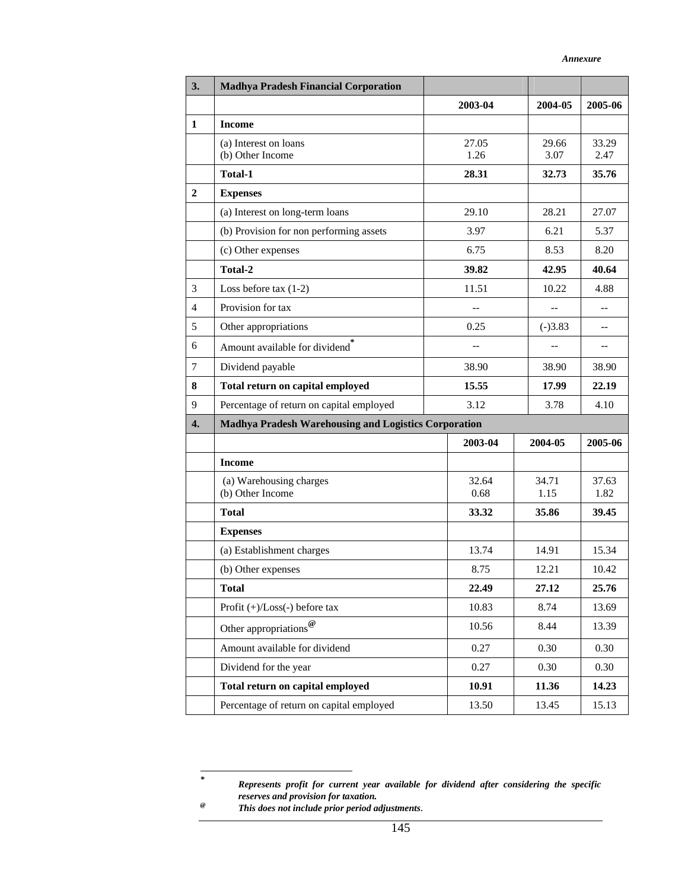| 3.             | <b>Madhya Pradesh Financial Corporation</b>                 |               |               |               |
|----------------|-------------------------------------------------------------|---------------|---------------|---------------|
|                |                                                             | 2003-04       | 2004-05       | 2005-06       |
| $\mathbf{1}$   | <b>Income</b>                                               |               |               |               |
|                | (a) Interest on loans<br>(b) Other Income                   | 27.05<br>1.26 | 29.66<br>3.07 | 33.29<br>2.47 |
|                | <b>Total-1</b>                                              | 28.31         | 32.73         | 35.76         |
| $\overline{2}$ | <b>Expenses</b>                                             |               |               |               |
|                | (a) Interest on long-term loans                             | 29.10         | 28.21         | 27.07         |
|                | (b) Provision for non performing assets                     | 3.97          | 6.21          | 5.37          |
|                | (c) Other expenses                                          | 6.75          | 8.53          | 8.20          |
|                | Total-2                                                     | 39.82         | 42.95         | 40.64         |
| 3              | Loss before tax $(1-2)$                                     | 11.51         | 10.22         | 4.88          |
| 4              | Provision for tax                                           | $-$           |               | $-$           |
| 5              | Other appropriations                                        | 0.25          | $(-)3.83$     | --            |
| 6              | Amount available for dividend                               |               |               | --            |
| $\tau$         | Dividend payable                                            | 38.90         | 38.90         | 38.90         |
| 8              | Total return on capital employed                            | 15.55         | 17.99         | 22.19         |
| 9              | Percentage of return on capital employed                    | 3.12          | 3.78          | 4.10          |
| 4.             | <b>Madhya Pradesh Warehousing and Logistics Corporation</b> |               |               |               |
|                |                                                             | 2003-04       | 2004-05       | 2005-06       |
|                | <b>Income</b>                                               |               |               |               |
|                | (a) Warehousing charges<br>(b) Other Income                 | 32.64<br>0.68 | 34.71<br>1.15 | 37.63<br>1.82 |
|                | <b>Total</b>                                                | 33.32         | 35.86         | 39.45         |
|                | <b>Expenses</b>                                             |               |               |               |
|                | (a) Establishment charges                                   | 13.74         | 14.91         | 15.34         |
|                | (b) Other expenses                                          | 8.75          | 12.21         | 10.42         |
|                | <b>Total</b>                                                | 22.49         | 27.12         | 25.76         |
|                | Profit $(+)/$ Loss $(-)$ before tax                         | 10.83         | 8.74          | 13.69         |
|                | Other appropriations $^{\textregistered}$                   | 10.56         | 8.44          | 13.39         |
|                | Amount available for dividend                               | 0.27          | 0.30          | 0.30          |
|                | Dividend for the year                                       | 0.27          | 0.30          | 0.30          |
|                | Total return on capital employed                            | 10.91         | 11.36         | 14.23         |
|                | Percentage of return on capital employed                    | 13.50         | 13.45         | 15.13         |

 $\ast$ 

*Represents profit for current year available for dividend after considering the specific reserves and provision for taxation.* 

<sup>&</sup>lt;sup>*e</sup></sup> <i>This does not include prior period adjustments.*</sup>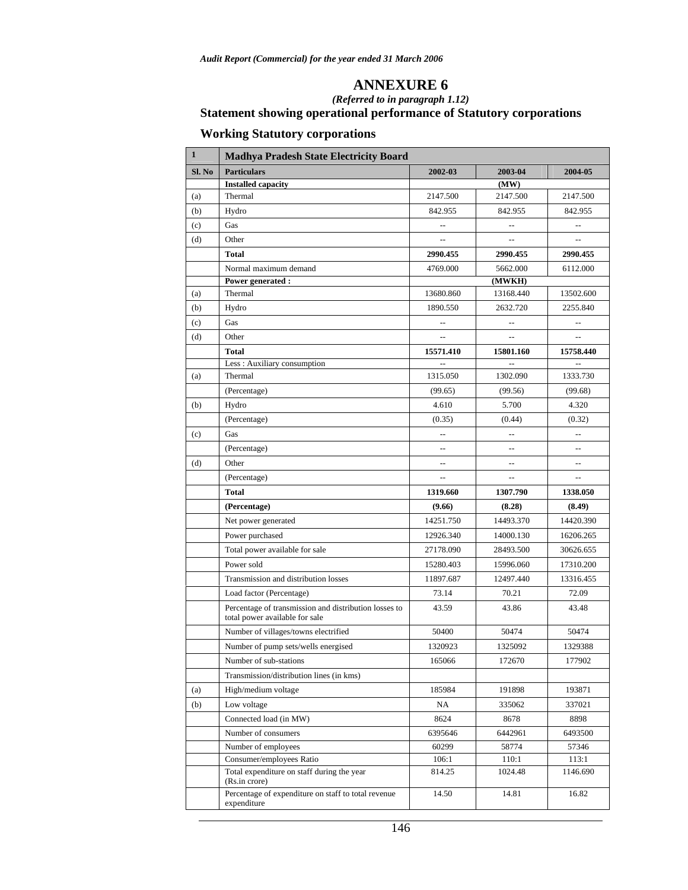### *(Referred to in paragraph 1.12)*  **Statement showing operational performance of Statutory corporations**

# **Working Statutory corporations**

| $\mathbf{1}$ | <b>Madhya Pradesh State Electricity Board</b>                                           |                                                     |                          |                          |
|--------------|-----------------------------------------------------------------------------------------|-----------------------------------------------------|--------------------------|--------------------------|
| Sl. No       | <b>Particulars</b>                                                                      | 2002-03                                             | 2003-04                  | 2004-05                  |
|              | <b>Installed capacity</b>                                                               |                                                     | (MW)                     |                          |
| (a)          | Thermal                                                                                 | 2147.500                                            | 2147.500                 | 2147.500                 |
| (b)          | Hydro                                                                                   | 842.955                                             | 842.955                  | 842.955                  |
| (c)          | Gas                                                                                     | $\overline{\phantom{a}}$                            | $\overline{\phantom{a}}$ | $\overline{\phantom{a}}$ |
| (d)          | Other                                                                                   | $\overline{\phantom{a}}$                            | $\overline{a}$           | $\overline{\phantom{a}}$ |
|              | <b>Total</b>                                                                            | 2990.455                                            | 2990.455                 | 2990.455                 |
|              | Normal maximum demand                                                                   | 4769.000                                            | 5662.000                 | 6112.000                 |
|              | Power generated:                                                                        |                                                     | (MWKH)                   |                          |
| (a)          | Thermal                                                                                 | 13680.860                                           | 13168.440                | 13502.600                |
| (b)          | Hydro                                                                                   | 1890.550                                            | 2632.720                 | 2255.840                 |
| (c)          | Gas                                                                                     | $\overline{\phantom{a}}$                            | $\overline{a}$           | $\overline{a}$           |
| (d)          | Other                                                                                   |                                                     | $\overline{a}$           | $\overline{a}$           |
|              | <b>Total</b>                                                                            | 15571.410                                           | 15801.160                | 15758.440                |
|              | Less: Auxiliary consumption                                                             | $\overline{a}$                                      | $\overline{a}$           | $\overline{a}$           |
| (a)          | Thermal                                                                                 | 1315.050                                            | 1302.090                 | 1333.730                 |
|              | (Percentage)                                                                            | (99.65)                                             | (99.56)                  | (99.68)                  |
| (b)          | Hydro                                                                                   | 4.610                                               | 5.700                    | 4.320                    |
|              | (Percentage)                                                                            | (0.35)                                              | (0.44)                   | (0.32)                   |
| (c)          | Gas                                                                                     | --                                                  | $\overline{a}$           | --                       |
|              | (Percentage)                                                                            | $\overline{\phantom{a}}$                            | --                       | --                       |
| (d)          | Other                                                                                   | $\hspace{0.05cm} -\hspace{0.05cm} -\hspace{0.05cm}$ | $\overline{\phantom{a}}$ | --                       |
|              | (Percentage)                                                                            | $\sim$                                              | $\overline{a}$           | --                       |
|              | <b>Total</b>                                                                            | 1319.660                                            | 1307.790                 | 1338.050                 |
|              | (Percentage)                                                                            | (9.66)                                              | (8.28)                   | (8.49)                   |
|              | Net power generated                                                                     | 14251.750                                           | 14493.370                | 14420.390                |
|              | Power purchased                                                                         | 12926.340                                           | 14000.130                | 16206.265                |
|              | Total power available for sale                                                          | 27178.090                                           | 28493.500                | 30626.655                |
|              | Power sold                                                                              | 15280.403                                           | 15996.060                | 17310.200                |
|              | Transmission and distribution losses                                                    | 11897.687                                           | 12497.440                | 13316.455                |
|              | Load factor (Percentage)                                                                | 73.14                                               | 70.21                    | 72.09                    |
|              | Percentage of transmission and distribution losses to<br>total power available for sale | 43.59                                               | 43.86                    | 43.48                    |
|              | Number of villages/towns electrified                                                    | 50400                                               | 50474                    | 50474                    |
|              | Number of pump sets/wells energised                                                     | 1320923                                             | 1325092                  | 1329388                  |
|              | Number of sub-stations                                                                  | 165066                                              | 172670                   | 177902                   |
|              | Transmission/distribution lines (in kms)                                                |                                                     |                          |                          |
| (a)          | High/medium voltage                                                                     | 185984                                              | 191898                   | 193871                   |
| (b)          | Low voltage                                                                             | NA                                                  | 335062                   | 337021                   |
|              | Connected load (in MW)                                                                  | 8624                                                | 8678                     | 8898                     |
|              | Number of consumers                                                                     | 6395646                                             | 6442961                  | 6493500                  |
|              | Number of employees                                                                     | 60299                                               | 58774                    | 57346                    |
|              | Consumer/employees Ratio                                                                | 106:1                                               | 110:1                    | 113:1                    |
|              | Total expenditure on staff during the year<br>(Rs.in crore)                             | 814.25                                              | 1024.48                  | 1146.690                 |
|              | Percentage of expenditure on staff to total revenue<br>expenditure                      | 14.50                                               | 14.81                    | 16.82                    |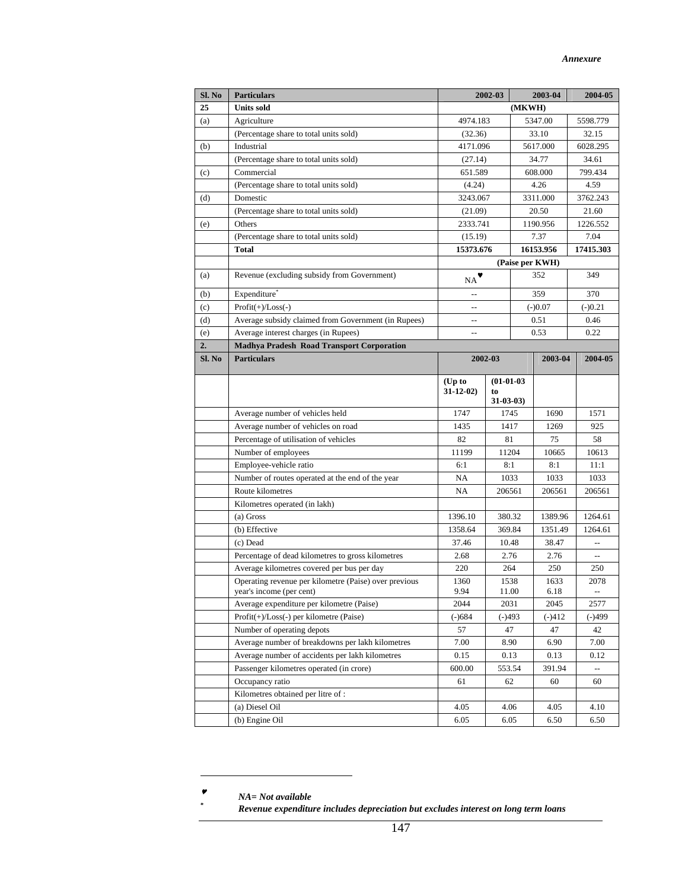| Sl. No | <b>Particulars</b>                                                                |                            | 2002-03            | 2003-04         |  | 2004-05                   |
|--------|-----------------------------------------------------------------------------------|----------------------------|--------------------|-----------------|--|---------------------------|
| 25     | <b>Units sold</b>                                                                 |                            |                    | (MKWH)          |  |                           |
| (a)    | Agriculture                                                                       | 4974.183                   |                    | 5347.00         |  | 5598.779                  |
|        | (Percentage share to total units sold)                                            | (32.36)                    |                    | 33.10           |  | 32.15                     |
| (b)    | Industrial                                                                        | 4171.096                   |                    | 5617.000        |  | 6028.295                  |
|        | (Percentage share to total units sold)                                            | (27.14)                    |                    | 34.77           |  | 34.61                     |
| (c)    | Commercial                                                                        | 651.589                    |                    | 608.000         |  | 799.434                   |
|        | (Percentage share to total units sold)                                            | (4.24)                     |                    | 4.26            |  | 4.59                      |
| (d)    | Domestic                                                                          | 3243.067                   |                    | 3311.000        |  | 3762.243                  |
|        | (Percentage share to total units sold)                                            | (21.09)                    |                    | 20.50           |  | 21.60                     |
| (e)    | Others                                                                            | 2333.741                   |                    | 1190.956        |  | 1226.552                  |
|        | (Percentage share to total units sold)                                            | (15.19)                    |                    | 7.37            |  | 7.04                      |
|        | <b>Total</b>                                                                      | 15373.676                  |                    | 16153.956       |  | 17415.303                 |
|        |                                                                                   |                            |                    | (Paise per KWH) |  |                           |
| (a)    | Revenue (excluding subsidy from Government)                                       | $_{\rm NA}$                |                    | 352             |  | 349                       |
| (b)    | Expenditure                                                                       |                            |                    | 359             |  | 370                       |
| (c)    | $Profit(+)/Loss(-)$                                                               |                            |                    | $(-)0.07$       |  | $(-)0.21$                 |
| (d)    | Average subsidy claimed from Government (in Rupees)                               | --                         |                    | 0.51            |  | 0.46                      |
| (e)    | Average interest charges (in Rupees)                                              | $\overline{a}$             |                    | 0.53            |  | 0.22                      |
| 2.     | <b>Madhya Pradesh Road Transport Corporation</b>                                  |                            |                    |                 |  |                           |
| Sl. No | <b>Particulars</b>                                                                |                            | 2002-03            | 2003-04         |  | 2004-05                   |
|        |                                                                                   |                            |                    |                 |  |                           |
|        |                                                                                   | $(Up$ to<br>$31 - 12 - 02$ | $(01-01-03)$<br>to |                 |  |                           |
|        |                                                                                   |                            | $31 - 03 - 03$     |                 |  |                           |
|        | Average number of vehicles held                                                   | 1747                       | 1745               | 1690            |  | 1571                      |
|        | Average number of vehicles on road                                                | 1435                       | 1417               | 1269            |  | 925                       |
|        | Percentage of utilisation of vehicles                                             | 82                         | 81                 | 75              |  | 58                        |
|        | Number of employees                                                               | 11199                      | 11204              | 10665           |  | 10613                     |
|        | Employee-vehicle ratio                                                            | 6:1                        | 8:1                | 8:1             |  | 11:1                      |
|        | Number of routes operated at the end of the year                                  | NA                         | 1033               | 1033            |  | 1033                      |
|        | Route kilometres                                                                  | NA                         | 206561             | 206561          |  | 206561                    |
|        | Kilometres operated (in lakh)                                                     |                            |                    |                 |  |                           |
|        | (a) Gross                                                                         | 1396.10                    | 380.32             | 1389.96         |  | 1264.61                   |
|        | (b) Effective                                                                     | 1358.64                    | 369.84             | 1351.49         |  | 1264.61                   |
|        | (c) Dead                                                                          | 37.46                      | 10.48              | 38.47           |  |                           |
|        | Percentage of dead kilometres to gross kilometres                                 | 2.68                       | 2.76               | 2.76            |  | $\mathbb{L}^{\mathbb{L}}$ |
|        | Average kilometres covered per bus per day                                        | 220                        | 264                | 250             |  | 250                       |
|        | Operating revenue per kilometre (Paise) over previous<br>year's income (per cent) | 1360<br>9.94               | 1538<br>11.00      | 1633<br>6.18    |  | 2078                      |
|        | Average expenditure per kilometre (Paise)                                         | 2044                       | 2031               | 2045            |  | 2577                      |
|        | Profit(+)/Loss(-) per kilometre (Paise)                                           | $(-)684$                   | $(-)493$           | $(-)412$        |  | $(-)499$                  |
|        | Number of operating depots                                                        | 57                         | 47                 | 47              |  | 42                        |
|        | Average number of breakdowns per lakh kilometres                                  | 7.00                       | 8.90               | 6.90            |  | 7.00                      |
|        | Average number of accidents per lakh kilometres                                   | 0.15                       | 0.13               | 0.13            |  | 0.12                      |
|        | Passenger kilometres operated (in crore)                                          | 600.00                     | 553.54             | 391.94          |  | $\overline{\phantom{a}}$  |
|        | Occupancy ratio                                                                   | 61                         | 62                 | 60              |  | 60                        |
|        | Kilometres obtained per litre of :                                                |                            |                    |                 |  |                           |
|        | (a) Diesel Oil                                                                    | 4.05                       | 4.06               | 4.05            |  | 4.10                      |
|        | (b) Engine Oil                                                                    | 6.05                       | 6.05               | 6.50            |  | 6.50                      |

 $\overline{a}$ 

<sup>♥</sup> *NA= Not available \**

*Revenue expenditure includes depreciation but excludes interest on long term loans*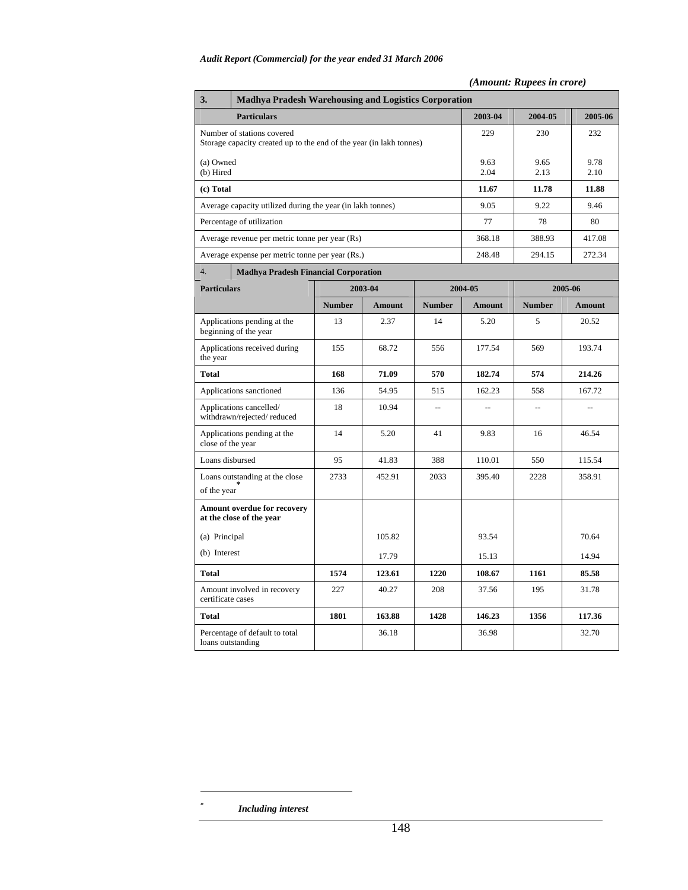#### *(Amount: Rupees in crore)*

| 3.                     | <b>Madhya Pradesh Warehousing and Logistics Corporation</b>                                       |               |               |               |                |                |                |  |  |  |  |
|------------------------|---------------------------------------------------------------------------------------------------|---------------|---------------|---------------|----------------|----------------|----------------|--|--|--|--|
|                        | <b>Particulars</b>                                                                                | 2003-04       | 2004-05       | 2005-06       |                |                |                |  |  |  |  |
|                        | Number of stations covered<br>Storage capacity created up to the end of the year (in lakh tonnes) |               |               |               | 229            | 230            | 232            |  |  |  |  |
| (a) Owned<br>(b) Hired |                                                                                                   |               |               | 9.63<br>2.04  | 9.65<br>2.13   | 9.78<br>2.10   |                |  |  |  |  |
| (c) Total              |                                                                                                   |               |               |               | 11.67          | 11.78          | 11.88          |  |  |  |  |
|                        | Average capacity utilized during the year (in lakh tonnes)                                        |               |               |               | 9.05           | 9.22           | 9.46           |  |  |  |  |
|                        | Percentage of utilization                                                                         |               |               |               | 77             | 78             | 80             |  |  |  |  |
|                        | Average revenue per metric tonne per year (Rs)                                                    |               |               |               | 368.18         | 388.93         | 417.08         |  |  |  |  |
|                        | Average expense per metric tonne per year (Rs.)                                                   |               |               |               | 248.48         | 294.15         | 272.34         |  |  |  |  |
| 4.                     | <b>Madhya Pradesh Financial Corporation</b>                                                       |               |               |               |                |                |                |  |  |  |  |
| <b>Particulars</b>     |                                                                                                   |               | 2003-04       |               | 2004-05        |                | 2005-06        |  |  |  |  |
|                        |                                                                                                   | <b>Number</b> | <b>Amount</b> | <b>Number</b> | <b>Amount</b>  | <b>Number</b>  | <b>Amount</b>  |  |  |  |  |
|                        | Applications pending at the<br>beginning of the year                                              | 13            | 2.37          | 14            | 5.20           | 5              | 20.52          |  |  |  |  |
| the year               | Applications received during                                                                      | 155           | 68.72         | 556           | 177.54         | 569            | 193.74         |  |  |  |  |
| <b>Total</b>           |                                                                                                   | 168           | 71.09         | 570           | 182.74         | 574            | 214.26         |  |  |  |  |
|                        | Applications sanctioned                                                                           | 136           | 54.95         | 515           | 162.23         | 558            | 167.72         |  |  |  |  |
|                        | Applications cancelled/<br>withdrawn/rejected/reduced                                             | 18            | 10.94         | $\sim$        | $\overline{a}$ | $\overline{a}$ | $\overline{a}$ |  |  |  |  |
| close of the year      | Applications pending at the                                                                       | 14            | 5.20          | 41            | 9.83           | 16             | 46.54          |  |  |  |  |
| Loans disbursed        |                                                                                                   | 95            | 41.83         | 388           | 110.01         | 550            | 115.54         |  |  |  |  |
| of the year            | Loans outstanding at the close                                                                    | 2733          | 452.91        | 2033          | 395.40         | 2228           | 358.91         |  |  |  |  |
|                        | Amount overdue for recovery<br>at the close of the year                                           |               |               |               |                |                |                |  |  |  |  |
| (a) Principal          |                                                                                                   |               | 105.82        |               | 93.54          |                | 70.64          |  |  |  |  |
| (b) Interest           |                                                                                                   |               | 17.79         |               | 15.13          |                | 14.94          |  |  |  |  |
| <b>Total</b>           |                                                                                                   | 1574          | 123.61        | 1220          | 108.67         | 1161           | 85.58          |  |  |  |  |
| certificate cases      | Amount involved in recovery                                                                       | 227           | 40.27         | 208           | 37.56          | 195            | 31.78          |  |  |  |  |
| <b>Total</b>           |                                                                                                   | 1801          | 163.88        | 1428          | 146.23         | 1356           | 117.36         |  |  |  |  |
| loans outstanding      | Percentage of default to total                                                                    |               | 36.18         |               | 36.98          |                | 32.70          |  |  |  |  |

 $\overline{a}$ 

*<sup>\*</sup> Including interest*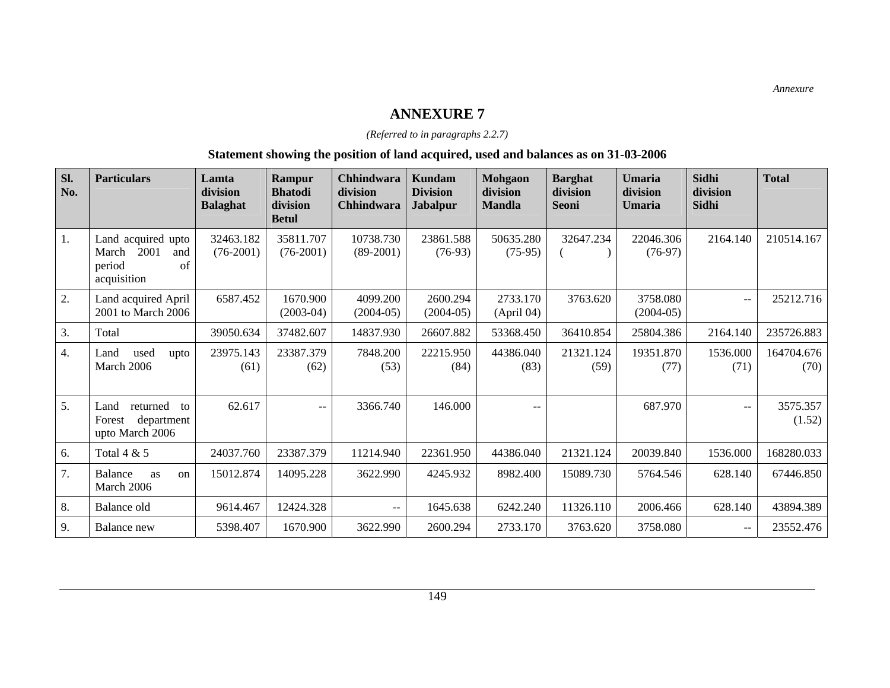### *(Referred to in paragraphs 2.2.7)*

### **Statement showing the position of land acquired, used and balances as on 31-03-2006**

| Sl.<br>No.       | <b>Particulars</b>                                                            | Lamta<br>division<br><b>Balaghat</b> | Rampur<br><b>Bhatodi</b><br>division<br><b>Betul</b> | <b>Chhindwara</b><br>division<br><b>Chhindwara</b> | <b>Kundam</b><br><b>Division</b><br><b>Jabalpur</b> | <b>Mohgaon</b><br>division<br><b>Mandla</b> | <b>Barghat</b><br>division<br><b>Seoni</b> | Umaria<br>division<br><b>Umaria</b> | <b>Sidhi</b><br>division<br><b>Sidhi</b> | <b>Total</b>       |
|------------------|-------------------------------------------------------------------------------|--------------------------------------|------------------------------------------------------|----------------------------------------------------|-----------------------------------------------------|---------------------------------------------|--------------------------------------------|-------------------------------------|------------------------------------------|--------------------|
| 1.               | Land acquired upto<br>2001<br>March<br>and<br>period<br>of<br>acquisition     | 32463.182<br>$(76-2001)$             | 35811.707<br>$(76-2001)$                             | 10738.730<br>$(89-2001)$                           | 23861.588<br>$(76-93)$                              | 50635.280<br>$(75-95)$                      | 32647.234                                  | 22046.306<br>$(76-97)$              | 2164.140                                 | 210514.167         |
| 2.               | Land acquired April<br>2001 to March 2006                                     | 6587.452                             | 1670.900<br>$(2003-04)$                              | 4099.200<br>$(2004-05)$                            | 2600.294<br>$(2004-05)$                             | 2733.170<br>(April 04)                      | 3763.620                                   | 3758.080<br>$(2004-05)$             | $-$                                      | 25212.716          |
| 3.               | Total                                                                         | 39050.634                            | 37482.607                                            | 14837.930                                          | 26607.882                                           | 53368.450                                   | 36410.854                                  | 25804.386                           | 2164.140                                 | 235726.883         |
| $\overline{4}$ . | Land<br>used<br>upto<br>March 2006                                            | 23975.143<br>(61)                    | 23387.379<br>(62)                                    | 7848.200<br>(53)                                   | 22215.950<br>(84)                                   | 44386.040<br>(83)                           | 21321.124<br>(59)                          | 19351.870<br>(77)                   | 1536.000<br>(71)                         | 164704.676<br>(70) |
| 5.               | returned<br>Land<br>$\overline{t}$<br>department<br>Forest<br>upto March 2006 | 62.617                               | $-$                                                  | 3366.740                                           | 146.000                                             |                                             |                                            | 687.970                             | $-$                                      | 3575.357<br>(1.52) |
| 6.               | Total 4 & 5                                                                   | 24037.760                            | 23387.379                                            | 11214.940                                          | 22361.950                                           | 44386.040                                   | 21321.124                                  | 20039.840                           | 1536.000                                 | 168280.033         |
| 7.               | Balance<br>as<br>on<br>March 2006                                             | 15012.874                            | 14095.228                                            | 3622.990                                           | 4245.932                                            | 8982.400                                    | 15089.730                                  | 5764.546                            | 628.140                                  | 67446.850          |
| 8.               | Balance old                                                                   | 9614.467                             | 12424.328                                            | $--$                                               | 1645.638                                            | 6242.240                                    | 11326.110                                  | 2006.466                            | 628.140                                  | 43894.389          |
| 9.               | Balance new                                                                   | 5398.407                             | 1670.900                                             | 3622.990                                           | 2600.294                                            | 2733.170                                    | 3763.620                                   | 3758.080                            | --                                       | 23552.476          |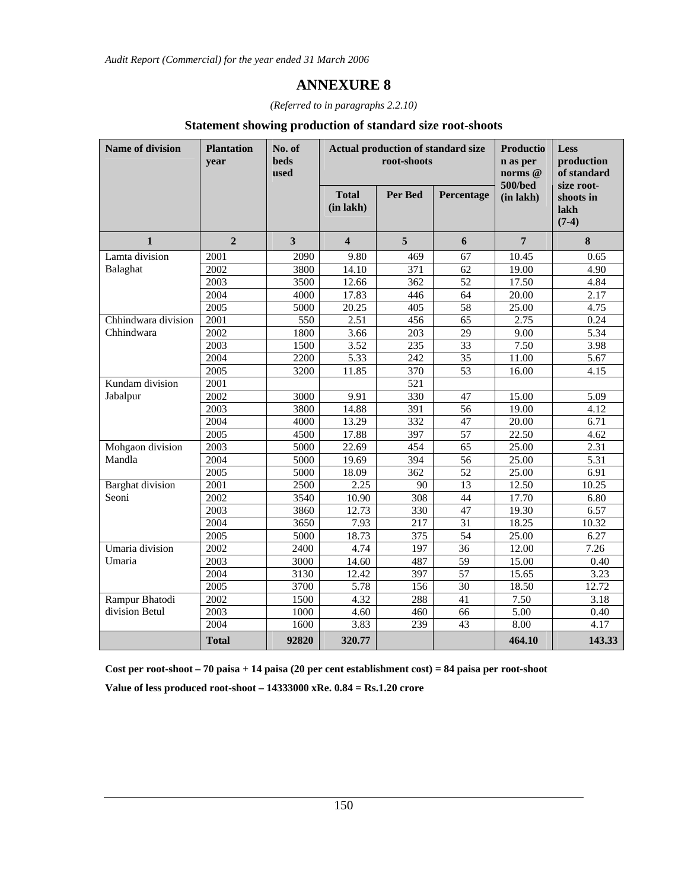*(Referred to in paragraphs 2.2.10)*

### **Statement showing production of standard size root-shoots**

| <b>Name of division</b> | <b>Plantation</b><br>vear | No. of<br><b>beds</b><br>used |                                | <b>Actual production of standard size</b><br>root-shoots | Productio<br>n as per<br>norms @<br>500/bed | Less<br>production<br>of standard<br>size root- |                              |
|-------------------------|---------------------------|-------------------------------|--------------------------------|----------------------------------------------------------|---------------------------------------------|-------------------------------------------------|------------------------------|
|                         |                           |                               | <b>Total</b><br>$(in$ lakh $)$ | <b>Per Bed</b>                                           | Percentage                                  | (in lakh)                                       | shoots in<br>lakh<br>$(7-4)$ |
| $\mathbf{1}$            | $\overline{2}$            | 3                             | $\overline{\mathbf{4}}$        | 5                                                        | 6                                           | $7\phantom{.}$                                  | 8                            |
| Lamta division          | 2001                      | 2090                          | 9.80                           | 469                                                      | 67                                          | 10.45                                           | 0.65                         |
| Balaghat                | 2002                      | 3800                          | 14.10                          | 371                                                      | 62                                          | 19.00                                           | 4.90                         |
|                         | 2003                      | 3500                          | 12.66                          | $\overline{362}$                                         | $\overline{52}$                             | 17.50                                           | 4.84                         |
|                         | 2004                      | 4000                          | 17.83                          | 446                                                      | 64                                          | 20.00                                           | 2.17                         |
|                         | 2005                      | 5000                          | 20.25                          | 405                                                      | 58                                          | 25.00                                           | 4.75                         |
| Chhindwara division     | $\overline{2001}$         | 550                           | 2.51                           | 456                                                      | 65                                          | 2.75                                            | 0.24                         |
| Chhindwara              | 2002                      | 1800                          | 3.66                           | 203                                                      | 29                                          | 9.00                                            | 5.34                         |
|                         | 2003                      | 1500                          | 3.52                           | 235                                                      | 33                                          | 7.50                                            | 3.98                         |
|                         | 2004                      | 2200                          | 5.33                           | 242                                                      | 35                                          | 11.00                                           | 5.67                         |
|                         | 2005                      | 3200                          | 11.85                          | 370                                                      | $\overline{53}$                             | 16.00                                           | 4.15                         |
| Kundam division         | 2001                      |                               |                                | $\overline{521}$                                         |                                             |                                                 |                              |
| Jabalpur                | 2002                      | 3000                          | 9.91                           | 330                                                      | 47                                          | 15.00                                           | 5.09                         |
|                         | $\overline{2003}$         | 3800                          | 14.88                          | 391                                                      | 56                                          | 19.00                                           | 4.12                         |
|                         | 2004                      | 4000                          | 13.29                          | 332                                                      | 47                                          | 20.00                                           | 6.71                         |
|                         | 2005                      | 4500                          | 17.88                          | 397                                                      | $\overline{57}$                             | 22.50                                           | 4.62                         |
| Mohgaon division        | 2003                      | 5000                          | 22.69                          | 454                                                      | 65                                          | 25.00                                           | 2.31                         |
| Mandla                  | 2004                      | 5000                          | 19.69                          | 394                                                      | 56                                          | 25.00                                           | 5.31                         |
|                         | 2005                      | 5000                          | 18.09                          | 362                                                      | $\overline{52}$                             | 25.00                                           | 6.91                         |
| <b>Barghat</b> division | 2001                      | 2500                          | 2.25                           | 90                                                       | 13                                          | 12.50                                           | 10.25                        |
| Seoni                   | 2002                      | 3540                          | 10.90                          | 308                                                      | 44                                          | 17.70                                           | 6.80                         |
|                         | 2003                      | 3860                          | 12.73                          | 330                                                      | 47                                          | 19.30                                           | 6.57                         |
|                         | 2004                      | 3650                          | 7.93                           | 217                                                      | $\overline{31}$                             | 18.25                                           | 10.32                        |
|                         | 2005                      | 5000                          | 18.73                          | 375                                                      | 54                                          | 25.00                                           | 6.27                         |
| Umaria division         | 2002                      | 2400                          | 4.74                           | 197                                                      | $\overline{36}$                             | 12.00                                           | 7.26                         |
| Umaria                  | $\overline{2003}$         | 3000                          | 14.60                          | 487                                                      | 59                                          | 15.00                                           | 0.40                         |
|                         | 2004                      | 3130                          | 12.42                          | 397                                                      | 57                                          | 15.65                                           | 3.23                         |
|                         | 2005                      | 3700                          | 5.78                           | 156                                                      | 30                                          | 18.50                                           | 12.72                        |
| Rampur Bhatodi          | 2002                      | 1500                          | 4.32                           | 288                                                      | 41                                          | 7.50                                            | 3.18                         |
| division Betul          | 2003                      | 1000                          | 4.60                           | 460                                                      | 66                                          | 5.00                                            | 0.40                         |
|                         | 2004                      | 1600                          | 3.83                           | 239                                                      | 43                                          | 8.00                                            | 4.17                         |
|                         | <b>Total</b>              | 92820                         | 320.77                         |                                                          |                                             | 464.10                                          | 143.33                       |

**Cost per root-shoot – 70 paisa + 14 paisa (20 per cent establishment cost) = 84 paisa per root-shoot Value of less produced root-shoot – 14333000 xRe. 0.84 = Rs.1.20 crore**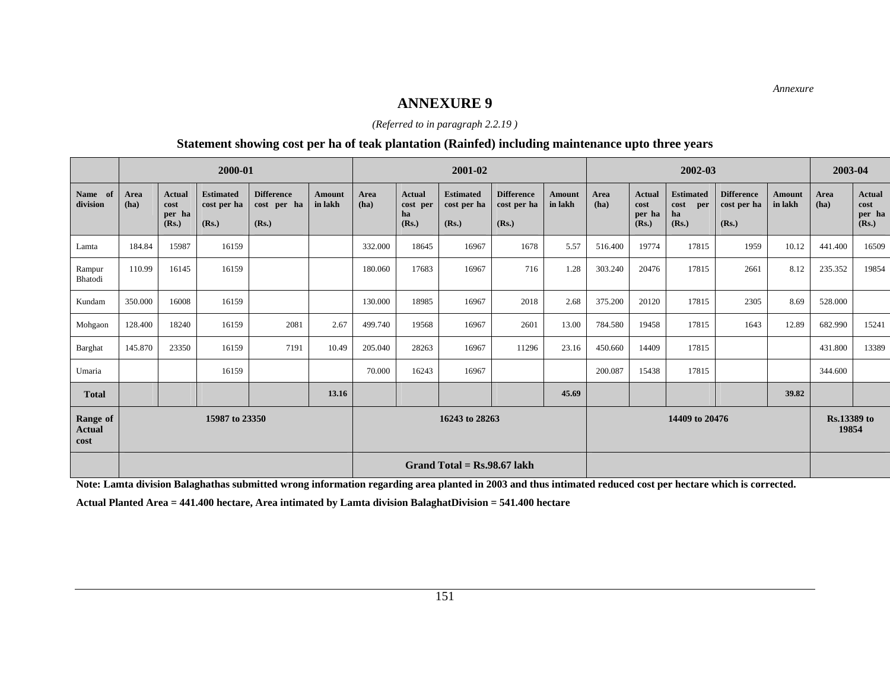*Annexure* 

### **ANNEXURE 9**

*(Referred to in paragraph 2.2.19 )* 

### **Statement showing cost per ha of teak plantation (Rainfed) including maintenance upto three years**

|                                   |              |                                          | 2000-01                                  |                                           |                   | 2001-02                          |                                          |                                          |                                           |                          |              | 2002-03                           |                                                |                                           |                          | 2003-04      |                                          |
|-----------------------------------|--------------|------------------------------------------|------------------------------------------|-------------------------------------------|-------------------|----------------------------------|------------------------------------------|------------------------------------------|-------------------------------------------|--------------------------|--------------|-----------------------------------|------------------------------------------------|-------------------------------------------|--------------------------|--------------|------------------------------------------|
| Name of<br>division               | Area<br>(ha) | <b>Actual</b><br>cost<br>per ha<br>(Rs.) | <b>Estimated</b><br>cost per ha<br>(Rs.) | <b>Difference</b><br>cost per ha<br>(Rs.) | Amount<br>in lakh | Area<br>(ha)                     | <b>Actual</b><br>cost per<br>ha<br>(Rs.) | <b>Estimated</b><br>cost per ha<br>(Rs.) | <b>Difference</b><br>cost per ha<br>(Rs.) | <b>Amount</b><br>in lakh | Area<br>(ha) | Actual<br>cost<br>per ha<br>(Rs.) | <b>Estimated</b><br>cost<br>per<br>ha<br>(Rs.) | <b>Difference</b><br>cost per ha<br>(Rs.) | <b>Amount</b><br>in lakh | Area<br>(ha) | <b>Actual</b><br>cost<br>per ha<br>(Rs.) |
| Lamta                             | 184.84       | 15987                                    | 16159                                    |                                           |                   | 332.000                          | 18645                                    | 16967                                    | 1678                                      | 5.57                     | 516.400      | 19774                             | 17815                                          | 1959                                      | 10.12                    | 441.400      | 16509                                    |
| Rampur<br>Bhatodi                 | 110.99       | 16145                                    | 16159                                    |                                           |                   | 180.060                          | 17683                                    | 16967                                    | 716                                       | 1.28                     | 303.240      | 20476                             | 17815                                          | 2661                                      | 8.12                     | 235.352      | 19854                                    |
| Kundam                            | 350.000      | 16008                                    | 16159                                    |                                           |                   | 130.000                          | 18985                                    | 16967                                    | 2018                                      | 2.68                     | 375.200      | 20120                             | 17815                                          | 2305                                      | 8.69                     | 528.000      |                                          |
| Mohgaon                           | 128.400      | 18240                                    | 16159                                    | 2081                                      | 2.67              | 499.740                          | 19568                                    | 16967                                    | 2601                                      | 13.00                    | 784.580      | 19458                             | 17815                                          | 1643                                      | 12.89                    | 682.990      | 15241                                    |
| Barghat                           | 145.870      | 23350                                    | 16159                                    | 7191                                      | 10.49             | 205.040                          | 28263                                    | 16967                                    | 11296                                     | 23.16                    | 450.660      | 14409                             | 17815                                          |                                           |                          | 431.800      | 13389                                    |
| Umaria                            |              |                                          | 16159                                    |                                           |                   | 70.000                           | 16243                                    | 16967                                    |                                           |                          | 200.087      | 15438                             | 17815                                          |                                           |                          | 344.600      |                                          |
| <b>Total</b>                      |              |                                          |                                          |                                           | 13.16             |                                  |                                          |                                          |                                           | 45.69                    |              |                                   |                                                |                                           | 39.82                    |              |                                          |
| Range of<br><b>Actual</b><br>cost |              |                                          | 15987 to 23350                           |                                           |                   | 16243 to 28263<br>14409 to 20476 |                                          |                                          |                                           | Rs.13389 to<br>19854     |              |                                   |                                                |                                           |                          |              |                                          |
|                                   |              |                                          |                                          |                                           |                   |                                  |                                          | Grand Total = $\text{Rs.}98.67$ lakh     |                                           |                          |              |                                   |                                                |                                           |                          |              |                                          |

**Note: Lamta division Balaghathas submitted wrong information regarding area planted in 2003 and thus intimated reduced cost per hectare which is corrected.** 

**Actual Planted Area = 441.400 hectare, Area intimated by Lamta division BalaghatDivision = 541.400 hectare**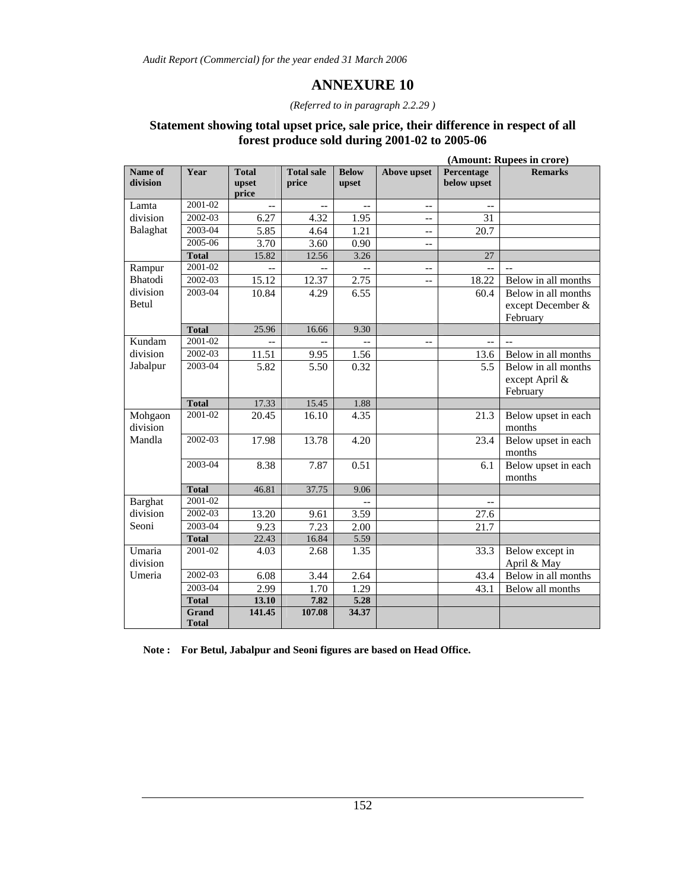# **ANNEXURE 10**

#### *(Referred to in paragraph 2.2.29 )*

### **Statement showing total upset price, sale price, their difference in respect of all forest produce sold during 2001-02 to 2005-06**

|                     |                              |                                |                            |                       |                    |                           | (Amount: Rupees in crore)     |
|---------------------|------------------------------|--------------------------------|----------------------------|-----------------------|--------------------|---------------------------|-------------------------------|
| Name of<br>division | Year                         | <b>Total</b><br>upset<br>price | <b>Total sale</b><br>price | <b>Below</b><br>upset | <b>Above upset</b> | Percentage<br>below upset | <b>Remarks</b>                |
| Lamta               | 2001-02                      |                                |                            |                       | $-$                |                           |                               |
| division            | $2002 - 03$                  | 6.27                           | 4.32                       | 1.95                  | $\overline{a}$     | 31                        |                               |
| Balaghat            | $2003 - 04$                  | 5.85                           | 4.64                       | 1.21                  | $-$                | 20.7                      |                               |
|                     | 2005-06                      | 3.70                           | 3.60                       | 0.90                  | $-$                |                           |                               |
|                     | <b>Total</b>                 | 15.82                          | 12.56                      | 3.26                  |                    | 27                        |                               |
| Rampur              | 2001-02                      |                                |                            |                       | $\overline{a}$     |                           |                               |
| Bhatodi             | 2002-03                      | 15.12                          | 12.37                      | 2.75                  | $\overline{a}$     | 18.22                     | Below in all months           |
| division            | 2003-04                      | 10.84                          | 4.29                       | 6.55                  |                    | 60.4                      | Below in all months           |
| Betul               |                              |                                |                            |                       |                    |                           | except December &<br>February |
|                     | <b>Total</b>                 | 25.96                          | 16.66                      | 9.30                  |                    |                           |                               |
| Kundam              | 2001-02                      |                                |                            |                       | $-$                | $-$                       |                               |
| division            | 2002-03                      | 11.51                          | 9.95                       | 1.56                  |                    | 13.6                      | Below in all months           |
| Jabalpur            | 2003-04                      | 5.82                           | 5.50                       | 0.32                  |                    | 5.5                       | Below in all months           |
|                     |                              |                                |                            |                       |                    |                           | except April &                |
|                     |                              |                                |                            |                       |                    |                           | February                      |
|                     | <b>Total</b>                 | 17.33                          | 15.45                      | 1.88                  |                    |                           |                               |
| Mohgaon<br>division | 2001-02                      | 20.45                          | 16.10                      | 4.35                  |                    | 21.3                      | Below upset in each<br>months |
| Mandla              | 2002-03                      | 17.98                          | 13.78                      | 4.20                  |                    | 23.4                      | Below upset in each           |
|                     |                              |                                |                            |                       |                    |                           | months                        |
|                     | 2003-04                      | 8.38                           | 7.87                       | 0.51                  |                    | 6.1                       | Below upset in each           |
|                     | <b>Total</b>                 | 46.81                          | 37.75                      | 9.06                  |                    |                           | months                        |
| <b>Barghat</b>      | $2001 - 02$                  |                                |                            |                       |                    | $-$                       |                               |
| division            | 2002-03                      | 13.20                          | 9.61                       | 3.59                  |                    | 27.6                      |                               |
| Seoni               | 2003-04                      | 9.23                           | 7.23                       | 2.00                  |                    | 21.7                      |                               |
|                     | <b>Total</b>                 | 22.43                          | 16.84                      | 5.59                  |                    |                           |                               |
| Umaria              | 2001-02                      | 4.03                           | 2.68                       | 1.35                  |                    | 33.3                      | Below except in               |
| division            |                              |                                |                            |                       |                    |                           | April & May                   |
| Umeria              | 2002-03                      | 6.08                           | 3.44                       | 2.64                  |                    | 43.4                      | Below in all months           |
|                     | 2003-04                      | 2.99                           | 1.70                       | 1.29                  |                    | 43.1                      | Below all months              |
|                     | <b>Total</b>                 | 13.10                          | 7.82                       | 5.28                  |                    |                           |                               |
|                     | <b>Grand</b><br><b>Total</b> | 141.45                         | 107.08                     | 34.37                 |                    |                           |                               |

**Note : For Betul, Jabalpur and Seoni figures are based on Head Office.**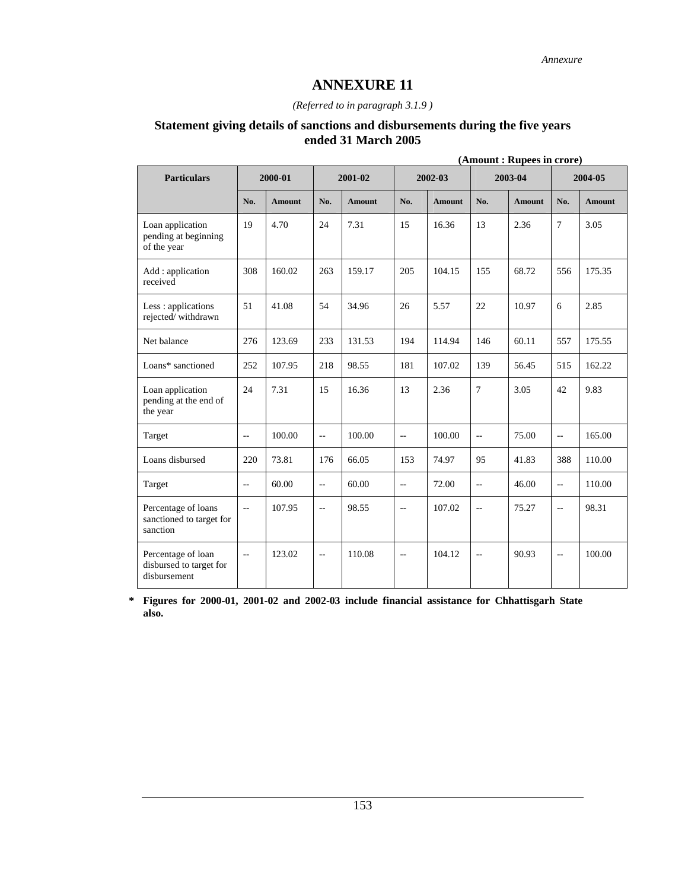#### *(Referred to in paragraph 3.1.9 )*

### **Statement giving details of sanctions and disbursements during the five years ended 31 March 2005**

|                                                               | (Amount: Rupees in crore) |               |                          |               |                          |               |                           |               |                          |               |
|---------------------------------------------------------------|---------------------------|---------------|--------------------------|---------------|--------------------------|---------------|---------------------------|---------------|--------------------------|---------------|
| <b>Particulars</b>                                            |                           | 2000-01       |                          | 2001-02       |                          | 2002-03       |                           | 2003-04       |                          | 2004-05       |
|                                                               | No.                       | <b>Amount</b> | No.                      | <b>Amount</b> | No.                      | <b>Amount</b> | No.                       | <b>Amount</b> | No.                      | <b>Amount</b> |
| Loan application<br>pending at beginning<br>of the year       | 19                        | 4.70          | 24                       | 7.31          | 15                       | 16.36         | 13                        | 2.36          | $\overline{7}$           | 3.05          |
| Add : application<br>received                                 | 308                       | 160.02        | 263                      | 159.17        | 205                      | 104.15        | 155                       | 68.72         | 556                      | 175.35        |
| Less : applications<br>rejected/withdrawn                     | 51                        | 41.08         | 54                       | 34.96         | 26                       | 5.57          | 22                        | 10.97         | 6                        | 2.85          |
| Net balance                                                   | 276                       | 123.69        | 233                      | 131.53        | 194                      | 114.94        | 146                       | 60.11         | 557                      | 175.55        |
| Loans* sanctioned                                             | 252                       | 107.95        | 218                      | 98.55         | 181                      | 107.02        | 139                       | 56.45         | 515                      | 162.22        |
| Loan application<br>pending at the end of<br>the year         | 24                        | 7.31          | 15                       | 16.36         | 13                       | 2.36          | $\tau$                    | 3.05          | 42                       | 9.83          |
| Target                                                        | $\overline{a}$            | 100.00        | $-$                      | 100.00        | $\overline{a}$           | 100.00        | $\mathbb{L}^{\mathbb{L}}$ | 75.00         | $\overline{\phantom{a}}$ | 165.00        |
| Loans disbursed                                               | 220                       | 73.81         | 176                      | 66.05         | 153                      | 74.97         | 95                        | 41.83         | 388                      | 110.00        |
| Target                                                        | $\overline{\phantom{m}}$  | 60.00         | $\overline{\phantom{a}}$ | 60.00         | $\overline{\phantom{a}}$ | 72.00         | $\overline{\phantom{a}}$  | 46.00         | $-$                      | 110.00        |
| Percentage of loans<br>sanctioned to target for<br>sanction   | $\mathbf{u}$              | 107.95        | $-$                      | 98.55         | $\overline{\phantom{a}}$ | 107.02        | $\mathbf{L}$              | 75.27         | $\overline{\phantom{a}}$ | 98.31         |
| Percentage of loan<br>disbursed to target for<br>disbursement | $\overline{\phantom{m}}$  | 123.02        | $-$                      | 110.08        | $\overline{\phantom{m}}$ | 104.12        | $ \!-$                    | 90.93         | $-$                      | 100.00        |

**\* Figures for 2000-01, 2001-02 and 2002-03 include financial assistance for Chhattisgarh State also.**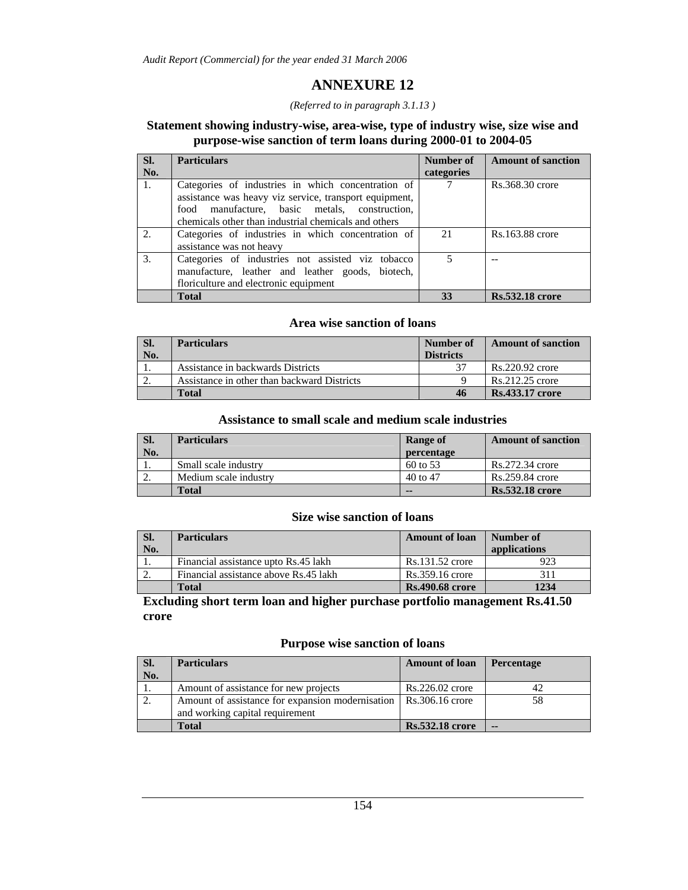# **ANNEXURE 12**

#### *(Referred to in paragraph 3.1.13 )*

### **Statement showing industry-wise, area-wise, type of industry wise, size wise and purpose-wise sanction of term loans during 2000-01 to 2004-05**

| SI. | <b>Particulars</b>                                                                                                                                                                                                    | Number of  | <b>Amount of sanction</b> |
|-----|-----------------------------------------------------------------------------------------------------------------------------------------------------------------------------------------------------------------------|------------|---------------------------|
| No. |                                                                                                                                                                                                                       | categories |                           |
| 1.  | Categories of industries in which concentration of<br>assistance was heavy viz service, transport equipment,<br>food manufacture, basic metals, construction,<br>chemicals other than industrial chemicals and others |            | Rs.368.30 crore           |
| 2.  | Categories of industries in which concentration of<br>assistance was not heavy                                                                                                                                        | 21         | Rs.163.88 crore           |
| 3.  | Categories of industries not assisted viz tobacco<br>manufacture, leather and leather goods, biotech,<br>floriculture and electronic equipment                                                                        |            |                           |
|     | <b>Total</b>                                                                                                                                                                                                          | 33         | <b>Rs.532.18</b> crore    |

### **Area wise sanction of loans**

| SI. | <b>Particulars</b>                          | Number of        | <b>Amount of sanction</b> |
|-----|---------------------------------------------|------------------|---------------------------|
| No. |                                             | <b>Districts</b> |                           |
|     | Assistance in backwards Districts           |                  | Rs.220.92 crore           |
|     | Assistance in other than backward Districts |                  | Rs.212.25 crore           |
|     | Total                                       | 46               | <b>Rs.433.17 crore</b>    |

### **Assistance to small scale and medium scale industries**

| SI.      | <b>Particulars</b>    | <b>Range of</b>     | <b>Amount of sanction</b> |
|----------|-----------------------|---------------------|---------------------------|
| No.      |                       | percentage          |                           |
| 1.       | Small scale industry  | $60 \text{ to } 53$ | Rs.272.34 crore           |
| <u>.</u> | Medium scale industry | $40$ to $47$        | Rs.259.84 crore           |
|          | Total                 | $- -$               | <b>Rs.532.18</b> crore    |

### **Size wise sanction of loans**

| SI.<br>No. | <b>Particulars</b>                    | <b>Amount of loan</b>  | Number of<br>applications |
|------------|---------------------------------------|------------------------|---------------------------|
| .,         | Financial assistance upto Rs.45 lakh  | Rs.131.52 crore        | 923                       |
|            | Financial assistance above Rs.45 lakh | Rs.359.16 crore        | 311                       |
|            | Total                                 | <b>Rs.490.68 crore</b> | 1234                      |

**Excluding short term loan and higher purchase portfolio management Rs.41.50 crore** 

### **Purpose wise sanction of loans**

| SI.<br>No. | <b>Particulars</b>                                                                  | <b>Amount of loan</b>  | <b>Percentage</b> |
|------------|-------------------------------------------------------------------------------------|------------------------|-------------------|
|            | Amount of assistance for new projects                                               | $Rs.226.02$ crore      | 42                |
|            | Amount of assistance for expansion modernisation<br>and working capital requirement | Rs.306.16 crore        | 58                |
|            | Total                                                                               | <b>Rs.532.18 crore</b> | $\sim$            |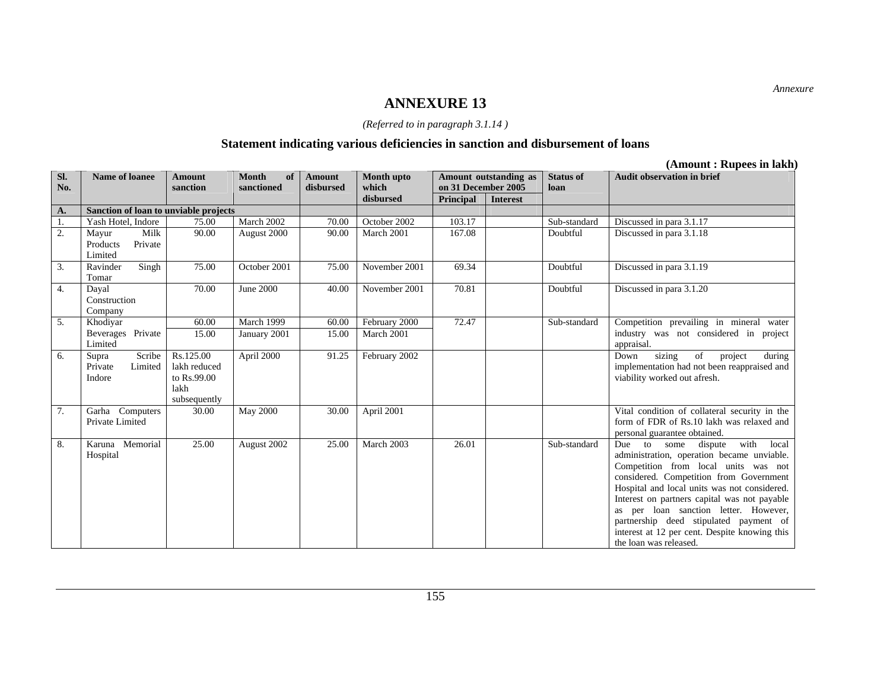#### *(Referred to in paragraph 3.1.14 )*

# **Statement indicating various deficiencies in sanction and disbursement of loans**

|                  |                                                 |                                                                  |                    |               |               |                     |                       |                  | (Анноции: Kupees ні іаки                                                                                                                                                                                                                                                                                                                                                                                                               |
|------------------|-------------------------------------------------|------------------------------------------------------------------|--------------------|---------------|---------------|---------------------|-----------------------|------------------|----------------------------------------------------------------------------------------------------------------------------------------------------------------------------------------------------------------------------------------------------------------------------------------------------------------------------------------------------------------------------------------------------------------------------------------|
| SI.              | <b>Name of loanee</b>                           | <b>Amount</b>                                                    | <b>Month</b><br>of | <b>Amount</b> | Month upto    |                     | Amount outstanding as | <b>Status of</b> | <b>Audit observation in brief</b>                                                                                                                                                                                                                                                                                                                                                                                                      |
| No.              |                                                 | sanction                                                         | sanctioned         | disbursed     | which         | on 31 December 2005 |                       | loan             |                                                                                                                                                                                                                                                                                                                                                                                                                                        |
|                  |                                                 |                                                                  |                    |               | disbursed     | Principal           | <b>Interest</b>       |                  |                                                                                                                                                                                                                                                                                                                                                                                                                                        |
| A.               | Sanction of loan to unviable projects           |                                                                  |                    |               |               |                     |                       |                  |                                                                                                                                                                                                                                                                                                                                                                                                                                        |
| 1.               | Yash Hotel, Indore                              | 75.00                                                            | March 2002         | 70.00         | October 2002  | 103.17              |                       | Sub-standard     | Discussed in para 3.1.17                                                                                                                                                                                                                                                                                                                                                                                                               |
| $\overline{2}$ . | Milk<br>Mayur<br>Private<br>Products<br>Limited | 90.00                                                            | August 2000        | 90.00         | March 2001    | 167.08              |                       | Doubtful         | Discussed in para 3.1.18                                                                                                                                                                                                                                                                                                                                                                                                               |
| $\overline{3}$ . | Singh<br>Ravinder<br>Tomar                      | 75.00                                                            | October 2001       | 75.00         | November 2001 | 69.34               |                       | Doubtful         | Discussed in para 3.1.19                                                                                                                                                                                                                                                                                                                                                                                                               |
| 4.               | Dayal<br>Construction<br>Company                | 70.00                                                            | June 2000          | 40.00         | November 2001 | 70.81               |                       | Doubtful         | Discussed in para 3.1.20                                                                                                                                                                                                                                                                                                                                                                                                               |
| $\overline{5}$ . | Khodiyar                                        | 60.00                                                            | March 1999         | 60.00         | February 2000 | 72.47               |                       | Sub-standard     | Competition prevailing in mineral water                                                                                                                                                                                                                                                                                                                                                                                                |
|                  | Beverages Private<br>Limited                    | 15.00                                                            | January 2001       | 15.00         | March 2001    |                     |                       |                  | industry was not considered in project<br>appraisal.                                                                                                                                                                                                                                                                                                                                                                                   |
| 6.               | Scribe<br>Supra<br>Limited<br>Private<br>Indore | Rs.125.00<br>lakh reduced<br>to Rs.99.00<br>lakh<br>subsequently | April 2000         | 91.25         | February 2002 |                     |                       |                  | sizing<br>of<br>project<br>Down<br>during<br>implementation had not been reappraised and<br>viability worked out afresh.                                                                                                                                                                                                                                                                                                               |
| $\overline{7}$ . | Garha Computers<br>Private Limited              | 30.00                                                            | <b>May 2000</b>    | 30.00         | April 2001    |                     |                       |                  | Vital condition of collateral security in the<br>form of FDR of Rs.10 lakh was relaxed and<br>personal guarantee obtained.                                                                                                                                                                                                                                                                                                             |
| $\overline{8}$ . | Karuna Memorial<br>Hospital                     | 25.00                                                            | August 2002        | 25.00         | March 2003    | 26.01               |                       | Sub-standard     | with<br>Due to some<br>dispute<br>local<br>administration, operation became unviable.<br>Competition from local units was not<br>considered. Competition from Government<br>Hospital and local units was not considered.<br>Interest on partners capital was not payable<br>as per loan sanction letter. However,<br>partnership deed stipulated payment of<br>interest at 12 per cent. Despite knowing this<br>the loan was released. |

**(Amount : Rupees in lakh)**

*Annexure*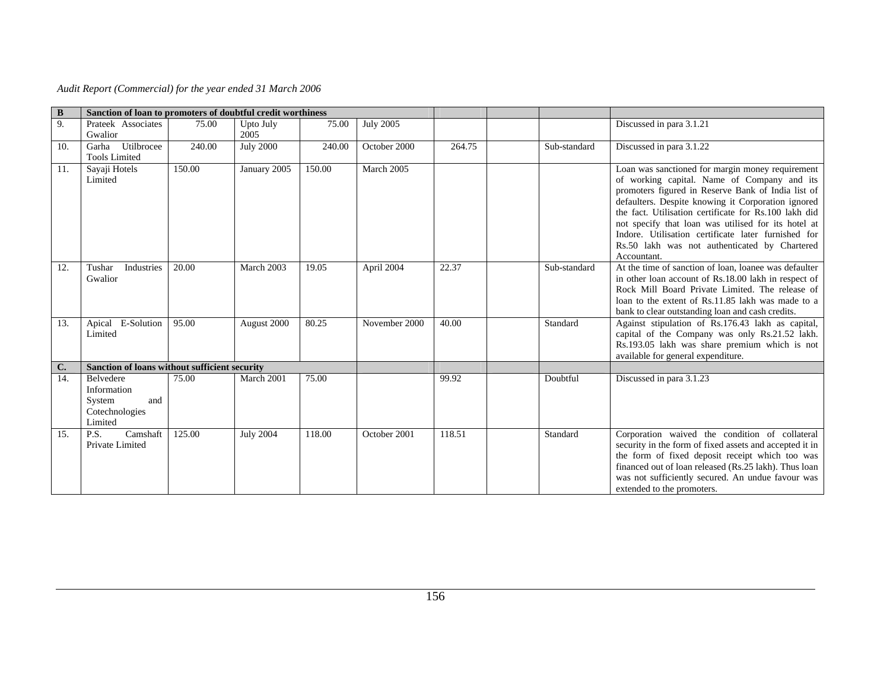| $\bf{B}$ | Sanction of loan to promoters of doubtful credit worthiness                   |        |                  |        |                  |        |              |                                                                                                                                                                                                                                                                                                                                                                                                                                                    |
|----------|-------------------------------------------------------------------------------|--------|------------------|--------|------------------|--------|--------------|----------------------------------------------------------------------------------------------------------------------------------------------------------------------------------------------------------------------------------------------------------------------------------------------------------------------------------------------------------------------------------------------------------------------------------------------------|
| 9.       | Prateek Associates                                                            | 75.00  | Upto July        | 75.00  | <b>July 2005</b> |        |              | Discussed in para 3.1.21                                                                                                                                                                                                                                                                                                                                                                                                                           |
|          | Gwalior                                                                       |        | 2005             |        |                  |        |              |                                                                                                                                                                                                                                                                                                                                                                                                                                                    |
| 10.      | Garha Utilbrocee                                                              | 240.00 | <b>July 2000</b> | 240.00 | October 2000     | 264.75 | Sub-standard | Discussed in para 3.1.22                                                                                                                                                                                                                                                                                                                                                                                                                           |
|          | <b>Tools Limited</b>                                                          |        |                  |        |                  |        |              |                                                                                                                                                                                                                                                                                                                                                                                                                                                    |
| 11.      | Sayaji Hotels<br>Limited                                                      | 150.00 | January 2005     | 150.00 | March 2005       |        |              | Loan was sanctioned for margin money requirement<br>of working capital. Name of Company and its<br>promoters figured in Reserve Bank of India list of<br>defaulters. Despite knowing it Corporation ignored<br>the fact. Utilisation certificate for Rs.100 lakh did<br>not specify that loan was utilised for its hotel at<br>Indore. Utilisation certificate later furnished for<br>Rs.50 lakh was not authenticated by Chartered<br>Accountant. |
| 12.      | Industries<br>Tushar<br>Gwalior                                               | 20.00  | March 2003       | 19.05  | April 2004       | 22.37  | Sub-standard | At the time of sanction of loan, loanee was defaulter<br>in other loan account of Rs.18.00 lakh in respect of<br>Rock Mill Board Private Limited. The release of<br>loan to the extent of Rs.11.85 lakh was made to a<br>bank to clear outstanding loan and cash credits.                                                                                                                                                                          |
| 13.      | Apical E-Solution<br>Limited                                                  | 95.00  | August 2000      | 80.25  | November 2000    | 40.00  | Standard     | Against stipulation of Rs.176.43 lakh as capital,<br>capital of the Company was only Rs.21.52 lakh.<br>Rs.193.05 lakh was share premium which is not<br>available for general expenditure.                                                                                                                                                                                                                                                         |
| C.       | Sanction of loans without sufficient security                                 |        |                  |        |                  |        |              |                                                                                                                                                                                                                                                                                                                                                                                                                                                    |
| 14.      | <b>Belvedere</b><br>Information<br>System<br>and<br>Cotechnologies<br>Limited | 75.00  | March 2001       | 75.00  |                  | 99.92  | Doubtful     | Discussed in para 3.1.23                                                                                                                                                                                                                                                                                                                                                                                                                           |
| 15.      | Camshaft<br>P.S.<br>Private Limited                                           | 125.00 | <b>July 2004</b> | 118.00 | October 2001     | 118.51 | Standard     | Corporation waived the condition of collateral<br>security in the form of fixed assets and accepted it in<br>the form of fixed deposit receipt which too was<br>financed out of loan released (Rs.25 lakh). Thus loan<br>was not sufficiently secured. An undue favour was<br>extended to the promoters.                                                                                                                                           |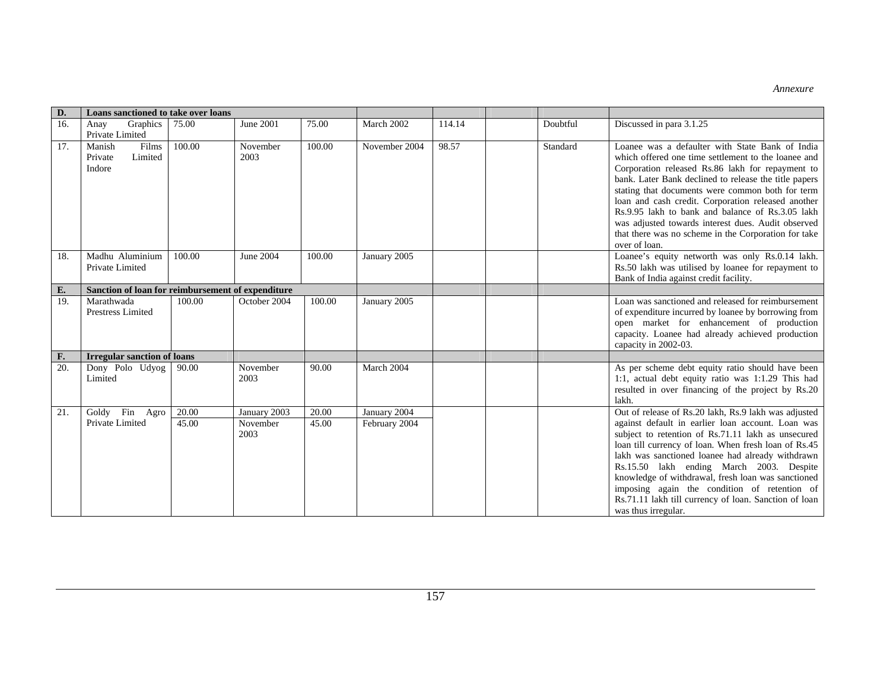*Annexure* 

| D.  | Loans sanctioned to take over loans               |        |                  |        |               |        |          |                                                                                                                                                                                                                                                                                                                                                                                                                                                                                                                  |
|-----|---------------------------------------------------|--------|------------------|--------|---------------|--------|----------|------------------------------------------------------------------------------------------------------------------------------------------------------------------------------------------------------------------------------------------------------------------------------------------------------------------------------------------------------------------------------------------------------------------------------------------------------------------------------------------------------------------|
| 16. | Graphics<br>Anay<br>Private Limited               | 75.00  | June 2001        | 75.00  | March 2002    | 114.14 | Doubtful | Discussed in para 3.1.25                                                                                                                                                                                                                                                                                                                                                                                                                                                                                         |
| 17. | Manish<br>Films<br>Limited<br>Private<br>Indore   | 100.00 | November<br>2003 | 100.00 | November 2004 | 98.57  | Standard | Loanee was a defaulter with State Bank of India<br>which offered one time settlement to the loanee and<br>Corporation released Rs.86 lakh for repayment to<br>bank. Later Bank declined to release the title papers<br>stating that documents were common both for term<br>loan and cash credit. Corporation released another<br>Rs.9.95 lakh to bank and balance of Rs.3.05 lakh<br>was adjusted towards interest dues. Audit observed<br>that there was no scheme in the Corporation for take<br>over of loan. |
| 18. | Madhu Aluminium<br>Private Limited                | 100.00 | June 2004        | 100.00 | January 2005  |        |          | Loanee's equity networth was only Rs.0.14 lakh.<br>Rs.50 lakh was utilised by loanee for repayment to<br>Bank of India against credit facility.                                                                                                                                                                                                                                                                                                                                                                  |
| E.  | Sanction of loan for reimbursement of expenditure |        |                  |        |               |        |          |                                                                                                                                                                                                                                                                                                                                                                                                                                                                                                                  |
| 19. | Marathwada<br><b>Prestress Limited</b>            | 100.00 | October 2004     | 100.00 | January 2005  |        |          | Loan was sanctioned and released for reimbursement<br>of expenditure incurred by loanee by borrowing from<br>open market for enhancement of production<br>capacity. Loanee had already achieved production<br>capacity in 2002-03.                                                                                                                                                                                                                                                                               |
| F.  | <b>Irregular sanction of loans</b>                |        |                  |        |               |        |          |                                                                                                                                                                                                                                                                                                                                                                                                                                                                                                                  |
| 20. | Dony Polo Udyog<br>Limited                        | 90.00  | November<br>2003 | 90.00  | March 2004    |        |          | As per scheme debt equity ratio should have been<br>1:1, actual debt equity ratio was 1:1.29 This had<br>resulted in over financing of the project by Rs.20<br>lakh.                                                                                                                                                                                                                                                                                                                                             |
| 21. | Goldy Fin Agro                                    | 20.00  | January 2003     | 20.00  | January 2004  |        |          | Out of release of Rs.20 lakh, Rs.9 lakh was adjusted                                                                                                                                                                                                                                                                                                                                                                                                                                                             |
|     | Private Limited                                   | 45.00  | November<br>2003 | 45.00  | February 2004 |        |          | against default in earlier loan account. Loan was<br>subject to retention of Rs.71.11 lakh as unsecured<br>loan till currency of loan. When fresh loan of Rs.45<br>lakh was sanctioned loanee had already withdrawn<br>Rs.15.50 lakh ending March 2003. Despite<br>knowledge of withdrawal, fresh loan was sanctioned<br>imposing again the condition of retention of<br>Rs.71.11 lakh till currency of loan. Sanction of loan<br>was thus irregular.                                                            |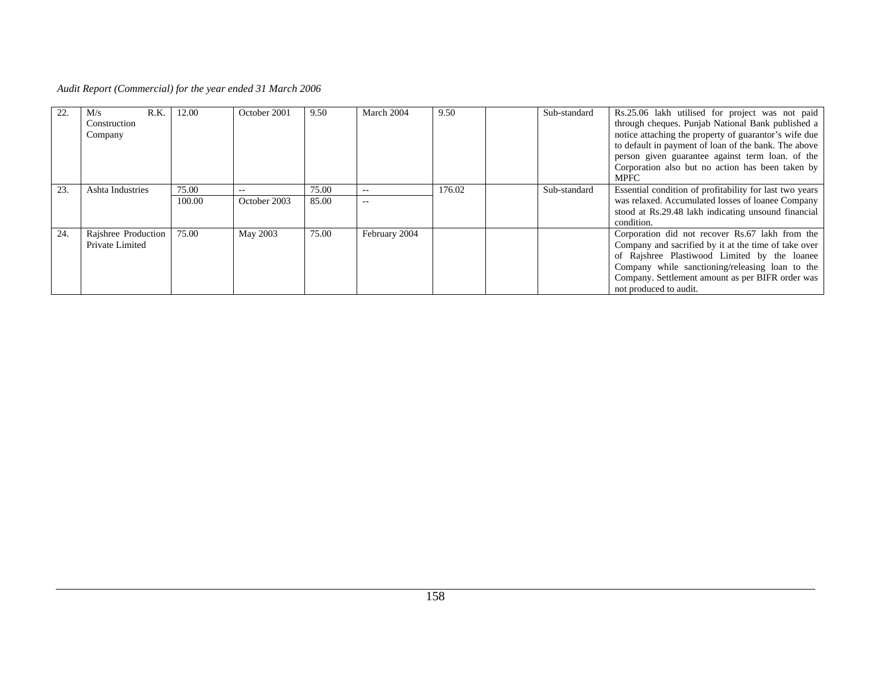*Audit Report (Commercial) for the year ended 31 March 2006* 

|     | R.K.<br>M/s<br>Construction<br>Company | 12.00           | October 2001          | 9.50           | March 2004     | 9.50   | Sub-standard | Rs.25.06 lakh utilised for project was not paid<br>through cheques. Punjab National Bank published a<br>notice attaching the property of guarantor's wife due<br>to default in payment of loan of the bank. The above<br>person given guarantee against term loan, of the<br>Corporation also but no action has been taken by<br><b>MPFC</b> |
|-----|----------------------------------------|-----------------|-----------------------|----------------|----------------|--------|--------------|----------------------------------------------------------------------------------------------------------------------------------------------------------------------------------------------------------------------------------------------------------------------------------------------------------------------------------------------|
| 23. | Ashta Industries                       | 75.00<br>100.00 | $- -$<br>October 2003 | 75.00<br>85.00 | $- -$<br>$- -$ | 176.02 | Sub-standard | Essential condition of profitability for last two years<br>was relaxed. Accumulated losses of loanee Company<br>stood at Rs.29.48 lakh indicating unsound financial<br>condition.                                                                                                                                                            |
| 24. | Rajshree Production<br>Private Limited | 75.00           | May 2003              | 75.00          | February 2004  |        |              | Corporation did not recover Rs.67 lakh from the<br>Company and sacrified by it at the time of take over<br>of Rajshree Plastiwood Limited by the loanee<br>Company while sanctioning/releasing loan to the<br>Company. Settlement amount as per BIFR order was<br>not produced to audit.                                                     |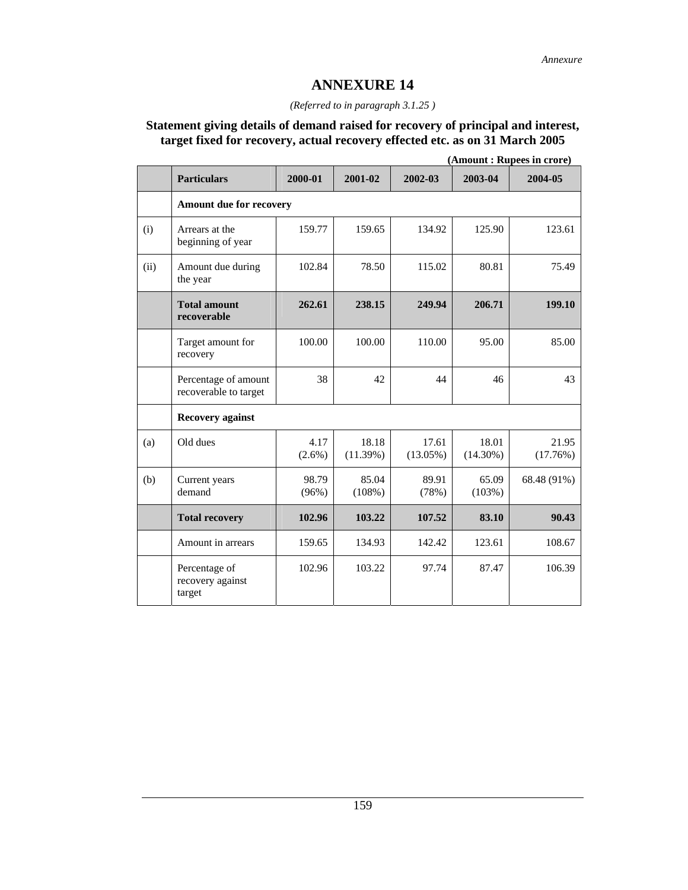### *(Referred to in paragraph 3.1.25 )*

### **Statement giving details of demand raised for recovery of principal and interest, target fixed for recovery, actual recovery effected etc. as on 31 March 2005**

|      |                                               |                   | (Amount: Rupees in crore) |                      |                      |                   |  |
|------|-----------------------------------------------|-------------------|---------------------------|----------------------|----------------------|-------------------|--|
|      | <b>Particulars</b>                            | 2000-01           | 2001-02                   | 2002-03              | 2003-04              | 2004-05           |  |
|      | Amount due for recovery                       |                   |                           |                      |                      |                   |  |
| (i)  | Arrears at the<br>beginning of year           | 159.77            | 159.65                    | 134.92               | 125.90               | 123.61            |  |
| (ii) | Amount due during<br>the year                 | 102.84            | 78.50                     | 115.02               | 80.81                | 75.49             |  |
|      | <b>Total amount</b><br>recoverable            | 262.61            | 238.15                    | 249.94               | 206.71               | 199.10            |  |
|      | Target amount for<br>recovery                 | 100.00            | 100.00                    | 110.00               | 95.00                | 85.00             |  |
|      | Percentage of amount<br>recoverable to target | 38                | 42                        | 44                   | 46                   | 43                |  |
|      | <b>Recovery against</b>                       |                   |                           |                      |                      |                   |  |
| (a)  | Old dues                                      | 4.17<br>$(2.6\%)$ | 18.18<br>(11.39%)         | 17.61<br>$(13.05\%)$ | 18.01<br>$(14.30\%)$ | 21.95<br>(17.76%) |  |
| (b)  | Current years<br>demand                       | 98.79<br>(96%)    | 85.04<br>(108%)           | 89.91<br>(78%)       | 65.09<br>(103%)      | 68.48 (91%)       |  |
|      | <b>Total recovery</b>                         | 102.96            | 103.22                    | 107.52               | 83.10                | 90.43             |  |
|      | Amount in arrears                             | 159.65            | 134.93                    | 142.42               | 123.61               | 108.67            |  |
|      | Percentage of<br>recovery against<br>target   | 102.96            | 103.22                    | 97.74                | 87.47                | 106.39            |  |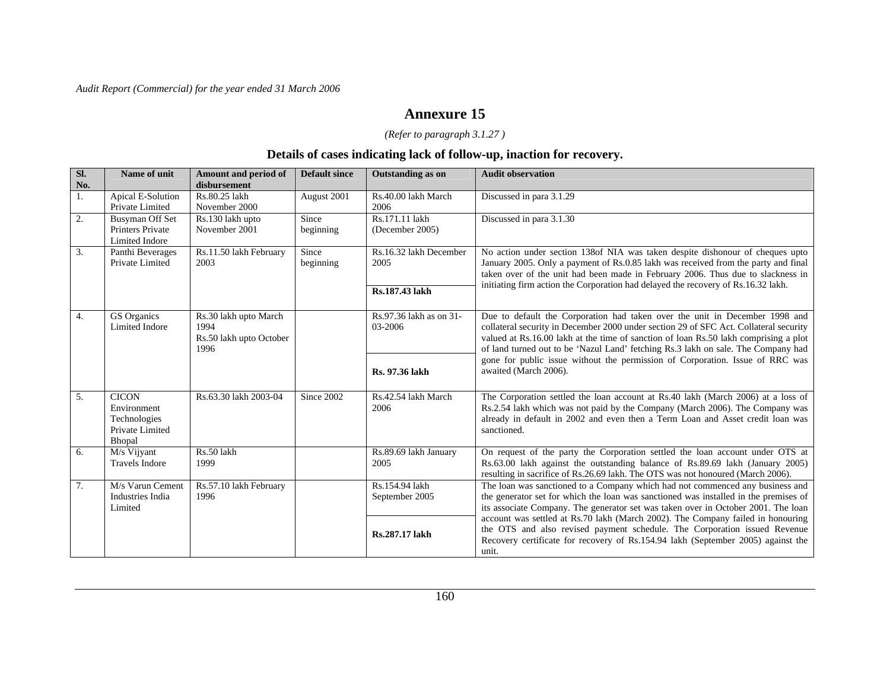# **Annexure 15**

### *(Refer to paragraph 3.1.27 )*

### **Details of cases indicating lack of follow-up, inaction for recovery.**

| Sl.<br>No. | Name of unit                                                             | <b>Amount and period of</b><br>disbursement                      | <b>Default since</b> | <b>Outstanding as on</b>                         | <b>Audit observation</b>                                                                                                                                                                                                                                                                                                                                                                                                           |
|------------|--------------------------------------------------------------------------|------------------------------------------------------------------|----------------------|--------------------------------------------------|------------------------------------------------------------------------------------------------------------------------------------------------------------------------------------------------------------------------------------------------------------------------------------------------------------------------------------------------------------------------------------------------------------------------------------|
| 1.         | Apical E-Solution<br>Private Limited                                     | Rs.80.25 lakh<br>November 2000                                   | August 2001          | Rs.40.00 lakh March<br>2006                      | Discussed in para 3.1.29                                                                                                                                                                                                                                                                                                                                                                                                           |
| 2.         | <b>Busyman Off Set</b><br>Printers Private<br>Limited Indore             | Rs.130 lakh upto<br>November 2001                                | Since<br>beginning   | Rs.171.11 lakh<br>(December 2005)                | Discussed in para 3.1.30                                                                                                                                                                                                                                                                                                                                                                                                           |
| 3.         | Panthi Beverages<br>Private Limited                                      | Rs.11.50 lakh February<br>2003                                   | Since<br>beginning   | Rs.16.32 lakh December<br>2005<br>Rs.187.43 lakh | No action under section 138of NIA was taken despite dishonour of cheques upto<br>January 2005. Only a payment of Rs.0.85 lakh was received from the party and final<br>taken over of the unit had been made in February 2006. Thus due to slackness in<br>initiating firm action the Corporation had delayed the recovery of Rs.16.32 lakh.                                                                                        |
| 4.         | GS Organics<br>Limited Indore                                            | Rs.30 lakh upto March<br>1994<br>Rs.50 lakh upto October<br>1996 |                      | Rs.97.36 lakh as on 31-<br>03-2006               | Due to default the Corporation had taken over the unit in December 1998 and<br>collateral security in December 2000 under section 29 of SFC Act. Collateral security<br>valued at Rs.16.00 lakh at the time of sanction of loan Rs.50 lakh comprising a plot<br>of land turned out to be 'Nazul Land' fetching Rs.3 lakh on sale. The Company had<br>gone for public issue without the permission of Corporation. Issue of RRC was |
|            |                                                                          |                                                                  |                      | Rs. 97.36 lakh                                   | awaited (March 2006).                                                                                                                                                                                                                                                                                                                                                                                                              |
| 5.         | <b>CICON</b><br>Environment<br>Technologies<br>Private Limited<br>Bhopal | Rs.63.30 lakh 2003-04                                            | Since 2002           | Rs.42.54 lakh March<br>2006                      | The Corporation settled the loan account at Rs.40 lakh (March 2006) at a loss of<br>Rs.2.54 lakh which was not paid by the Company (March 2006). The Company was<br>already in default in 2002 and even then a Term Loan and Asset credit loan was<br>sanctioned.                                                                                                                                                                  |
| 6.         | M/s Vijyant<br><b>Travels Indore</b>                                     | Rs.50 lakh<br>1999                                               |                      | Rs.89.69 lakh January<br>2005                    | On request of the party the Corporation settled the loan account under OTS at<br>Rs.63.00 lakh against the outstanding balance of Rs.89.69 lakh (January 2005)<br>resulting in sacrifice of Rs.26.69 lakh. The OTS was not honoured (March 2006).                                                                                                                                                                                  |
| 7.         | M/s Varun Cement<br>Industries India<br>Limited                          | Rs.57.10 lakh February<br>1996                                   |                      | Rs.154.94 lakh<br>September 2005                 | The loan was sanctioned to a Company which had not commenced any business and<br>the generator set for which the loan was sanctioned was installed in the premises of<br>its associate Company. The generator set was taken over in October 2001. The loan                                                                                                                                                                         |
|            |                                                                          |                                                                  |                      | Rs.287.17 lakh                                   | account was settled at Rs.70 lakh (March 2002). The Company failed in honouring<br>the OTS and also revised payment schedule. The Corporation issued Revenue<br>Recovery certificate for recovery of Rs.154.94 lakh (September 2005) against the<br>unit.                                                                                                                                                                          |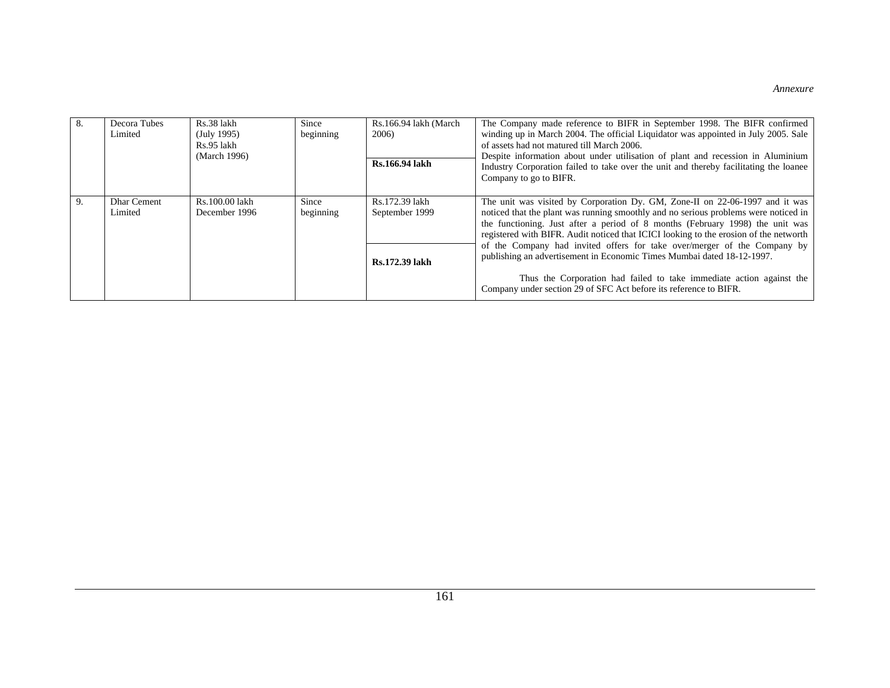|    | Decora Tubes<br>Limited       | Rs.38 lakh<br>(July 1995)<br>Rs.95 lakh<br>(March 1996) | Since<br>beginning | Rs.166.94 lakh (March<br>2006)<br>Rs.166.94 lakh   | The Company made reference to BIFR in September 1998. The BIFR confirmed<br>winding up in March 2004. The official Liquidator was appointed in July 2005. Sale<br>of assets had not matured till March 2006.<br>Despite information about under utilisation of plant and recession in Aluminium<br>Industry Corporation failed to take over the unit and thereby facilitating the loanee<br>Company to go to BIFR.                                                                                                                                                                                                                               |
|----|-------------------------------|---------------------------------------------------------|--------------------|----------------------------------------------------|--------------------------------------------------------------------------------------------------------------------------------------------------------------------------------------------------------------------------------------------------------------------------------------------------------------------------------------------------------------------------------------------------------------------------------------------------------------------------------------------------------------------------------------------------------------------------------------------------------------------------------------------------|
| 9. | <b>Dhar Cement</b><br>Limited | Rs.100.00 lakh<br>December 1996                         | Since<br>beginning | Rs.172.39 lakh<br>September 1999<br>Rs.172.39 lakh | The unit was visited by Corporation Dy. GM, Zone-II on 22-06-1997 and it was<br>noticed that the plant was running smoothly and no serious problems were noticed in<br>the functioning. Just after a period of 8 months (February 1998) the unit was<br>registered with BIFR. Audit noticed that ICICI looking to the erosion of the networth<br>of the Company had invited offers for take over/merger of the Company by<br>publishing an advertisement in Economic Times Mumbai dated 18-12-1997.<br>Thus the Corporation had failed to take immediate action against the<br>Company under section 29 of SFC Act before its reference to BIFR. |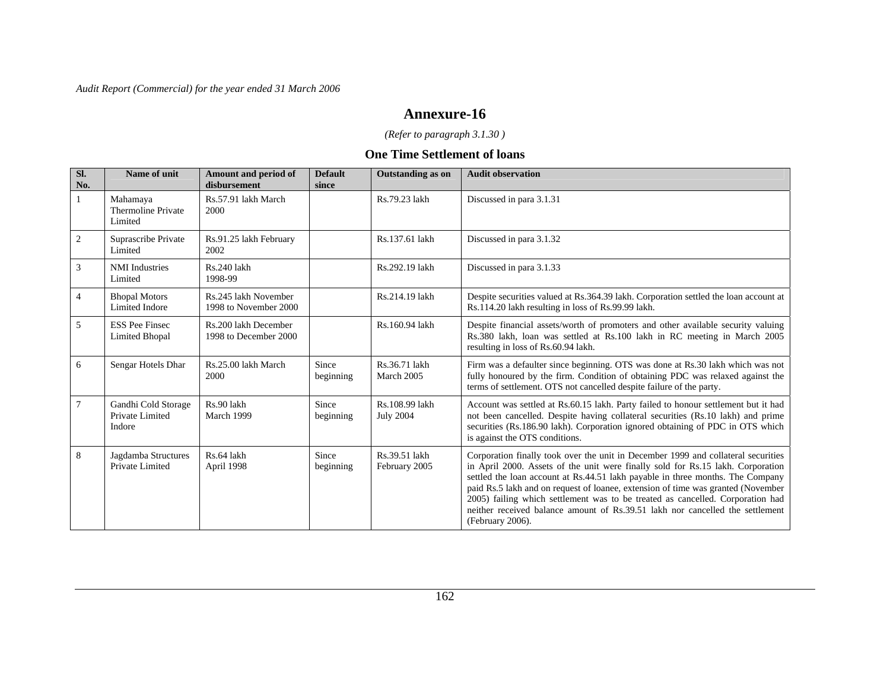### **Annexure-16**

*(Refer to paragraph 3.1.30 )* 

#### **One Time Settlement of loans**

| Sl.<br>No.     | Name of unit                                     | Amount and period of<br>disbursement          | <b>Default</b><br>since | <b>Outstanding as on</b>           | <b>Audit observation</b>                                                                                                                                                                                                                                                                                                                                                                                                                                                                                                          |
|----------------|--------------------------------------------------|-----------------------------------------------|-------------------------|------------------------------------|-----------------------------------------------------------------------------------------------------------------------------------------------------------------------------------------------------------------------------------------------------------------------------------------------------------------------------------------------------------------------------------------------------------------------------------------------------------------------------------------------------------------------------------|
|                | Mahamaya<br>Thermoline Private<br>Limited        | Rs.57.91 lakh March<br>2000                   |                         | Rs.79.23 lakh                      | Discussed in para 3.1.31                                                                                                                                                                                                                                                                                                                                                                                                                                                                                                          |
| $\overline{2}$ | Suprascribe Private<br>Limited                   | Rs.91.25 lakh February<br>2002                |                         | Rs.137.61 lakh                     | Discussed in para 3.1.32                                                                                                                                                                                                                                                                                                                                                                                                                                                                                                          |
| 3              | <b>NMI</b> Industries<br>Limited                 | Rs.240 lakh<br>1998-99                        |                         | Rs.292.19 lakh                     | Discussed in para 3.1.33                                                                                                                                                                                                                                                                                                                                                                                                                                                                                                          |
| $\overline{4}$ | <b>Bhopal Motors</b><br><b>Limited Indore</b>    | Rs.245 lakh November<br>1998 to November 2000 |                         | Rs.214.19 lakh                     | Despite securities valued at Rs.364.39 lakh. Corporation settled the loan account at<br>Rs.114.20 lakh resulting in loss of Rs.99.99 lakh.                                                                                                                                                                                                                                                                                                                                                                                        |
| 5              | <b>ESS Pee Finsec</b><br><b>Limited Bhopal</b>   | Rs.200 lakh December<br>1998 to December 2000 |                         | Rs.160.94 lakh                     | Despite financial assets/worth of promoters and other available security valuing<br>Rs.380 lakh, loan was settled at Rs.100 lakh in RC meeting in March 2005<br>resulting in loss of Rs.60.94 lakh.                                                                                                                                                                                                                                                                                                                               |
| 6              | Sengar Hotels Dhar                               | Rs.25.00 lakh March<br>2000                   | Since<br>beginning      | Rs.36.71 lakh<br>March 2005        | Firm was a defaulter since beginning. OTS was done at Rs.30 lakh which was not<br>fully honoured by the firm. Condition of obtaining PDC was relaxed against the<br>terms of settlement. OTS not cancelled despite failure of the party.                                                                                                                                                                                                                                                                                          |
| 7              | Gandhi Cold Storage<br>Private Limited<br>Indore | Rs.90 lakh<br>March 1999                      | Since<br>beginning      | Rs.108.99 lakh<br><b>July 2004</b> | Account was settled at Rs.60.15 lakh. Party failed to honour settlement but it had<br>not been cancelled. Despite having collateral securities (Rs.10 lakh) and prime<br>securities (Rs.186.90 lakh). Corporation ignored obtaining of PDC in OTS which<br>is against the OTS conditions.                                                                                                                                                                                                                                         |
| 8              | Jagdamba Structures<br>Private Limited           | Rs.64 lakh<br>April 1998                      | Since<br>beginning      | Rs.39.51 lakh<br>February 2005     | Corporation finally took over the unit in December 1999 and collateral securities<br>in April 2000. Assets of the unit were finally sold for Rs.15 lakh. Corporation<br>settled the loan account at Rs.44.51 lakh payable in three months. The Company<br>paid Rs.5 lakh and on request of loanee, extension of time was granted (November<br>2005) failing which settlement was to be treated as cancelled. Corporation had<br>neither received balance amount of Rs.39.51 lakh nor cancelled the settlement<br>(February 2006). |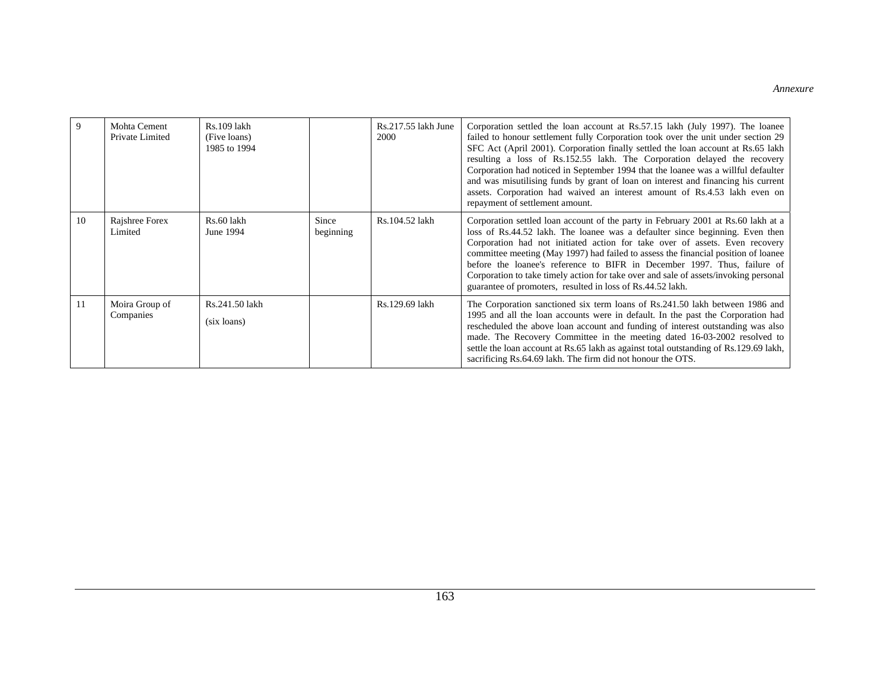|    | Mohta Cement<br>Private Limited | Rs.109 lakh<br>(Five loans)<br>1985 to 1994 |                    | Rs.217.55 lakh June<br>2000 | Corporation settled the loan account at Rs.57.15 lakh (July 1997). The loanee<br>failed to honour settlement fully Corporation took over the unit under section 29<br>SFC Act (April 2001). Corporation finally settled the loan account at Rs.65 lakh<br>resulting a loss of Rs.152.55 lakh. The Corporation delayed the recovery<br>Corporation had noticed in September 1994 that the loanee was a willful defaulter<br>and was misutilising funds by grant of loan on interest and financing his current<br>assets. Corporation had waived an interest amount of Rs.4.53 lakh even on<br>repayment of settlement amount. |
|----|---------------------------------|---------------------------------------------|--------------------|-----------------------------|------------------------------------------------------------------------------------------------------------------------------------------------------------------------------------------------------------------------------------------------------------------------------------------------------------------------------------------------------------------------------------------------------------------------------------------------------------------------------------------------------------------------------------------------------------------------------------------------------------------------------|
| 10 | Rajshree Forex<br>Limited       | Rs.60 lakh<br>June 1994                     | Since<br>beginning | Rs.104.52 lakh              | Corporation settled loan account of the party in February 2001 at Rs.60 lakh at a<br>loss of Rs.44.52 lakh. The loanee was a defaulter since beginning. Even then<br>Corporation had not initiated action for take over of assets. Even recovery<br>committee meeting (May 1997) had failed to assess the financial position of loanee<br>before the loanee's reference to BIFR in December 1997. Thus, failure of<br>Corporation to take timely action for take over and sale of assets/invoking personal<br>guarantee of promoters, resulted in loss of Rs.44.52 lakh.                                                     |
| 11 | Moira Group of<br>Companies     | Rs.241.50 lakh<br>(six loans)               |                    | Rs.129.69 lakh              | The Corporation sanctioned six term loans of Rs.241.50 lakh between 1986 and<br>1995 and all the loan accounts were in default. In the past the Corporation had<br>rescheduled the above loan account and funding of interest outstanding was also<br>made. The Recovery Committee in the meeting dated 16-03-2002 resolved to<br>settle the loan account at Rs.65 lakh as against total outstanding of Rs.129.69 lakh,<br>sacrificing Rs.64.69 lakh. The firm did not honour the OTS.                                                                                                                                       |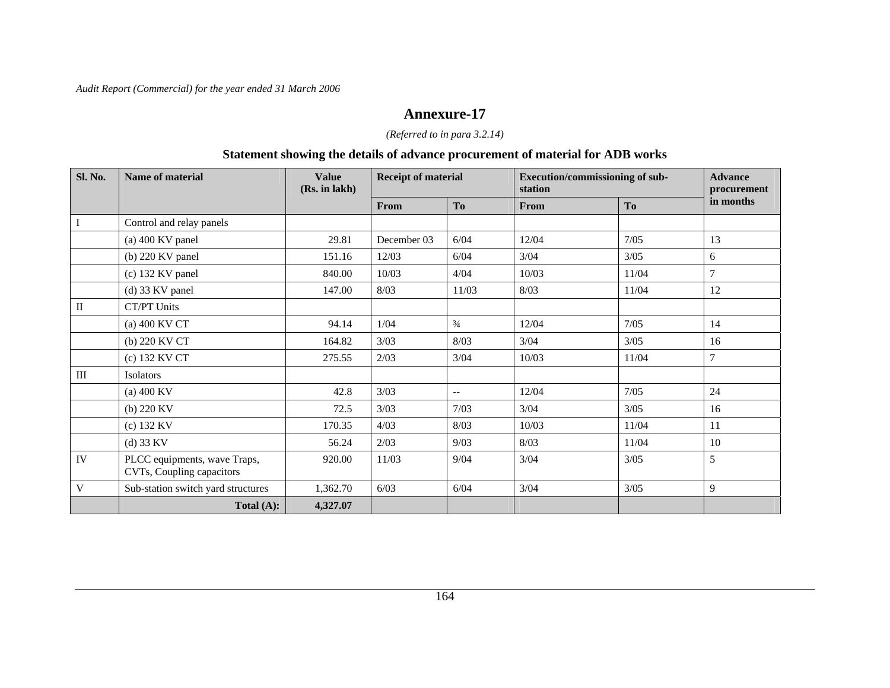### **Annexure-17**

### *(Referred to in para 3.2.14)*

### **Statement showing the details of advance procurement of material for ADB works**

| Sl. No.   | Name of material                                          | <b>Value</b><br>(Rs. in lakh) | <b>Receipt of material</b> |                          | Execution/commissioning of sub-<br>station |                | <b>Advance</b><br>procurement |
|-----------|-----------------------------------------------------------|-------------------------------|----------------------------|--------------------------|--------------------------------------------|----------------|-------------------------------|
|           |                                                           |                               | From                       | T <sub>0</sub>           | From                                       | T <sub>0</sub> | in months                     |
| $\bf I$   | Control and relay panels                                  |                               |                            |                          |                                            |                |                               |
|           | $(a)$ 400 KV panel                                        | 29.81                         | December 03                | 6/04                     | 12/04                                      | 7/05           | 13                            |
|           | $(b)$ 220 KV panel                                        | 151.16                        | 12/03                      | 6/04                     | 3/04                                       | $3/05$         | 6                             |
|           | $(c)$ 132 KV panel                                        | 840.00                        | 10/03                      | 4/04                     | 10/03                                      | 11/04          | $\overline{7}$                |
|           | $(d)$ 33 KV panel                                         | 147.00                        | 8/03                       | 11/03                    | 8/03                                       | 11/04          | 12                            |
| $\rm II$  | CT/PT Units                                               |                               |                            |                          |                                            |                |                               |
|           | (a) 400 KV CT                                             | 94.14                         | 1/04                       | $\frac{3}{4}$            | 12/04                                      | $7/05$         | 14                            |
|           | (b) 220 KV CT                                             | 164.82                        | 3/03                       | 8/03                     | 3/04                                       | 3/05           | 16                            |
|           | (c) 132 KV CT                                             | 275.55                        | 2/03                       | 3/04                     | 10/03                                      | 11/04          | $\overline{7}$                |
| $\rm III$ | <b>Isolators</b>                                          |                               |                            |                          |                                            |                |                               |
|           | $(a)$ 400 KV                                              | 42.8                          | 3/03                       | $\overline{\phantom{a}}$ | 12/04                                      | 7/05           | 24                            |
|           | (b) 220 KV                                                | 72.5                          | 3/03                       | 7/03                     | 3/04                                       | $3/05$         | 16                            |
|           | (c) 132 KV                                                | 170.35                        | 4/03                       | 8/03                     | 10/03                                      | 11/04          | 11                            |
|           | $(d)$ 33 KV                                               | 56.24                         | 2/03                       | 9/03                     | 8/03                                       | 11/04          | 10                            |
| IV        | PLCC equipments, wave Traps,<br>CVTs, Coupling capacitors | 920.00                        | 11/03                      | 9/04                     | 3/04                                       | $3/05$         | 5                             |
| V         | Sub-station switch yard structures                        | 1,362.70                      | 6/03                       | 6/04                     | $3/04$                                     | $3/05$         | 9                             |
|           | Total $(A)$ :                                             | 4,327.07                      |                            |                          |                                            |                |                               |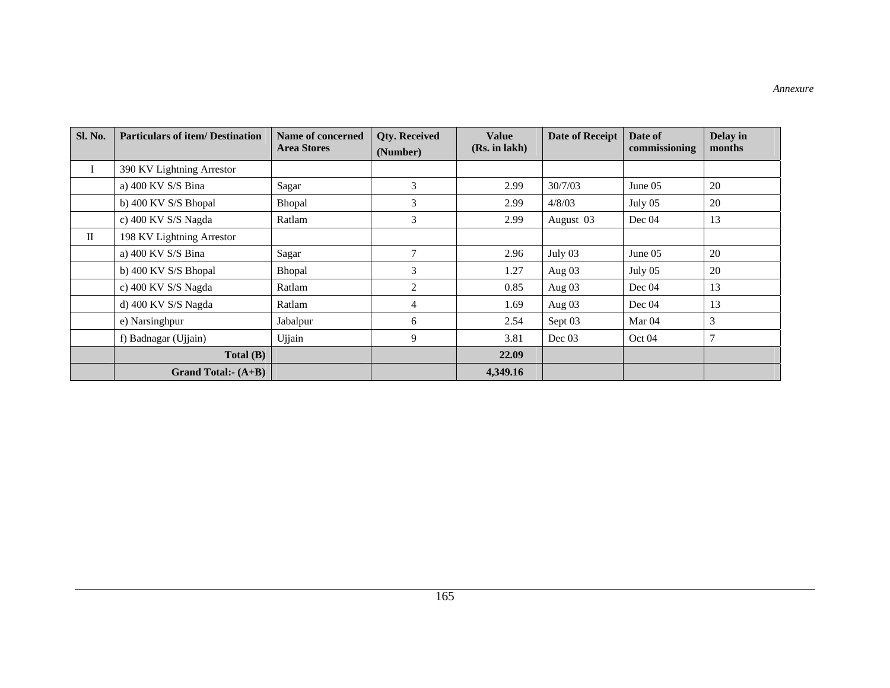| Sl. No.   | <b>Particulars of item/ Destination</b> | Name of concerned<br><b>Area Stores</b> | <b>Qty. Received</b><br>(Number) | <b>Value</b><br>(Rs. in lakh) | <b>Date of Receipt</b> | Date of<br>commissioning | Delay in<br>months |
|-----------|-----------------------------------------|-----------------------------------------|----------------------------------|-------------------------------|------------------------|--------------------------|--------------------|
| $\bf{I}$  | 390 KV Lightning Arrestor               |                                         |                                  |                               |                        |                          |                    |
|           | a) 400 KV S/S Bina                      | Sagar                                   | 3                                | 2.99                          | 30/7/03                | June $05$                | 20                 |
|           | b) 400 KV S/S Bhopal                    | Bhopal                                  | 3                                | 2.99                          | 4/8/03                 | July 05                  | 20                 |
|           | c) 400 KV S/S Nagda                     | Ratlam                                  | 3                                | 2.99                          | August 03              | Dec 04                   | 13                 |
| $\rm{II}$ | 198 KV Lightning Arrestor               |                                         |                                  |                               |                        |                          |                    |
|           | a) 400 KV S/S Bina                      | Sagar                                   | 7                                | 2.96                          | July 03                | June 05                  | 20                 |
|           | b) 400 KV S/S Bhopal                    | Bhopal                                  | 3                                | 1.27                          | Aug 03                 | July 05                  | 20                 |
|           | c) 400 KV S/S Nagda                     | Ratlam                                  | $\overline{2}$                   | 0.85                          | Aug $03$               | Dec 04                   | 13                 |
|           | d) 400 KV S/S Nagda                     | Ratlam                                  | 4                                | 1.69                          | Aug 03                 | Dec $04$                 | 13                 |
|           | e) Narsinghpur                          | Jabalpur                                | 6                                | 2.54                          | Sept 03                | Mar 04                   | 3                  |
|           | f) Badnagar (Ujjain)                    | Ujjain                                  | 9                                | 3.81                          | Dec $03$               | Oct 04                   | 7                  |
|           | Total(B)                                |                                         |                                  | 22.09                         |                        |                          |                    |
|           | Grand Total:- $(A+B)$                   |                                         |                                  | 4,349.16                      |                        |                          |                    |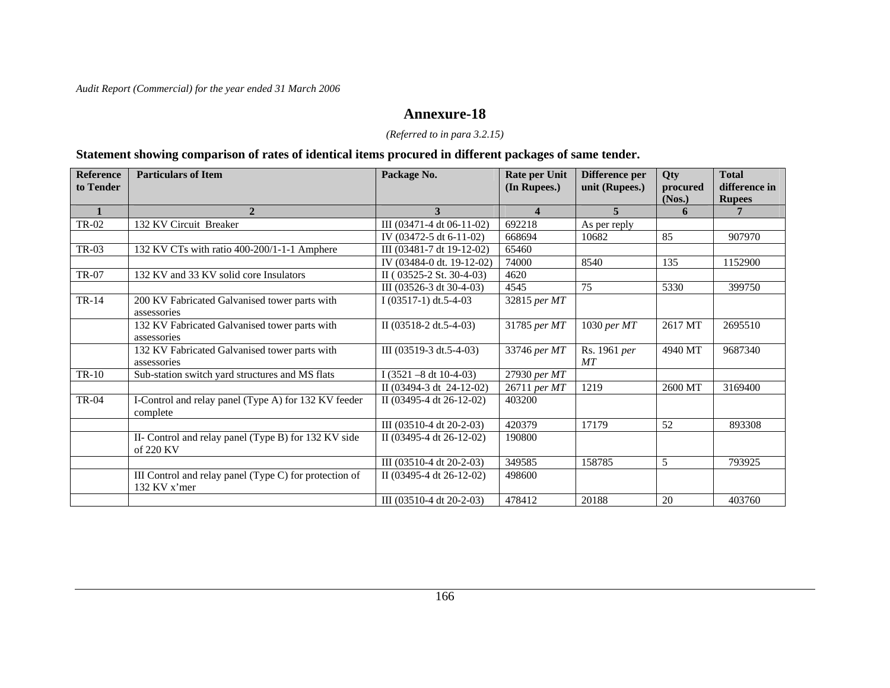### **Annexure-18**

### *(Referred to in para 3.2.15)*

### **Statement showing comparison of rates of identical items procured in different packages of same tender.**

| <b>Reference</b><br>to Tender | <b>Particulars of Item</b>                                             | Package No.                              | Rate per Unit<br>(In Rupees.) | Difference per<br>unit (Rupees.) | <b>Qty</b><br>procured<br>(Nos.) | <b>Total</b><br>difference in<br><b>Rupees</b> |
|-------------------------------|------------------------------------------------------------------------|------------------------------------------|-------------------------------|----------------------------------|----------------------------------|------------------------------------------------|
|                               | $\overline{2}$                                                         | 3                                        | $\overline{\mathbf{4}}$       | $\overline{5}$                   | 6                                | $7^{\circ}$                                    |
| TR-02                         | 132 KV Circuit Breaker                                                 | III (03471-4 dt 06-11-02)                | 692218                        | As per reply                     |                                  |                                                |
|                               |                                                                        | IV $(03472 - 5 \text{ dt } 6 - 11 - 02)$ | 668694                        | 10682                            | 85                               | 907970                                         |
| TR-03                         | 132 KV CTs with ratio 400-200/1-1-1 Amphere                            | III (03481-7 dt 19-12-02)                | 65460                         |                                  |                                  |                                                |
|                               |                                                                        | IV (03484-0 dt. 19-12-02)                | 74000                         | 8540                             | 135                              | 1152900                                        |
| <b>TR-07</b>                  | 132 KV and 33 KV solid core Insulators                                 | II (03525-2 St. 30-4-03)                 | 4620                          |                                  |                                  |                                                |
|                               |                                                                        | III (03526-3 dt 30-4-03)                 | 4545                          | 75                               | 5330                             | 399750                                         |
| TR-14                         | 200 KV Fabricated Galvanised tower parts with<br>assessories           | I $(03517-1)$ dt.5-4-03                  | 32815 per MT                  |                                  |                                  |                                                |
|                               | 132 KV Fabricated Galvanised tower parts with<br>assessories           | II $(03518-2 dt.5-4-03)$                 | 31785 per MT                  | 1030 per MT                      | 2617 MT                          | 2695510                                        |
|                               | 132 KV Fabricated Galvanised tower parts with<br>assessories           | III (03519-3 dt.5-4-03)                  | 33746 per MT                  | Rs. 1961 per<br>MT               | 4940 MT                          | 9687340                                        |
| $TR-10$                       | Sub-station switch yard structures and MS flats                        | I $(3521 - 8 \text{ dt } 10 - 4 - 03)$   | 27930 per MT                  |                                  |                                  |                                                |
|                               |                                                                        | II (03494-3 dt 24-12-02)                 | 26711 per MT                  | 1219                             | 2600 MT                          | 3169400                                        |
| TR-04                         | I-Control and relay panel (Type A) for 132 KV feeder<br>complete       | II $(03495-4 \text{ dt } 26-12-02)$      | 403200                        |                                  |                                  |                                                |
|                               |                                                                        | III $(03510-4 \text{ dt } 20-2-03)$      | 420379                        | 17179                            | 52                               | 893308                                         |
|                               | II- Control and relay panel (Type B) for 132 KV side<br>of 220 KV      | II (03495-4 dt 26-12-02)                 | 190800                        |                                  |                                  |                                                |
|                               |                                                                        | III $(03510-4 \text{ dt } 20-2-03)$      | 349585                        | 158785                           | 5                                | 793925                                         |
|                               | III Control and relay panel (Type C) for protection of<br>132 KV x'mer | II (03495-4 dt 26-12-02)                 | 498600                        |                                  |                                  |                                                |
|                               |                                                                        | III $(03510-4 \text{ dt } 20-2-03)$      | 478412                        | 20188                            | 20                               | 403760                                         |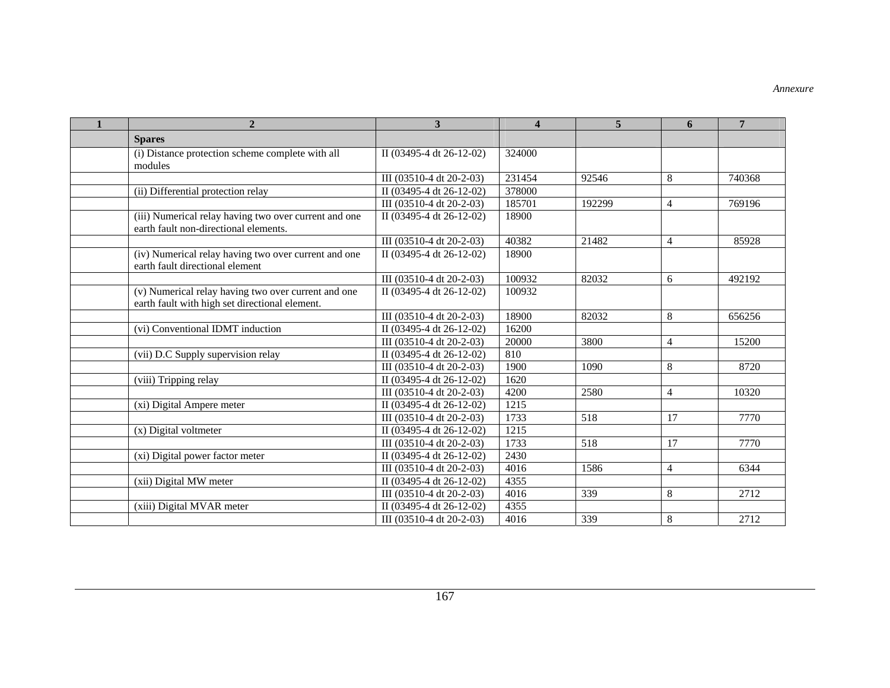| $\mathbf{1}$ | $\mathbf{2}$                                                                                          | $\mathbf{3}$                        | $\overline{\mathbf{4}}$ | 5      | 6               | $\overline{7}$ |
|--------------|-------------------------------------------------------------------------------------------------------|-------------------------------------|-------------------------|--------|-----------------|----------------|
|              | <b>Spares</b>                                                                                         |                                     |                         |        |                 |                |
|              | (i) Distance protection scheme complete with all<br>modules                                           | II (03495-4 dt 26-12-02)            | 324000                  |        |                 |                |
|              |                                                                                                       | III (03510-4 dt 20-2-03)            | 231454                  | 92546  | 8               | 740368         |
|              | (ii) Differential protection relay                                                                    | II (03495-4 dt 26-12-02)            | 378000                  |        |                 |                |
|              |                                                                                                       | III (03510-4 dt 20-2-03)            | 185701                  | 192299 | $\overline{4}$  | 769196         |
|              | (iii) Numerical relay having two over current and one<br>earth fault non-directional elements.        | II (03495-4 dt 26-12-02)            | 18900                   |        |                 |                |
|              |                                                                                                       | III (03510-4 dt 20-2-03)            | 40382                   | 21482  | 4               | 85928          |
|              | (iv) Numerical relay having two over current and one<br>earth fault directional element               | II (03495-4 dt 26-12-02)            | 18900                   |        |                 |                |
|              |                                                                                                       | III (03510-4 dt 20-2-03)            | 100932                  | 82032  | 6               | 492192         |
|              | (v) Numerical relay having two over current and one<br>earth fault with high set directional element. | II (03495-4 dt 26-12-02)            | 100932                  |        |                 |                |
|              |                                                                                                       | III (03510-4 dt 20-2-03)            | 18900                   | 82032  | 8               | 656256         |
|              | (vi) Conventional IDMT induction                                                                      | II (03495-4 dt 26-12-02)            | 16200                   |        |                 |                |
|              |                                                                                                       | III (03510-4 dt 20-2-03)            | 20000                   | 3800   | $\overline{4}$  | 15200          |
|              | (vii) D.C Supply supervision relay                                                                    | II (03495-4 dt 26-12-02)            | 810                     |        |                 |                |
|              |                                                                                                       | III (03510-4 dt 20-2-03)            | 1900                    | 1090   | 8               | 8720           |
|              | (viii) Tripping relay                                                                                 | II (03495-4 dt 26-12-02)            | 1620                    |        |                 |                |
|              |                                                                                                       | III $(03510-4 \text{ dt } 20-2-03)$ | 4200                    | 2580   | 4               | 10320          |
|              | (xi) Digital Ampere meter                                                                             | II (03495-4 dt 26-12-02)            | 1215                    |        |                 |                |
|              |                                                                                                       | III (03510-4 dt 20-2-03)            | 1733                    | 518    | $\overline{17}$ | 7770           |
|              | (x) Digital voltmeter                                                                                 | II (03495-4 dt 26-12-02)            | 1215                    |        |                 |                |
|              |                                                                                                       | III (03510-4 dt 20-2-03)            | 1733                    | 518    | 17              | 7770           |
|              | (xi) Digital power factor meter                                                                       | II (03495-4 dt 26-12-02)            | 2430                    |        |                 |                |
|              |                                                                                                       | III (03510-4 dt 20-2-03)            | 4016                    | 1586   | $\overline{4}$  | 6344           |
|              | (xii) Digital MW meter                                                                                | II (03495-4 dt 26-12-02)            | 4355                    |        |                 |                |
|              |                                                                                                       | III (03510-4 dt 20-2-03)            | 4016                    | 339    | 8               | 2712           |
|              | (xiii) Digital MVAR meter                                                                             | II (03495-4 dt 26-12-02)            | 4355                    |        |                 |                |
|              |                                                                                                       | III (03510-4 dt 20-2-03)            | 4016                    | 339    | 8               | 2712           |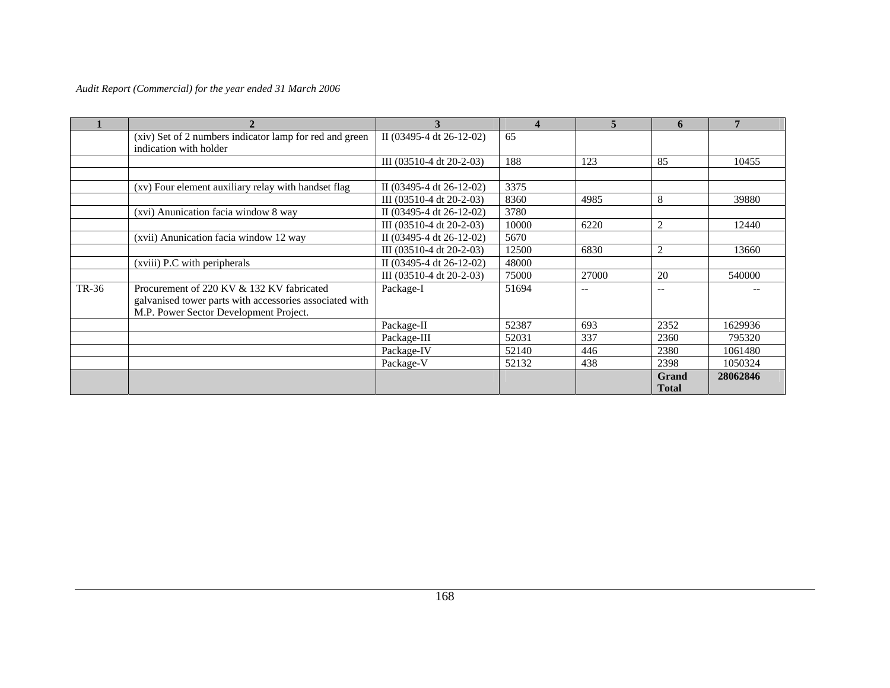|       | $\mathfrak{D}$                                                                                                                                 | 3                                   | Δ     | $\overline{5}$ | 6                            |          |
|-------|------------------------------------------------------------------------------------------------------------------------------------------------|-------------------------------------|-------|----------------|------------------------------|----------|
|       | (xiv) Set of 2 numbers indicator lamp for red and green<br>indication with holder                                                              | II (03495-4 dt 26-12-02)            | 65    |                |                              |          |
|       |                                                                                                                                                | III (03510-4 dt 20-2-03)            | 188   | 123            | 85                           | 10455    |
|       |                                                                                                                                                |                                     |       |                |                              |          |
|       | (xv) Four element auxiliary relay with handset flag                                                                                            | II $(03495-4 \text{ dt } 26-12-02)$ | 3375  |                |                              |          |
|       |                                                                                                                                                | III $(03510-4 \text{ dt } 20-2-03)$ | 8360  | 4985           | 8                            | 39880    |
|       | (xvi) Anunication facia window 8 way                                                                                                           | II $(03495-4 \text{ dt } 26-12-02)$ | 3780  |                |                              |          |
|       |                                                                                                                                                | III (03510-4 dt 20-2-03)            | 10000 | 6220           | $\overline{2}$               | 12440    |
|       | (xvii) Anunication facia window 12 way                                                                                                         | II $(03495-4 \text{ dt } 26-12-02)$ | 5670  |                |                              |          |
|       |                                                                                                                                                | III $(03510-4 \text{ dt } 20-2-03)$ | 12500 | 6830           | $\overline{c}$               | 13660    |
|       | (xviii) P.C with peripherals                                                                                                                   | II (03495-4 dt 26-12-02)            | 48000 |                |                              |          |
|       |                                                                                                                                                | III $(03510-4 \text{ dt } 20-2-03)$ | 75000 | 27000          | 20                           | 540000   |
| TR-36 | Procurement of 220 KV & 132 KV fabricated<br>galvanised tower parts with accessories associated with<br>M.P. Power Sector Development Project. | Package-I                           | 51694 | $ -$           | $- -$                        |          |
|       |                                                                                                                                                | Package-II                          | 52387 | 693            | 2352                         | 1629936  |
|       |                                                                                                                                                | Package-III                         | 52031 | 337            | 2360                         | 795320   |
|       |                                                                                                                                                | Package-IV                          | 52140 | 446            | 2380                         | 1061480  |
|       |                                                                                                                                                | Package-V                           | 52132 | 438            | 2398                         | 1050324  |
|       |                                                                                                                                                |                                     |       |                | <b>Grand</b><br><b>Total</b> | 28062846 |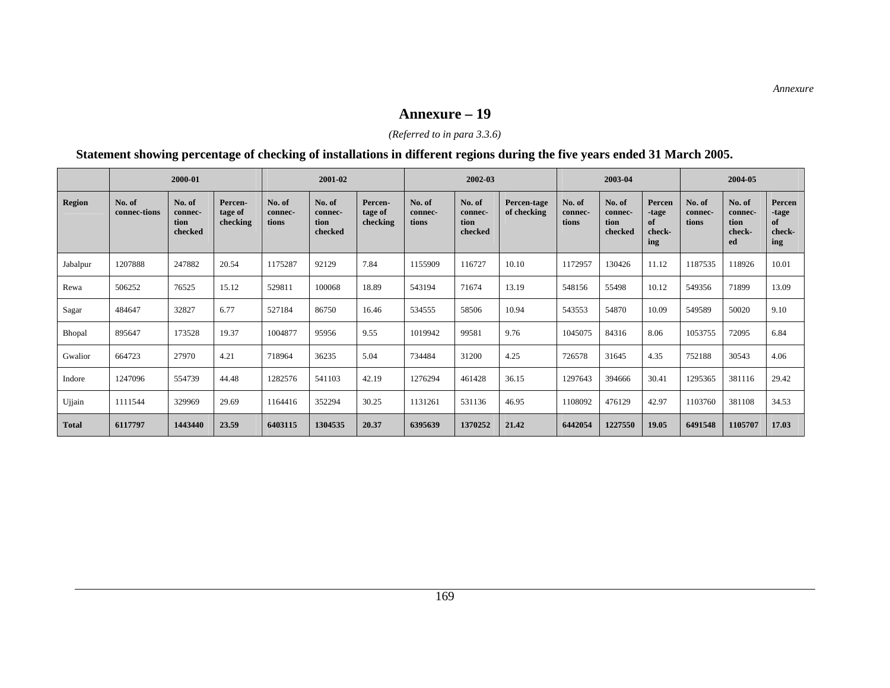#### **Annexure – 19**

### *(Referred to in para 3.3.6)*

### **Statement showing percentage of checking of installations in different regions during the five years ended 31 March 2005.**

|               | 2000-01                |                                      | 2001-02                        |                            | 2002-03                              |                                | 2003-04                    |                                      |                            | 2004-05                    |                                      |                                        |                            |                                           |                                        |
|---------------|------------------------|--------------------------------------|--------------------------------|----------------------------|--------------------------------------|--------------------------------|----------------------------|--------------------------------------|----------------------------|----------------------------|--------------------------------------|----------------------------------------|----------------------------|-------------------------------------------|----------------------------------------|
| <b>Region</b> | No. of<br>connec-tions | No. of<br>connec-<br>tion<br>checked | Percen-<br>tage of<br>checking | No. of<br>connec-<br>tions | No. of<br>connec-<br>tion<br>checked | Percen-<br>tage of<br>checking | No. of<br>connec-<br>tions | No. of<br>connec-<br>tion<br>checked | Percen-tage<br>of checking | No. of<br>connec-<br>tions | No. of<br>connec-<br>tion<br>checked | Percen<br>-tage<br>of<br>check-<br>ing | No. of<br>connec-<br>tions | No. of<br>connec-<br>tion<br>check-<br>ed | Percen<br>-tage<br>of<br>check-<br>ing |
| Jabalpur      | 1207888                | 247882                               | 20.54                          | 1175287                    | 92129                                | 7.84                           | 1155909                    | 116727                               | 10.10                      | 1172957                    | 130426                               | 11.12                                  | 1187535                    | 118926                                    | 10.01                                  |
| Rewa          | 506252                 | 76525                                | 15.12                          | 529811                     | 100068                               | 18.89                          | 543194                     | 71674                                | 13.19                      | 548156                     | 55498                                | 10.12                                  | 549356                     | 71899                                     | 13.09                                  |
| Sagar         | 484647                 | 32827                                | 6.77                           | 527184                     | 86750                                | 16.46                          | 534555                     | 58506                                | 10.94                      | 543553                     | 54870                                | 10.09                                  | 549589                     | 50020                                     | 9.10                                   |
| Bhopal        | 895647                 | 173528                               | 19.37                          | 1004877                    | 95956                                | 9.55                           | 1019942                    | 99581                                | 9.76                       | 1045075                    | 84316                                | 8.06                                   | 1053755                    | 72095                                     | 6.84                                   |
| Gwalior       | 664723                 | 27970                                | 4.21                           | 718964                     | 36235                                | 5.04                           | 734484                     | 31200                                | 4.25                       | 726578                     | 31645                                | 4.35                                   | 752188                     | 30543                                     | 4.06                                   |
| Indore        | 1247096                | 554739                               | 44.48                          | 1282576                    | 541103                               | 42.19                          | 1276294                    | 461428                               | 36.15                      | 1297643                    | 394666                               | 30.41                                  | 1295365                    | 381116                                    | 29.42                                  |
| Ujjain        | 1111544                | 329969                               | 29.69                          | 1164416                    | 352294                               | 30.25                          | 1131261                    | 531136                               | 46.95                      | 1108092                    | 476129                               | 42.97                                  | 1103760                    | 381108                                    | 34.53                                  |
| <b>Total</b>  | 6117797                | 1443440                              | 23.59                          | 6403115                    | 1304535                              | 20.37                          | 6395639                    | 1370252                              | 21.42                      | 6442054                    | 1227550                              | 19.05                                  | 6491548                    | 1105707                                   | 17.03                                  |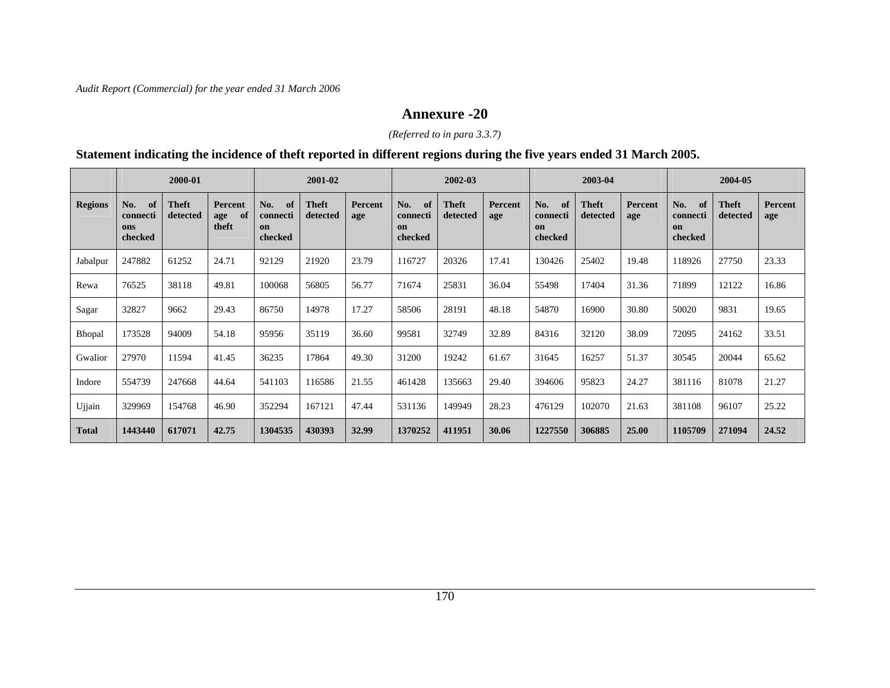### **Annexure -20**

### *(Referred to in para 3.3.7)*

### **Statement indicating the incidence of theft reported in different regions during the five years ended 31 March 2005.**

|                | 2000-01                                 |                          |                                      | 2001-02                                |                          |                | 2002-03                                 |                          | 2003-04        |                                        |                   | 2004-05               |                                        |                          |                       |
|----------------|-----------------------------------------|--------------------------|--------------------------------------|----------------------------------------|--------------------------|----------------|-----------------------------------------|--------------------------|----------------|----------------------------------------|-------------------|-----------------------|----------------------------------------|--------------------------|-----------------------|
| <b>Regions</b> | No.<br>of<br>connecti<br>ons<br>checked | <b>Theft</b><br>detected | <b>Percent</b><br>of<br>age<br>theft | No.<br>of<br>connecti<br>on<br>checked | <b>Theft</b><br>detected | Percent<br>age | No.<br>-of<br>connecti<br>on<br>checked | <b>Theft</b><br>detected | Percent<br>age | No.<br>of<br>connecti<br>on<br>checked | Theft<br>detected | <b>Percent</b><br>age | No.<br>of<br>connecti<br>on<br>checked | <b>Theft</b><br>detected | <b>Percent</b><br>age |
| Jabalpur       | 247882                                  | 61252                    | 24.71                                | 92129                                  | 21920                    | 23.79          | 116727                                  | 20326                    | 17.41          | 130426                                 | 25402             | 19.48                 | 118926                                 | 27750                    | 23.33                 |
| Rewa           | 76525                                   | 38118                    | 49.81                                | 100068                                 | 56805                    | 56.77          | 71674                                   | 25831                    | 36.04          | 55498                                  | 17404             | 31.36                 | 71899                                  | 12122                    | 16.86                 |
| Sagar          | 32827                                   | 9662                     | 29.43                                | 86750                                  | 14978                    | 17.27          | 58506                                   | 28191                    | 48.18          | 54870                                  | 16900             | 30.80                 | 50020                                  | 9831                     | 19.65                 |
| Bhopal         | 173528                                  | 94009                    | 54.18                                | 95956                                  | 35119                    | 36.60          | 99581                                   | 32749                    | 32.89          | 84316                                  | 32120             | 38.09                 | 72095                                  | 24162                    | 33.51                 |
| Gwalior        | 27970                                   | 11594                    | 41.45                                | 36235                                  | 17864                    | 49.30          | 31200                                   | 19242                    | 61.67          | 31645                                  | 16257             | 51.37                 | 30545                                  | 20044                    | 65.62                 |
| Indore         | 554739                                  | 247668                   | 44.64                                | 541103                                 | 116586                   | 21.55          | 461428                                  | 135663                   | 29.40          | 394606                                 | 95823             | 24.27                 | 381116                                 | 81078                    | 21.27                 |
| Ujjain         | 329969                                  | 154768                   | 46.90                                | 352294                                 | 167121                   | 47.44          | 531136                                  | 149949                   | 28.23          | 476129                                 | 102070            | 21.63                 | 381108                                 | 96107                    | 25.22                 |
| <b>Total</b>   | 1443440                                 | 617071                   | 42.75                                | 1304535                                | 430393                   | 32.99          | 1370252                                 | 411951                   | 30.06          | 1227550                                | 306885            | 25.00                 | 1105709                                | 271094                   | 24.52                 |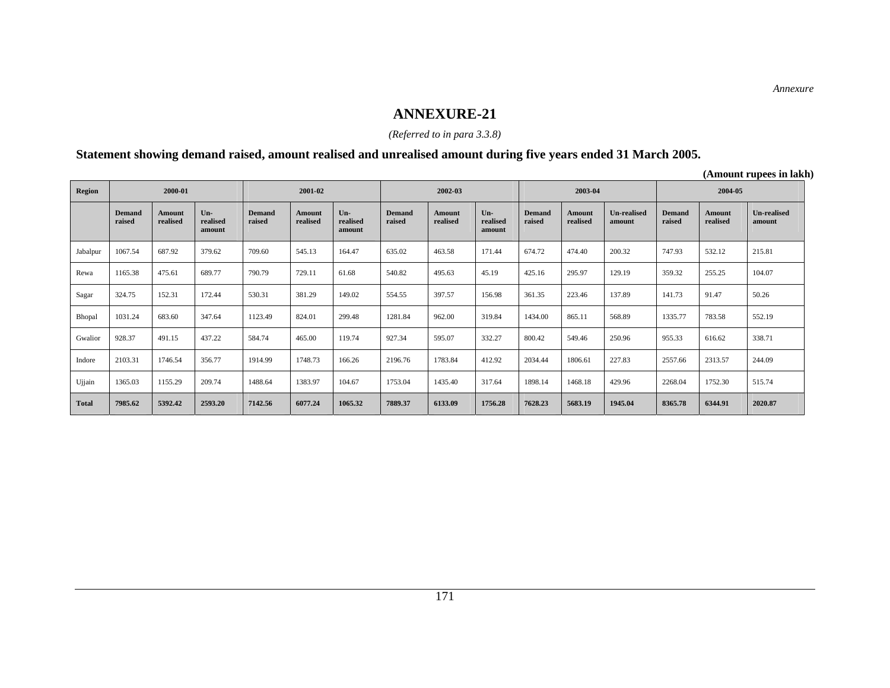### *(Referred to in para 3.3.8)*

### **Statement showing demand raised, amount realised and unrealised amount during five years ended 31 March 2005.**

**(Amount rupees in lakh)** 

| <b>Region</b> | 2000-01                 |                    |                             | 2001-02          |                           | 2002-03                   |                  | 2003-04                   |                             | 2004-05                 |                           |                       |                         |                           |                              |
|---------------|-------------------------|--------------------|-----------------------------|------------------|---------------------------|---------------------------|------------------|---------------------------|-----------------------------|-------------------------|---------------------------|-----------------------|-------------------------|---------------------------|------------------------------|
|               | <b>Demand</b><br>raised | Amount<br>realised | $Un-$<br>realised<br>amount | Demand<br>raised | <b>Amount</b><br>realised | Un-<br>realised<br>amount | Demand<br>raised | <b>Amount</b><br>realised | $Un-$<br>realised<br>amount | <b>Demand</b><br>raised | <b>Amount</b><br>realised | Un-realised<br>amount | <b>Demand</b><br>raised | <b>Amount</b><br>realised | <b>Un-realised</b><br>amount |
| Jabalpur      | 1067.54                 | 687.92             | 379.62                      | 709.60           | 545.13                    | 164.47                    | 635.02           | 463.58                    | 171.44                      | 674.72                  | 474.40                    | 200.32                | 747.93                  | 532.12                    | 215.81                       |
| Rewa          | 1165.38                 | 475.61             | 689.77                      | 790.79           | 729.11                    | 61.68                     | 540.82           | 495.63                    | 45.19                       | 425.16                  | 295.97                    | 129.19                | 359.32                  | 255.25                    | 104.07                       |
| Sagar         | 324.75                  | 152.31             | 172.44                      | 530.31           | 381.29                    | 149.02                    | 554.55           | 397.57                    | 156.98                      | 361.35                  | 223.46                    | 137.89                | 141.73                  | 91.47                     | 50.26                        |
| Bhopal        | 1031.24                 | 683.60             | 347.64                      | 1123.49          | 824.01                    | 299.48                    | 1281.84          | 962.00                    | 319.84                      | 1434.00                 | 865.11                    | 568.89                | 1335.77                 | 783.58                    | 552.19                       |
| Gwalior       | 928.37                  | 491.15             | 437.22                      | 584.74           | 465.00                    | 119.74                    | 927.34           | 595.07                    | 332.27                      | 800.42                  | 549.46                    | 250.96                | 955.33                  | 616.62                    | 338.71                       |
| Indore        | 2103.31                 | 1746.54            | 356.77                      | 1914.99          | 1748.73                   | 166.26                    | 2196.76          | 1783.84                   | 412.92                      | 2034.44                 | 1806.61                   | 227.83                | 2557.66                 | 2313.57                   | 244.09                       |
| Ujjain        | 1365.03                 | 1155.29            | 209.74                      | 1488.64          | 1383.97                   | 104.67                    | 1753.04          | 1435.40                   | 317.64                      | 1898.14                 | 1468.18                   | 429.96                | 2268.04                 | 1752.30                   | 515.74                       |
| <b>Total</b>  | 7985.62                 | 5392.42            | 2593.20                     | 7142.56          | 6077.24                   | 1065.32                   | 7889.37          | 6133.09                   | 1756.28                     | 7628.23                 | 5683.19                   | 1945.04               | 8365.78                 | 6344.91                   | 2020.87                      |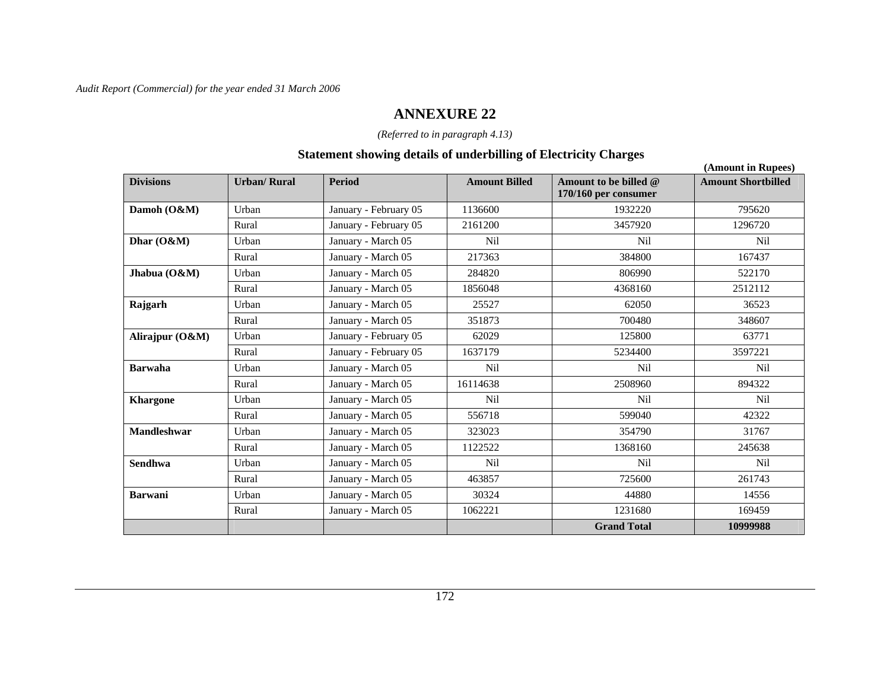### **ANNEXURE 22**

### *(Referred to in paragraph 4.13)*

### **Statement showing details of underbilling of Electricity Charges**

|                    |                    |                       |                      |                                                 | (Amount in Rupees)        |
|--------------------|--------------------|-----------------------|----------------------|-------------------------------------------------|---------------------------|
| <b>Divisions</b>   | <b>Urban/Rural</b> | <b>Period</b>         | <b>Amount Billed</b> | Amount to be billed $@$<br>170/160 per consumer | <b>Amount Shortbilled</b> |
| Damoh (O&M)        | Urban              | January - February 05 | 1136600              | 1932220                                         | 795620                    |
|                    | Rural              | January - February 05 | 2161200              | 3457920                                         | 1296720                   |
| Dhar $(O&M)$       | Urban              | January - March 05    | Nil                  | <b>Nil</b>                                      | Nil                       |
|                    | Rural              | January - March 05    | 217363               | 384800                                          | 167437                    |
| Jhabua $(O&M)$     | Urban              | January - March 05    | 284820               | 806990                                          | 522170                    |
|                    | Rural              | January - March 05    | 1856048              | 4368160                                         | 2512112                   |
| Rajgarh            | Urban              | January - March 05    | 25527                | 62050                                           | 36523                     |
|                    | Rural              | January - March 05    | 351873               | 700480                                          | 348607                    |
| Alirajpur (O&M)    | Urban              | January - February 05 | 62029                | 125800                                          | 63771                     |
|                    | Rural              | January - February 05 | 1637179              | 5234400                                         | 3597221                   |
| <b>Barwaha</b>     | Urban              | January - March 05    | <b>Nil</b>           | <b>Nil</b>                                      | Nil                       |
|                    | Rural              | January - March 05    | 16114638             | 2508960                                         | 894322                    |
| <b>Khargone</b>    | Urban              | January - March 05    | <b>Nil</b>           | <b>Nil</b>                                      | N <sub>il</sub>           |
|                    | Rural              | January - March 05    | 556718               | 599040                                          | 42322                     |
| <b>Mandleshwar</b> | Urban              | January - March 05    | 323023               | 354790                                          | 31767                     |
|                    | Rural              | January - March 05    | 1122522              | 1368160                                         | 245638                    |
| <b>Sendhwa</b>     | Urban              | January - March 05    | N <sub>il</sub>      | Nil                                             | Nil                       |
|                    | Rural              | January - March 05    | 463857               | 725600                                          | 261743                    |
| <b>Barwani</b>     | Urban              | January - March 05    | 30324                | 44880                                           | 14556                     |
|                    | Rural              | January - March 05    | 1062221              | 1231680                                         | 169459                    |
|                    |                    |                       |                      | <b>Grand Total</b>                              | 10999988                  |